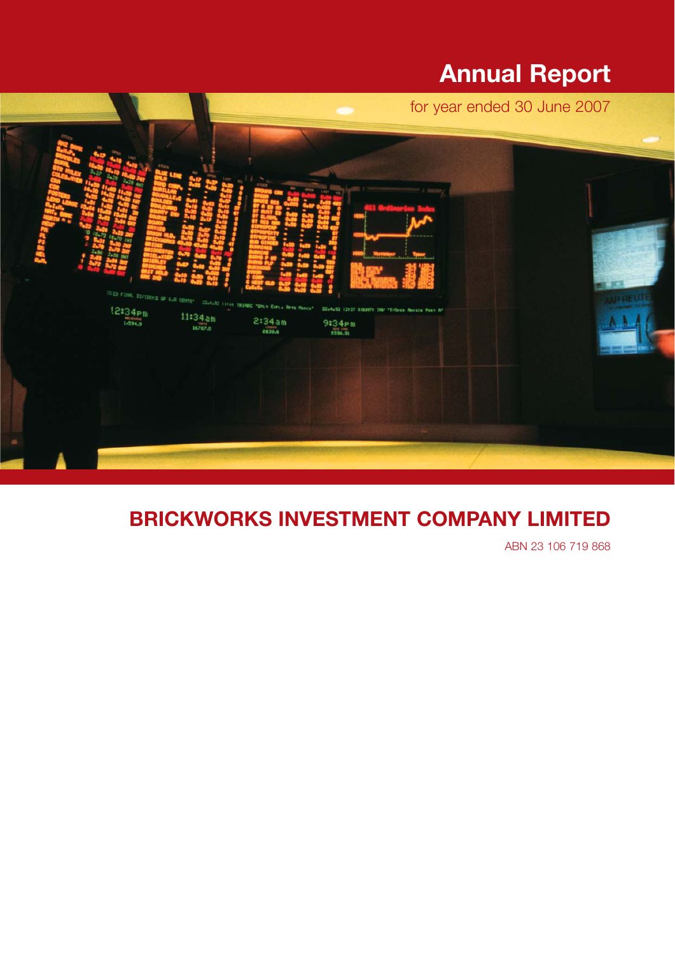# **Annual Report**



# **BRICKWORKS INVESTMENT COMPANY LIMITED**

ABN 23 106 719 868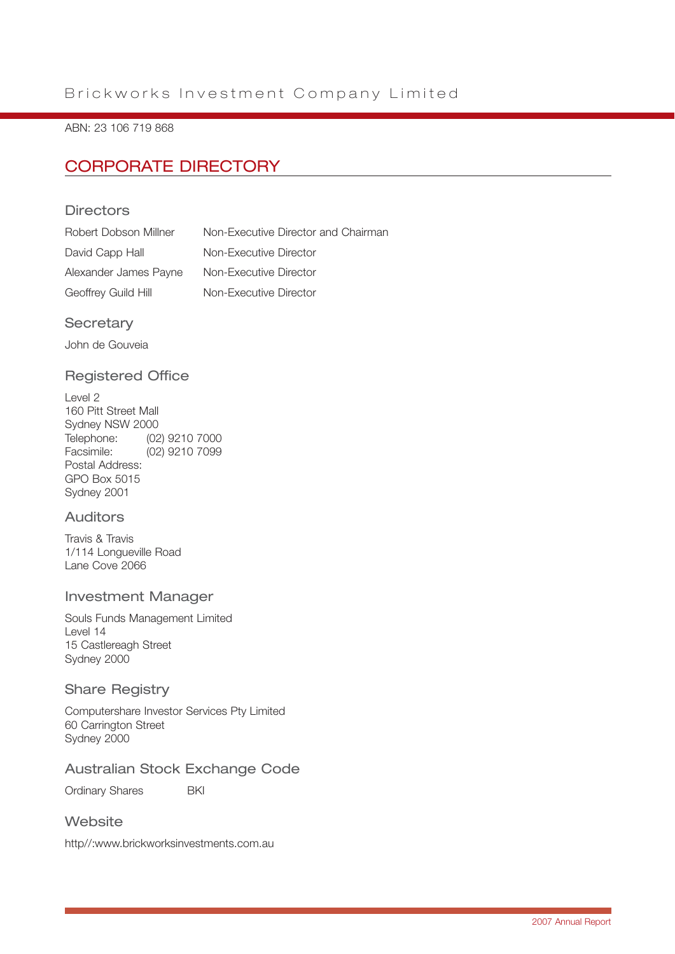## Brickworks Investment Company Limited

#### ABN: 23 106 719 868

## CORPORATE DIRECTORY

### **Directors**

| Robert Dobson Millner | Non-Executive Director and Chairman |
|-----------------------|-------------------------------------|
| David Capp Hall       | Non-Executive Director              |
| Alexander James Payne | Non-Executive Director              |
| Geoffrey Guild Hill   | Non-Executive Director              |

#### **Secretary**

John de Gouveia

### Registered Office

Level 2 160 Pitt Street Mall Sydney NSW 2000 Telephone: (02) 9210 7000<br>Eserinile: (02) 9210 7000 Facsimile: (02) 9210 7099 Postal Address: GPO Box 5015 Sydney 2001

### Auditors

Travis & Travis 1/114 Longueville Road Lane Cove 2066

#### Investment Manager

Souls Funds Management Limited Level 14 15 Castlereagh Street Sydney 2000

#### Share Registry

Computershare Investor Services Pty Limited 60 Carrington Street Sydney 2000

### Australian Stock Exchange Code

Ordinary Shares **BKI** 

#### **Website**

http//:www.brickworksinvestments.com.au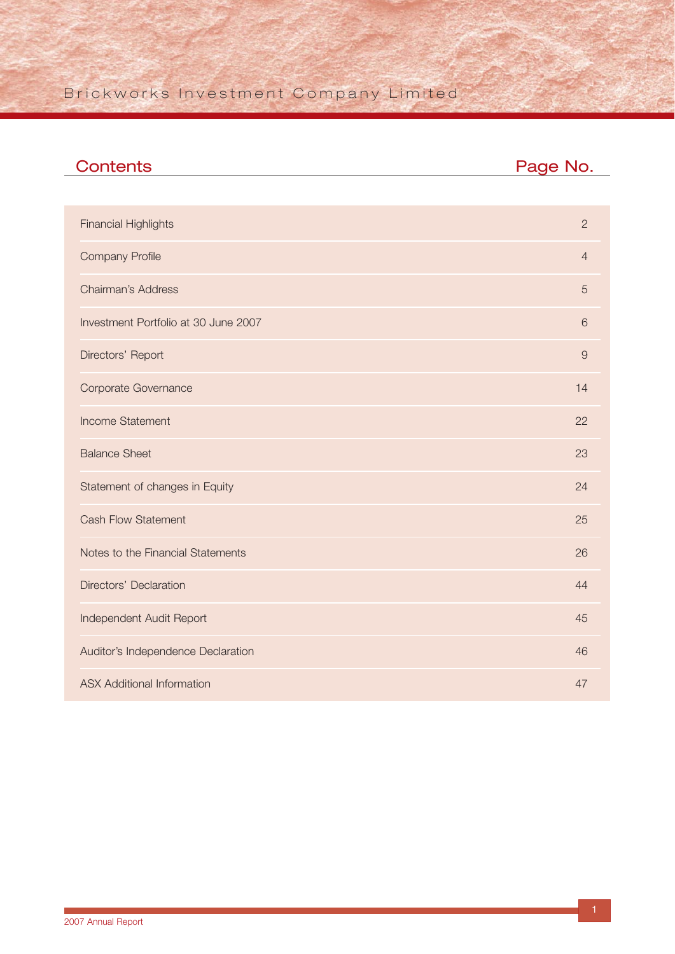## Brickworks Investment Company Limited

| <b>Contents</b>                      | Page No.       |
|--------------------------------------|----------------|
|                                      |                |
| <b>Financial Highlights</b>          | $\overline{2}$ |
| <b>Company Profile</b>               | $\overline{4}$ |
| <b>Chairman's Address</b>            | 5              |
| Investment Portfolio at 30 June 2007 | 6              |
| Directors' Report                    | $\overline{9}$ |
| Corporate Governance                 | 14             |
| <b>Income Statement</b>              | 22             |
| <b>Balance Sheet</b>                 | 23             |
| Statement of changes in Equity       | 24             |
| <b>Cash Flow Statement</b>           | 25             |
| Notes to the Financial Statements    | 26             |
| Directors' Declaration               | 44             |
| Independent Audit Report             | 45             |
| Auditor's Independence Declaration   | 46             |
| <b>ASX Additional Information</b>    | 47             |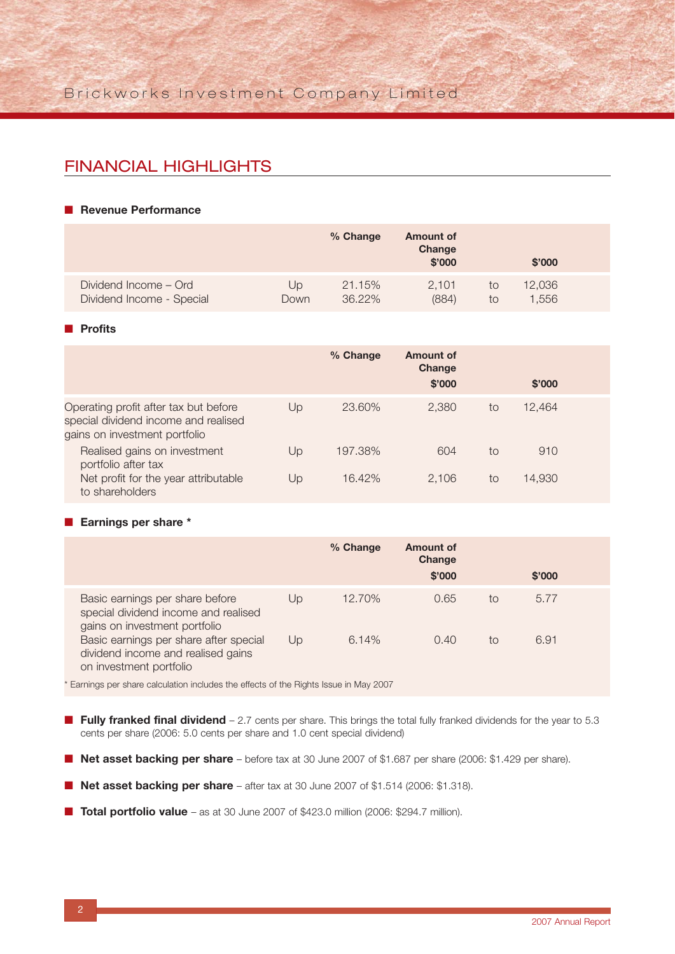## FINANCIAL HIGHLIGHTS

#### ■ **Revenue Performance**

|                           |      | % Change | <b>Amount of</b><br>Change<br>\$'000 |    | \$'000 |  |
|---------------------------|------|----------|--------------------------------------|----|--------|--|
| Dividend Income - Ord     | Up   | 21.15%   | 2.101                                | to | 12,036 |  |
| Dividend Income - Special | Down | 36.22%   | (884)                                | to | 1.556  |  |

#### ■ **Profits**

|                                                                                                                |    | % Change | Amount of<br>Change<br>\$'000 |    | \$'000 |  |
|----------------------------------------------------------------------------------------------------------------|----|----------|-------------------------------|----|--------|--|
| Operating profit after tax but before<br>special dividend income and realised<br>gains on investment portfolio | Up | 23.60%   | 2.380                         | to | 12.464 |  |
| Realised gains on investment<br>portfolio after tax                                                            | Up | 197.38%  | 604                           | to | 910    |  |
| Net profit for the year attributable<br>to shareholders                                                        | Up | 16.42%   | 2.106                         | to | 14,930 |  |

#### ■ **Earnings per share \***

|                                                                                                          |    | % Change | Amount of<br>Change<br>\$'000 |    | \$'000 |  |
|----------------------------------------------------------------------------------------------------------|----|----------|-------------------------------|----|--------|--|
| Basic earnings per share before<br>special dividend income and realised<br>gains on investment portfolio | Up | 12.70%   | 0.65                          | to | 5.77   |  |
| Basic earnings per share after special<br>dividend income and realised gains<br>on investment portfolio  | Up | 6.14%    | 0.40                          | to | 6.91   |  |

\* Earnings per share calculation includes the effects of the Rights Issue in May 2007

- **Fully franked final dividend** 2.7 cents per share. This brings the total fully franked dividends for the year to 5.3 cents per share (2006: 5.0 cents per share and 1.0 cent special dividend)
- **Net asset backing per share** before tax at 30 June 2007 of \$1.687 per share (2006: \$1.429 per share).
- **Net asset backing per share** after tax at 30 June 2007 of \$1.514 (2006: \$1.318).
- **Total portfolio value** as at 30 June 2007 of \$423.0 million (2006: \$294.7 million).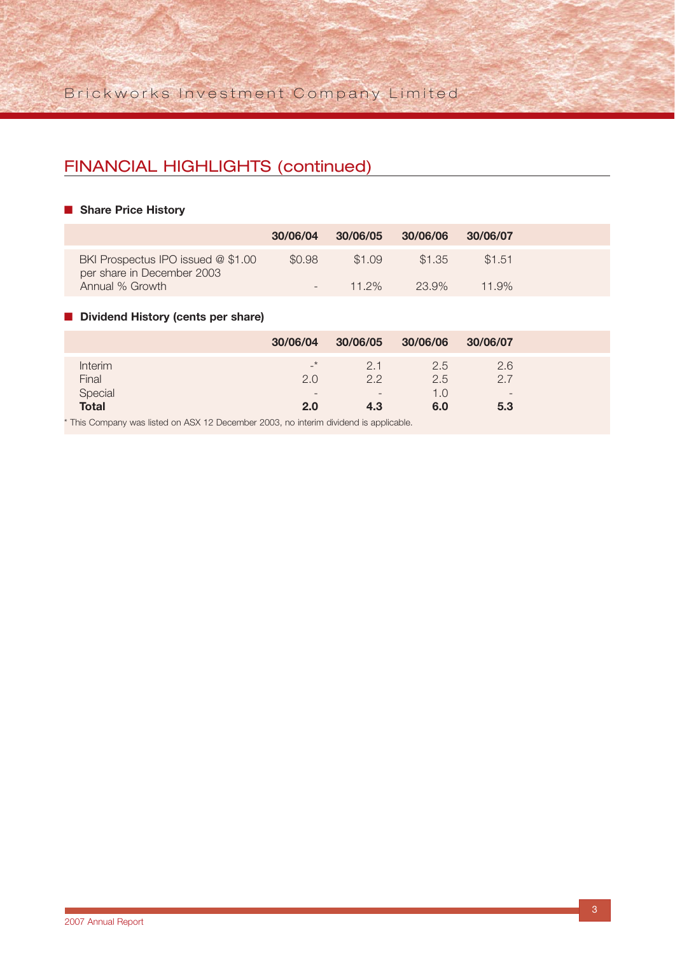## FINANCIAL HIGHLIGHTS (continued)

#### ■ **Share Price History**

|                                                                  | 30/06/04                 | 30/06/05 30/06/06 |        | 30/06/07 |
|------------------------------------------------------------------|--------------------------|-------------------|--------|----------|
| BKI Prospectus IPO issued @ \$1.00<br>per share in December 2003 | \$0.98                   | \$1.09            | \$1.35 | \$1.51   |
| Annual % Growth                                                  | $\overline{\phantom{0}}$ | $11.2\%$          | 23.9%  | $11.9\%$ |

### ■ **Dividend History (cents per share)**

|                | 30/06/04                 | 30/06/05 30/06/06        |     | 30/06/07                 |
|----------------|--------------------------|--------------------------|-----|--------------------------|
| <b>Interim</b> | $\rightarrow$            | 2.1                      | 2.5 | 2.6                      |
| Final          | 2.0                      | 2.2                      | 2.5 | 2.7                      |
| Special        | $\overline{\phantom{a}}$ | $\overline{\phantom{0}}$ | 1.0 | $\overline{\phantom{0}}$ |
| <b>Total</b>   | 2.0                      | 4.3                      | 6.0 | 5.3                      |

\* This Company was listed on ASX 12 December 2003, no interim dividend is applicable.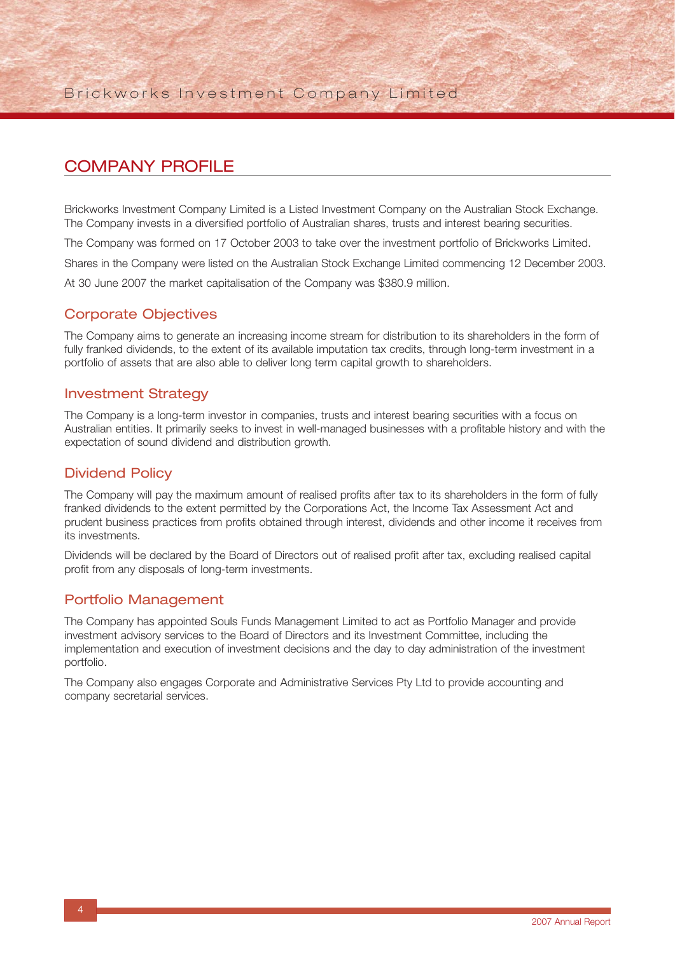## COMPANY PROFILE

Brickworks Investment Company Limited is a Listed Investment Company on the Australian Stock Exchange. The Company invests in a diversified portfolio of Australian shares, trusts and interest bearing securities.

The Company was formed on 17 October 2003 to take over the investment portfolio of Brickworks Limited.

Shares in the Company were listed on the Australian Stock Exchange Limited commencing 12 December 2003.

At 30 June 2007 the market capitalisation of the Company was \$380.9 million.

### Corporate Objectives

The Company aims to generate an increasing income stream for distribution to its shareholders in the form of fully franked dividends, to the extent of its available imputation tax credits, through long-term investment in a portfolio of assets that are also able to deliver long term capital growth to shareholders.

### Investment Strategy

The Company is a long-term investor in companies, trusts and interest bearing securities with a focus on Australian entities. It primarily seeks to invest in well-managed businesses with a profitable history and with the expectation of sound dividend and distribution growth.

### Dividend Policy

The Company will pay the maximum amount of realised profits after tax to its shareholders in the form of fully franked dividends to the extent permitted by the Corporations Act, the Income Tax Assessment Act and prudent business practices from profits obtained through interest, dividends and other income it receives from its investments.

Dividends will be declared by the Board of Directors out of realised profit after tax, excluding realised capital profit from any disposals of long-term investments.

### Portfolio Management

The Company has appointed Souls Funds Management Limited to act as Portfolio Manager and provide investment advisory services to the Board of Directors and its Investment Committee, including the implementation and execution of investment decisions and the day to day administration of the investment portfolio.

The Company also engages Corporate and Administrative Services Pty Ltd to provide accounting and company secretarial services.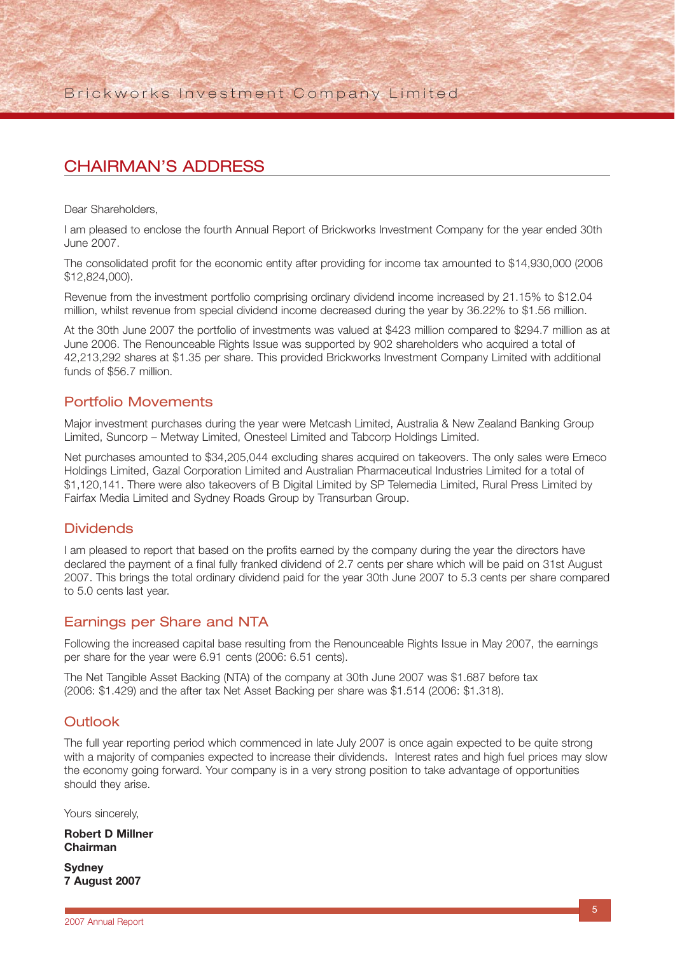## CHAIRMAN'S ADDRESS

Dear Shareholders,

I am pleased to enclose the fourth Annual Report of Brickworks Investment Company for the year ended 30th June 2007.

The consolidated profit for the economic entity after providing for income tax amounted to \$14,930,000 (2006 \$12,824,000).

Revenue from the investment portfolio comprising ordinary dividend income increased by 21.15% to \$12.04 million, whilst revenue from special dividend income decreased during the year by 36.22% to \$1.56 million.

At the 30th June 2007 the portfolio of investments was valued at \$423 million compared to \$294.7 million as at June 2006. The Renounceable Rights Issue was supported by 902 shareholders who acquired a total of 42,213,292 shares at \$1.35 per share. This provided Brickworks Investment Company Limited with additional funds of \$56.7 million.

### Portfolio Movements

Major investment purchases during the year were Metcash Limited, Australia & New Zealand Banking Group Limited, Suncorp – Metway Limited, Onesteel Limited and Tabcorp Holdings Limited.

Net purchases amounted to \$34,205,044 excluding shares acquired on takeovers. The only sales were Emeco Holdings Limited, Gazal Corporation Limited and Australian Pharmaceutical Industries Limited for a total of \$1,120,141. There were also takeovers of B Digital Limited by SP Telemedia Limited, Rural Press Limited by Fairfax Media Limited and Sydney Roads Group by Transurban Group.

### **Dividends**

I am pleased to report that based on the profits earned by the company during the year the directors have declared the payment of a final fully franked dividend of 2.7 cents per share which will be paid on 31st August 2007. This brings the total ordinary dividend paid for the year 30th June 2007 to 5.3 cents per share compared to 5.0 cents last year.

### Earnings per Share and NTA

Following the increased capital base resulting from the Renounceable Rights Issue in May 2007, the earnings per share for the year were 6.91 cents (2006: 6.51 cents).

The Net Tangible Asset Backing (NTA) of the company at 30th June 2007 was \$1.687 before tax (2006: \$1.429) and the after tax Net Asset Backing per share was \$1.514 (2006: \$1.318).

### **Outlook**

The full year reporting period which commenced in late July 2007 is once again expected to be quite strong with a majority of companies expected to increase their dividends. Interest rates and high fuel prices may slow the economy going forward. Your company is in a very strong position to take advantage of opportunities should they arise.

Yours sincerely,

**Robert D Millner Chairman**

**Sydney 7 August 2007**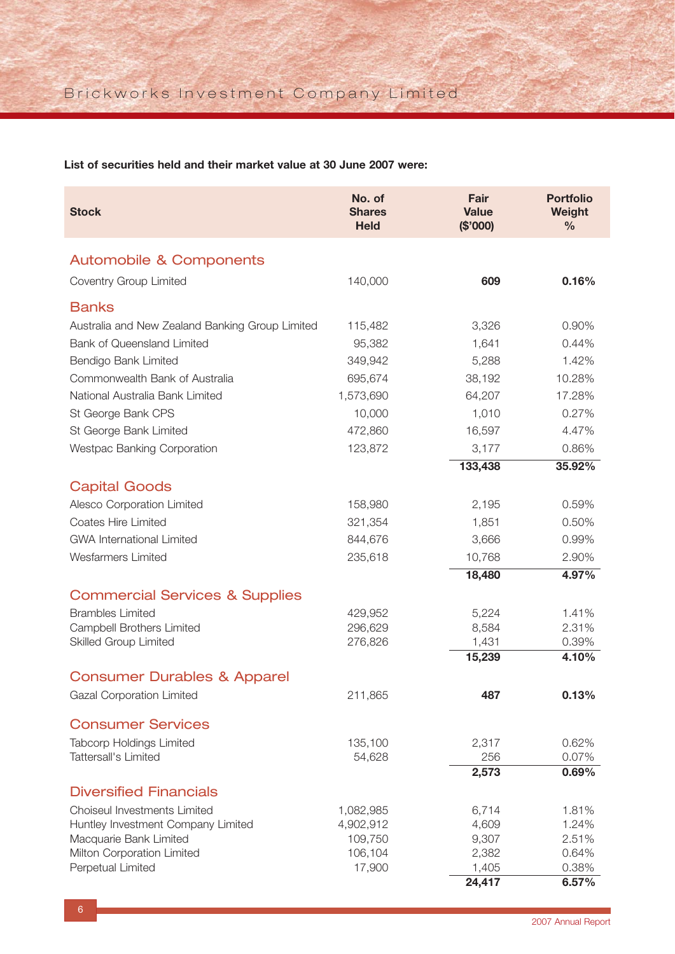**List of securities held and their market value at 30 June 2007 were:**

| No. of<br><b>Portfolio</b><br>Fair<br><b>Stock</b><br><b>Shares</b><br><b>Value</b><br>Weight<br><b>Held</b><br>(\$'000)<br>$\frac{0}{0}$ |                |
|-------------------------------------------------------------------------------------------------------------------------------------------|----------------|
| <b>Automobile &amp; Components</b>                                                                                                        |                |
| Coventry Group Limited<br>140,000<br>609                                                                                                  | 0.16%          |
|                                                                                                                                           |                |
| <b>Banks</b>                                                                                                                              |                |
| Australia and New Zealand Banking Group Limited<br>3,326<br>115,482                                                                       | 0.90%          |
| <b>Bank of Queensland Limited</b><br>95,382<br>1,641                                                                                      | 0.44%          |
| Bendigo Bank Limited<br>349,942<br>5,288                                                                                                  | 1.42%          |
| Commonwealth Bank of Australia<br>695,674<br>38,192                                                                                       | 10.28%         |
| National Australia Bank Limited<br>1,573,690<br>64,207                                                                                    | 17.28%         |
| 10,000<br>1,010<br>St George Bank CPS                                                                                                     | 0.27%          |
| St George Bank Limited<br>472,860<br>16,597                                                                                               | 4.47%          |
| <b>Westpac Banking Corporation</b><br>123,872<br>3,177                                                                                    | 0.86%          |
| 133,438                                                                                                                                   | 35.92%         |
| <b>Capital Goods</b>                                                                                                                      |                |
| Alesco Corporation Limited<br>158,980<br>2,195                                                                                            | 0.59%          |
| Coates Hire Limited<br>321,354<br>1,851                                                                                                   | 0.50%          |
| <b>GWA International Limited</b><br>844,676<br>3,666                                                                                      | 0.99%          |
| <b>Wesfarmers Limited</b><br>235,618<br>10,768                                                                                            | 2.90%          |
| 18,480                                                                                                                                    | 4.97%          |
| <b>Commercial Services &amp; Supplies</b>                                                                                                 |                |
| <b>Brambles Limited</b><br>429,952<br>5,224                                                                                               | 1.41%          |
| Campbell Brothers Limited<br>296,629<br>8,584                                                                                             | 2.31%          |
| <b>Skilled Group Limited</b><br>276,826<br>1,431                                                                                          | 0.39%          |
| 15,239                                                                                                                                    | 4.10%          |
| <b>Consumer Durables &amp; Apparel</b>                                                                                                    |                |
| 211,865<br>487<br>Gazal Corporation Limited                                                                                               | 0.13%          |
| <b>Consumer Services</b>                                                                                                                  |                |
| <b>Tabcorp Holdings Limited</b><br>135,100<br>2,317                                                                                       | 0.62%          |
| Tattersall's Limited<br>54,628<br>256                                                                                                     | 0.07%          |
| 2,573                                                                                                                                     | 0.69%          |
| <b>Diversified Financials</b>                                                                                                             |                |
| Choiseul Investments Limited<br>1,082,985<br>6,714                                                                                        | 1.81%          |
| 4,902,912<br>4,609<br>Huntley Investment Company Limited                                                                                  | 1.24%          |
| Macquarie Bank Limited<br>109,750<br>9,307                                                                                                | 2.51%          |
| Milton Corporation Limited<br>106,104<br>2,382                                                                                            | 0.64%          |
| Perpetual Limited<br>17,900<br>1,405<br>24,417                                                                                            | 0.38%<br>6.57% |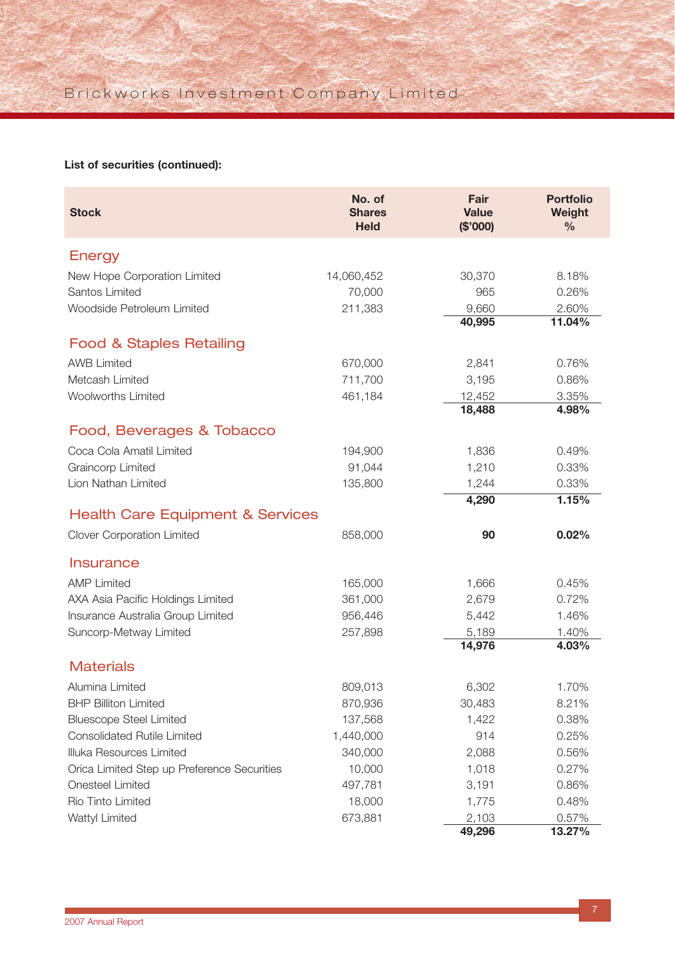## **List of securities (continued):**

| <b>Stock</b>                                | No. of<br><b>Shares</b><br><b>Held</b> | Fair<br><b>Value</b><br>(\$'000) | <b>Portfolio</b><br>Weight<br>$\frac{0}{0}$ |
|---------------------------------------------|----------------------------------------|----------------------------------|---------------------------------------------|
| <b>Energy</b>                               |                                        |                                  |                                             |
| New Hope Corporation Limited                | 14,060,452                             | 30,370                           | 8.18%                                       |
| Santos Limited                              | 70,000                                 | 965                              | 0.26%                                       |
| Woodside Petroleum Limited                  | 211,383                                | 9,660                            | 2.60%                                       |
|                                             |                                        | 40,995                           | 11.04%                                      |
| <b>Food &amp; Staples Retailing</b>         |                                        |                                  |                                             |
| <b>AWB Limited</b>                          | 670,000                                | 2,841                            | 0.76%                                       |
| Metcash Limited                             | 711,700                                | 3,195                            | 0.86%                                       |
| <b>Woolworths Limited</b>                   | 461,184                                | 12,452                           | 3.35%                                       |
|                                             |                                        | 18,488                           | 4.98%                                       |
| Food, Beverages & Tobacco                   |                                        |                                  |                                             |
| Coca Cola Amatil Limited                    | 194,900                                | 1,836                            | 0.49%                                       |
| <b>Graincorp Limited</b>                    | 91,044                                 | 1,210                            | 0.33%                                       |
| Lion Nathan Limited                         | 135,800                                | 1,244                            | 0.33%                                       |
|                                             |                                        | 4,290                            | 1.15%                                       |
| <b>Health Care Equipment &amp; Services</b> |                                        |                                  |                                             |
| <b>Clover Corporation Limited</b>           | 858,000                                | 90                               | 0.02%                                       |
| <b>Insurance</b>                            |                                        |                                  |                                             |
| <b>AMP Limited</b>                          | 165,000                                | 1,666                            | 0.45%                                       |
| AXA Asia Pacific Holdings Limited           | 361,000                                | 2,679                            | 0.72%                                       |
| Insurance Australia Group Limited           | 956,446                                | 5,442                            | 1.46%                                       |
| Suncorp-Metway Limited                      | 257,898                                | 5,189                            | 1.40%                                       |
|                                             |                                        | 14,976                           | 4.03%                                       |
| <b>Materials</b>                            |                                        |                                  |                                             |
| Alumina Limited                             | 809,013                                | 6,302                            | 1.70%                                       |
| <b>BHP Billiton Limited</b>                 | 870,936                                | 30,483                           | 8.21%                                       |
| <b>Bluescope Steel Limited</b>              | 137,568                                | 1,422                            | 0.38%                                       |
| <b>Consolidated Rutile Limited</b>          | 1,440,000                              | 914                              | 0.25%                                       |
| Illuka Resources Limited                    | 340,000                                | 2,088                            | 0.56%                                       |
| Orica Limited Step up Preference Securities | 10,000                                 | 1,018                            | 0.27%                                       |
| Onesteel Limited                            | 497,781                                | 3,191                            | 0.86%                                       |
| Rio Tinto Limited                           | 18,000                                 | 1,775                            | 0.48%                                       |
| Wattyl Limited                              | 673,881                                | 2,103                            | 0.57%                                       |
|                                             |                                        | 49,296                           | 13.27%                                      |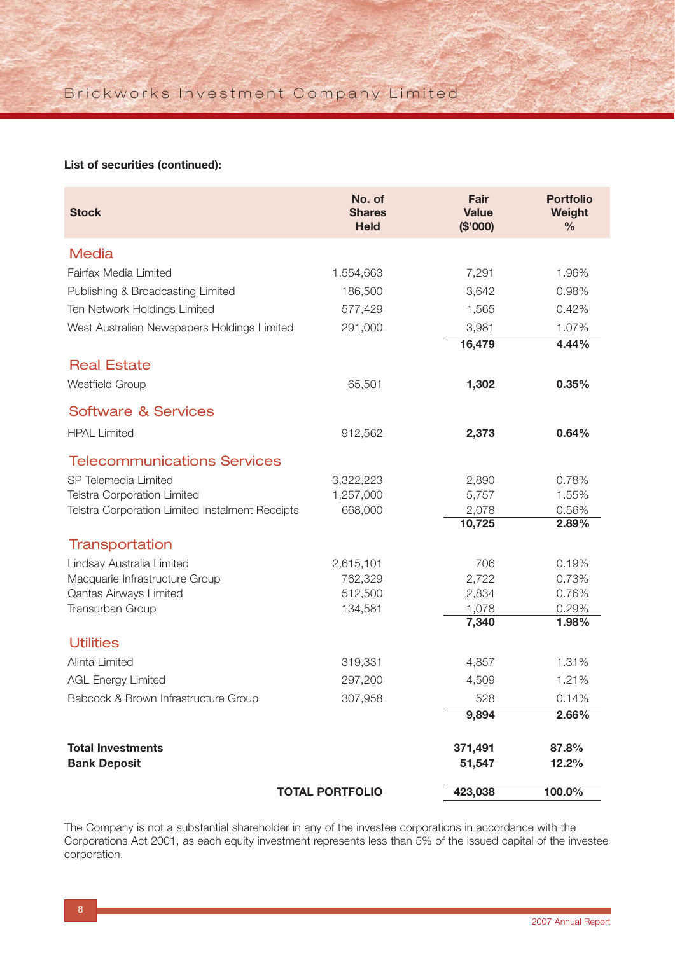#### **List of securities (continued):**

| <b>Stock</b>                                    | No. of<br><b>Shares</b><br><b>Held</b> | Fair<br><b>Value</b><br>(\$'000) | <b>Portfolio</b><br>Weight<br>$\frac{0}{0}$ |
|-------------------------------------------------|----------------------------------------|----------------------------------|---------------------------------------------|
| <b>Media</b>                                    |                                        |                                  |                                             |
| Fairfax Media Limited                           | 1,554,663                              | 7,291                            | 1.96%                                       |
| Publishing & Broadcasting Limited               | 186,500                                | 3,642                            | 0.98%                                       |
| Ten Network Holdings Limited                    | 577,429                                | 1,565                            | 0.42%                                       |
| West Australian Newspapers Holdings Limited     | 291,000                                | 3,981                            | 1.07%                                       |
|                                                 |                                        | 16,479                           | 4.44%                                       |
| <b>Real Estate</b>                              |                                        |                                  |                                             |
| <b>Westfield Group</b>                          | 65,501                                 | 1,302                            | 0.35%                                       |
| <b>Software &amp; Services</b>                  |                                        |                                  |                                             |
| <b>HPAL Limited</b>                             | 912,562                                | 2,373                            | 0.64%                                       |
| <b>Telecommunications Services</b>              |                                        |                                  |                                             |
| SP Telemedia Limited                            | 3,322,223                              | 2,890                            | 0.78%                                       |
| <b>Telstra Corporation Limited</b>              | 1,257,000                              | 5,757                            | 1.55%                                       |
| Telstra Corporation Limited Instalment Receipts | 668,000                                | 2,078                            | 0.56%<br>2.89%                              |
|                                                 |                                        | 10,725                           |                                             |
| <b>Transportation</b>                           |                                        |                                  |                                             |
| Lindsay Australia Limited                       | 2,615,101                              | 706                              | 0.19%                                       |
| Macquarie Infrastructure Group                  | 762,329                                | 2,722                            | 0.73%                                       |
| Qantas Airways Limited                          | 512,500                                | 2,834                            | 0.76%                                       |
| Transurban Group                                | 134,581                                | 1,078<br>7,340                   | 0.29%<br>1.98%                              |
| <b>Utilities</b>                                |                                        |                                  |                                             |
| Alinta Limited                                  | 319,331                                | 4,857                            | 1.31%                                       |
| <b>AGL Energy Limited</b>                       | 297,200                                | 4,509                            | 1.21%                                       |
|                                                 |                                        |                                  |                                             |
| Babcock & Brown Infrastructure Group            | 307,958                                | 528                              | 0.14%                                       |
|                                                 |                                        | 9,894                            | 2.66%                                       |
| <b>Total Investments</b>                        |                                        | 371,491                          | 87.8%                                       |
| <b>Bank Deposit</b>                             |                                        | 51,547                           | 12.2%                                       |
|                                                 | <b>TOTAL PORTFOLIO</b>                 | 423,038                          | 100.0%                                      |

The Company is not a substantial shareholder in any of the investee corporations in accordance with the Corporations Act 2001, as each equity investment represents less than 5% of the issued capital of the investee corporation.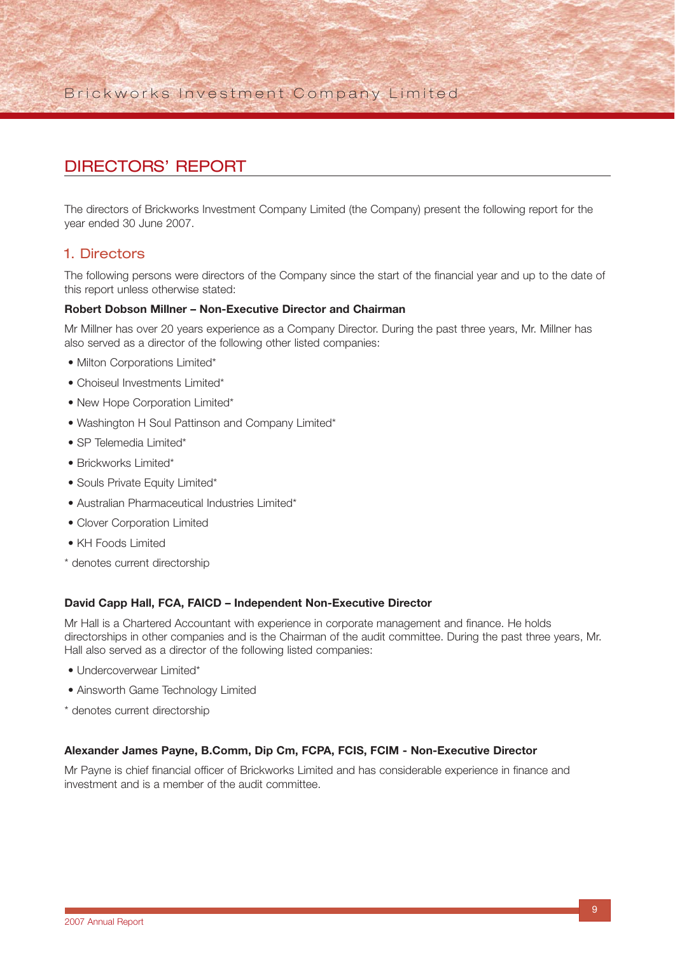## DIRECTORS' REPORT

The directors of Brickworks Investment Company Limited (the Company) present the following report for the year ended 30 June 2007.

### 1. Directors

The following persons were directors of the Company since the start of the financial year and up to the date of this report unless otherwise stated:

#### **Robert Dobson Millner – Non-Executive Director and Chairman**

Mr Millner has over 20 years experience as a Company Director. During the past three years, Mr. Millner has also served as a director of the following other listed companies:

- Milton Corporations Limited\*
- Choiseul Investments Limited\*
- New Hope Corporation Limited\*
- Washington H Soul Pattinson and Company Limited\*
- SP Telemedia Limited\*
- Brickworks Limited\*
- Souls Private Equity Limited\*
- Australian Pharmaceutical Industries Limited\*
- Clover Corporation Limited
- KH Foods Limited
- \* denotes current directorship

#### **David Capp Hall, FCA, FAICD – Independent Non-Executive Director**

Mr Hall is a Chartered Accountant with experience in corporate management and finance. He holds directorships in other companies and is the Chairman of the audit committee. During the past three years, Mr. Hall also served as a director of the following listed companies:

- Undercoverwear Limited\*
- Ainsworth Game Technology Limited
- \* denotes current directorship

#### **Alexander James Payne, B.Comm, Dip Cm, FCPA, FCIS, FCIM - Non-Executive Director**

Mr Payne is chief financial officer of Brickworks Limited and has considerable experience in finance and investment and is a member of the audit committee.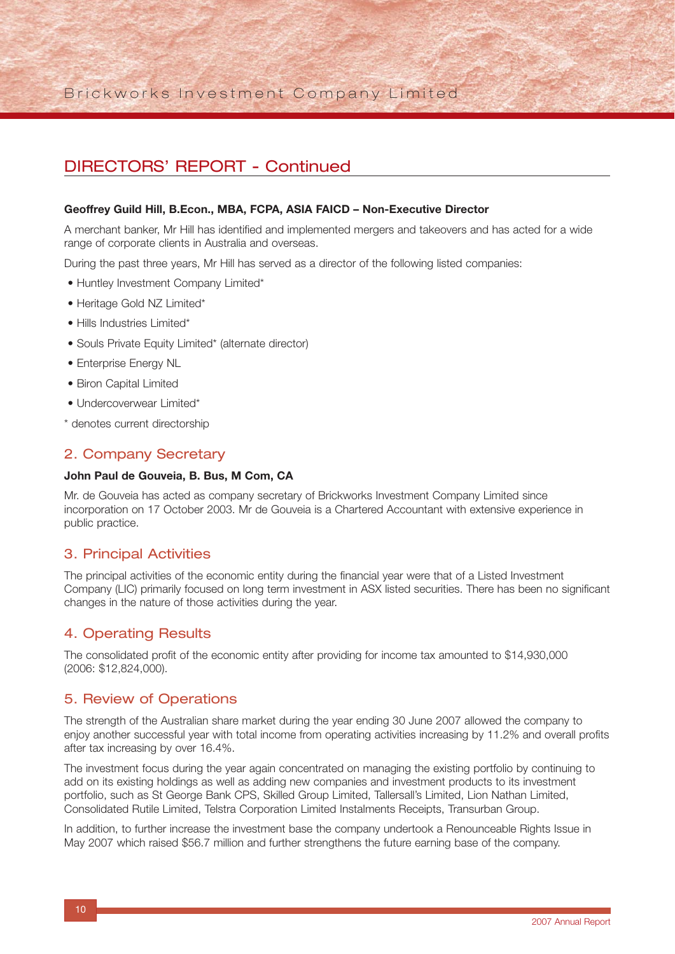## Brickworks Investment Company Limited

## DIRECTORS' REPORT - Continued

#### **Geoffrey Guild Hill, B.Econ., MBA, FCPA, ASIA FAICD – Non-Executive Director**

A merchant banker, Mr Hill has identified and implemented mergers and takeovers and has acted for a wide range of corporate clients in Australia and overseas.

During the past three years, Mr Hill has served as a director of the following listed companies:

- Huntley Investment Company Limited\*
- Heritage Gold NZ Limited\*
- Hills Industries Limited\*
- Souls Private Equity Limited\* (alternate director)
- Enterprise Energy NL
- Biron Capital Limited
- Undercoverwear Limited\*
- \* denotes current directorship

#### 2. Company Secretary

#### **John Paul de Gouveia, B. Bus, M Com, CA**

Mr. de Gouveia has acted as company secretary of Brickworks Investment Company Limited since incorporation on 17 October 2003. Mr de Gouveia is a Chartered Accountant with extensive experience in public practice.

#### 3. Principal Activities

The principal activities of the economic entity during the financial year were that of a Listed Investment Company (LIC) primarily focused on long term investment in ASX listed securities. There has been no significant changes in the nature of those activities during the year.

#### 4. Operating Results

The consolidated profit of the economic entity after providing for income tax amounted to \$14,930,000 (2006: \$12,824,000).

#### 5. Review of Operations

The strength of the Australian share market during the year ending 30 June 2007 allowed the company to enjoy another successful year with total income from operating activities increasing by 11.2% and overall profits after tax increasing by over 16.4%.

The investment focus during the year again concentrated on managing the existing portfolio by continuing to add on its existing holdings as well as adding new companies and investment products to its investment portfolio, such as St George Bank CPS, Skilled Group Limited, Tallersall's Limited, Lion Nathan Limited, Consolidated Rutile Limited, Telstra Corporation Limited Instalments Receipts, Transurban Group.

In addition, to further increase the investment base the company undertook a Renounceable Rights Issue in May 2007 which raised \$56.7 million and further strengthens the future earning base of the company.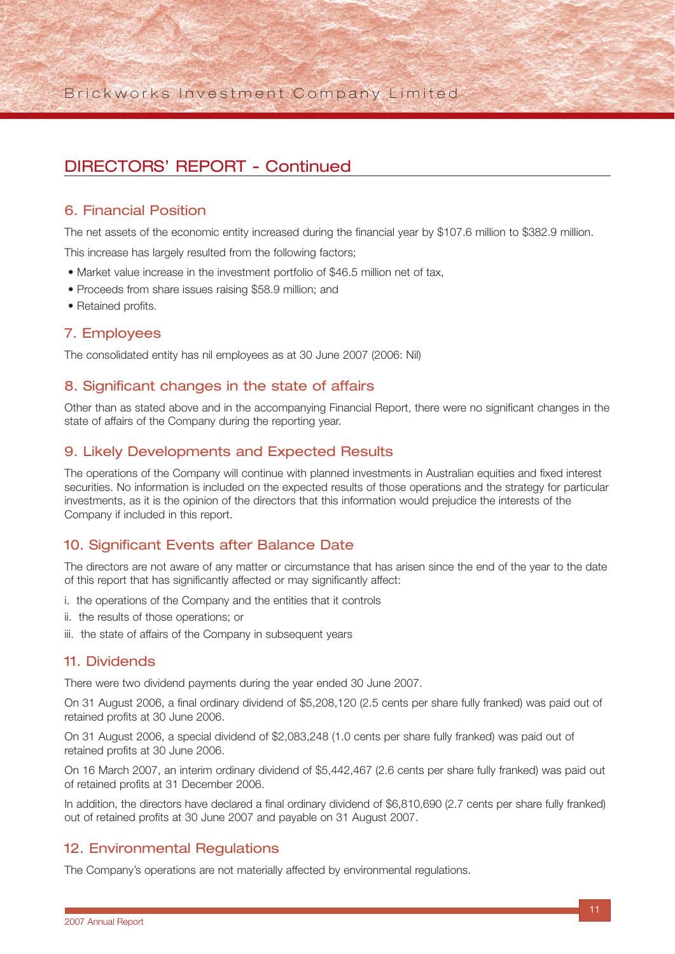Brickworks Investment Company Limited

## DIRECTORS' REPORT - Continued

### 6. Financial Position

The net assets of the economic entity increased during the financial year by \$107.6 million to \$382.9 million.

This increase has largely resulted from the following factors;

- Market value increase in the investment portfolio of \$46.5 million net of tax,
- Proceeds from share issues raising \$58.9 million; and
- Retained profits.

#### 7. Employees

The consolidated entity has nil employees as at 30 June 2007 (2006: Nil)

### 8. Significant changes in the state of affairs

Other than as stated above and in the accompanying Financial Report, there were no significant changes in the state of affairs of the Company during the reporting year.

### 9. Likely Developments and Expected Results

The operations of the Company will continue with planned investments in Australian equities and fixed interest securities. No information is included on the expected results of those operations and the strategy for particular investments, as it is the opinion of the directors that this information would prejudice the interests of the Company if included in this report.

### 10. Significant Events after Balance Date

The directors are not aware of any matter or circumstance that has arisen since the end of the year to the date of this report that has significantly affected or may significantly affect:

- i. the operations of the Company and the entities that it controls
- ii. the results of those operations; or
- iii. the state of affairs of the Company in subsequent years

#### 11. Dividends

There were two dividend payments during the year ended 30 June 2007.

On 31 August 2006, a final ordinary dividend of \$5,208,120 (2.5 cents per share fully franked) was paid out of retained profits at 30 June 2006.

On 31 August 2006, a special dividend of \$2,083,248 (1.0 cents per share fully franked) was paid out of retained profits at 30 June 2006.

On 16 March 2007, an interim ordinary dividend of \$5,442,467 (2.6 cents per share fully franked) was paid out of retained profits at 31 December 2006.

In addition, the directors have declared a final ordinary dividend of \$6,810,690 (2.7 cents per share fully franked) out of retained profits at 30 June 2007 and payable on 31 August 2007.

### 12. Environmental Regulations

The Company's operations are not materially affected by environmental regulations.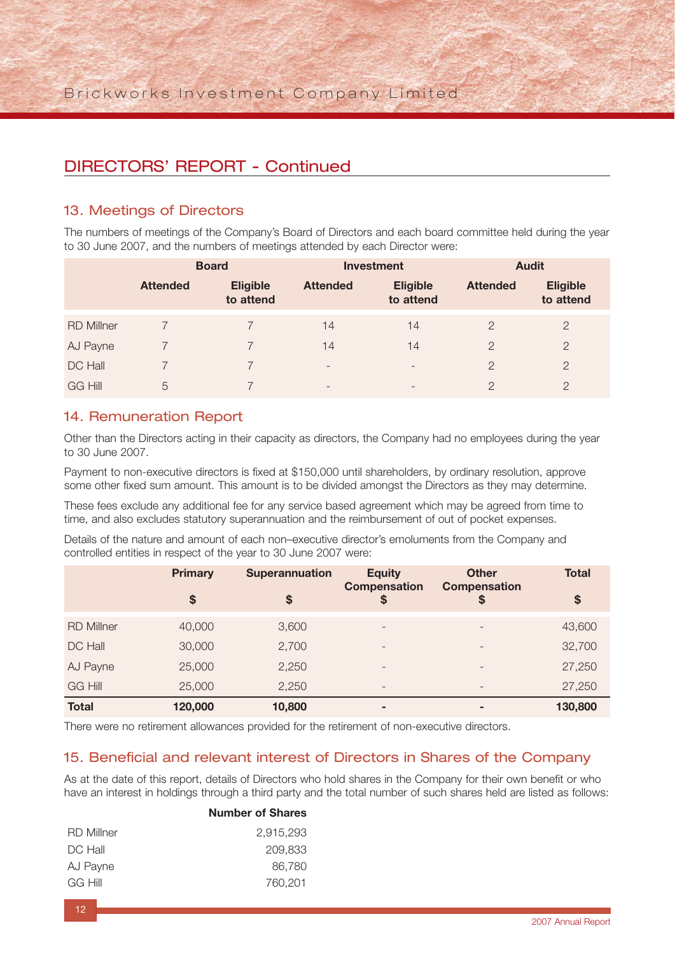## DIRECTORS' REPORT - Continued

### 13. Meetings of Directors

The numbers of meetings of the Company's Board of Directors and each board committee held during the year to 30 June 2007, and the numbers of meetings attended by each Director were:

|                   | <b>Board</b>    |                              |                          | <b>Investment</b>            | <b>Audit</b>    |                              |  |
|-------------------|-----------------|------------------------------|--------------------------|------------------------------|-----------------|------------------------------|--|
|                   | <b>Attended</b> | <b>Eligible</b><br>to attend | <b>Attended</b>          | <b>Eligible</b><br>to attend | <b>Attended</b> | <b>Eligible</b><br>to attend |  |
| <b>RD Millner</b> |                 |                              | 14                       | 14                           | $\overline{2}$  | $\overline{2}$               |  |
| AJ Payne          |                 |                              | 14                       | 14                           | $\overline{2}$  | $\overline{2}$               |  |
| DC Hall           |                 |                              | $\overline{\phantom{a}}$ | $\overline{\phantom{a}}$     | $\overline{2}$  | $\overline{2}$               |  |
| <b>GG Hill</b>    | 5               |                              | $\overline{\phantom{0}}$ | $\qquad \qquad \blacksquare$ | $\overline{2}$  | $\overline{2}$               |  |

### 14. Remuneration Report

Other than the Directors acting in their capacity as directors, the Company had no employees during the year to 30 June 2007.

Payment to non-executive directors is fixed at \$150,000 until shareholders, by ordinary resolution, approve some other fixed sum amount. This amount is to be divided amongst the Directors as they may determine.

These fees exclude any additional fee for any service based agreement which may be agreed from time to time, and also excludes statutory superannuation and the reimbursement of out of pocket expenses.

Details of the nature and amount of each non–executive director's emoluments from the Company and controlled entities in respect of the year to 30 June 2007 were:

|                   | <b>Primary</b> | <b>Superannuation</b> | <b>Equity</b><br><b>Compensation</b> | <b>Other</b><br><b>Compensation</b> | <b>Total</b> |
|-------------------|----------------|-----------------------|--------------------------------------|-------------------------------------|--------------|
|                   | \$             | \$                    | \$                                   | S                                   | \$           |
| <b>RD Millner</b> | 40,000         | 3,600                 | $\qquad \qquad -$                    | $\qquad \qquad -$                   | 43,600       |
| DC Hall           | 30,000         | 2,700                 | $\overline{\phantom{0}}$             |                                     | 32,700       |
| AJ Payne          | 25,000         | 2,250                 | $\overline{\phantom{0}}$             | $\qquad \qquad -$                   | 27,250       |
| <b>GG Hill</b>    | 25,000         | 2,250                 | $\overline{\phantom{0}}$             | $\qquad \qquad -$                   | 27,250       |
| <b>Total</b>      | 120,000        | 10,800                | $\sim$                               | -                                   | 130,800      |

There were no retirement allowances provided for the retirement of non-executive directors.

### 15. Beneficial and relevant interest of Directors in Shares of the Company

As at the date of this report, details of Directors who hold shares in the Company for their own benefit or who have an interest in holdings through a third party and the total number of such shares held are listed as follows:

#### **Number of Shares**

| <b>RD Millner</b> | 2.915.293 |
|-------------------|-----------|
| DC Hall           | 209,833   |
| AJ Payne          | 86,780    |
| GG Hill           | 760,201   |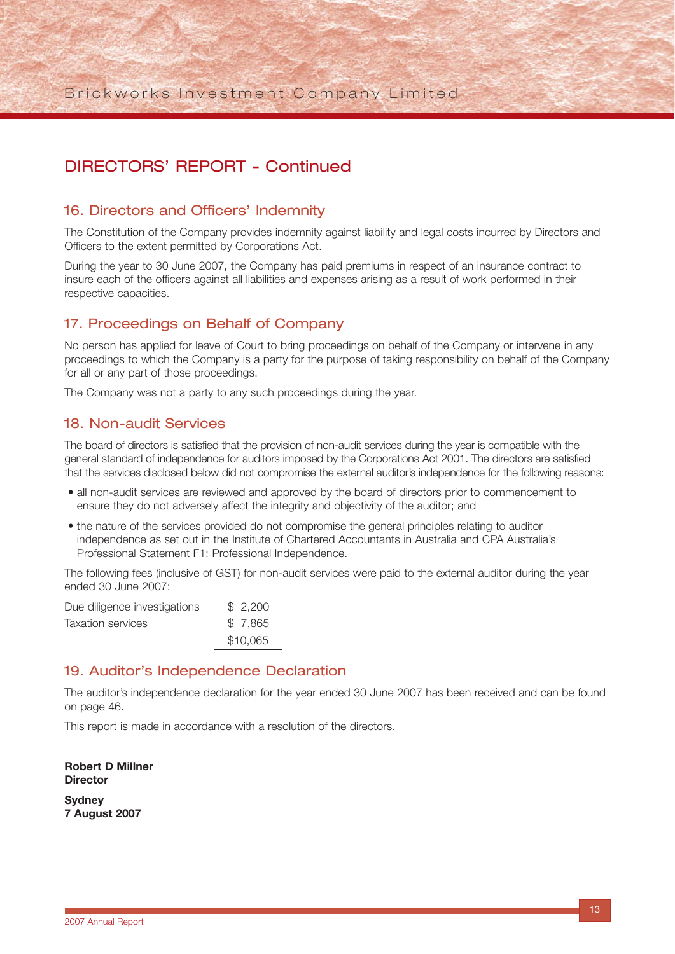## DIRECTORS' REPORT - Continued

### 16. Directors and Officers' Indemnity

The Constitution of the Company provides indemnity against liability and legal costs incurred by Directors and Officers to the extent permitted by Corporations Act.

During the year to 30 June 2007, the Company has paid premiums in respect of an insurance contract to insure each of the officers against all liabilities and expenses arising as a result of work performed in their respective capacities.

## 17. Proceedings on Behalf of Company

No person has applied for leave of Court to bring proceedings on behalf of the Company or intervene in any proceedings to which the Company is a party for the purpose of taking responsibility on behalf of the Company for all or any part of those proceedings.

The Company was not a party to any such proceedings during the year.

### 18. Non-audit Services

The board of directors is satisfied that the provision of non-audit services during the year is compatible with the general standard of independence for auditors imposed by the Corporations Act 2001. The directors are satisfied that the services disclosed below did not compromise the external auditor's independence for the following reasons:

- all non-audit services are reviewed and approved by the board of directors prior to commencement to ensure they do not adversely affect the integrity and objectivity of the auditor; and
- the nature of the services provided do not compromise the general principles relating to auditor independence as set out in the Institute of Chartered Accountants in Australia and CPA Australia's Professional Statement F1: Professional Independence.

The following fees (inclusive of GST) for non-audit services were paid to the external auditor during the year ended 30 June 2007:

| Due diligence investigations | \$2,200  |
|------------------------------|----------|
| Taxation services            | \$7,865  |
|                              | \$10,065 |

### 19. Auditor's Independence Declaration

The auditor's independence declaration for the year ended 30 June 2007 has been received and can be found on page 46.

This report is made in accordance with a resolution of the directors.

**Robert D Millner Director**

**Sydney 7 August 2007**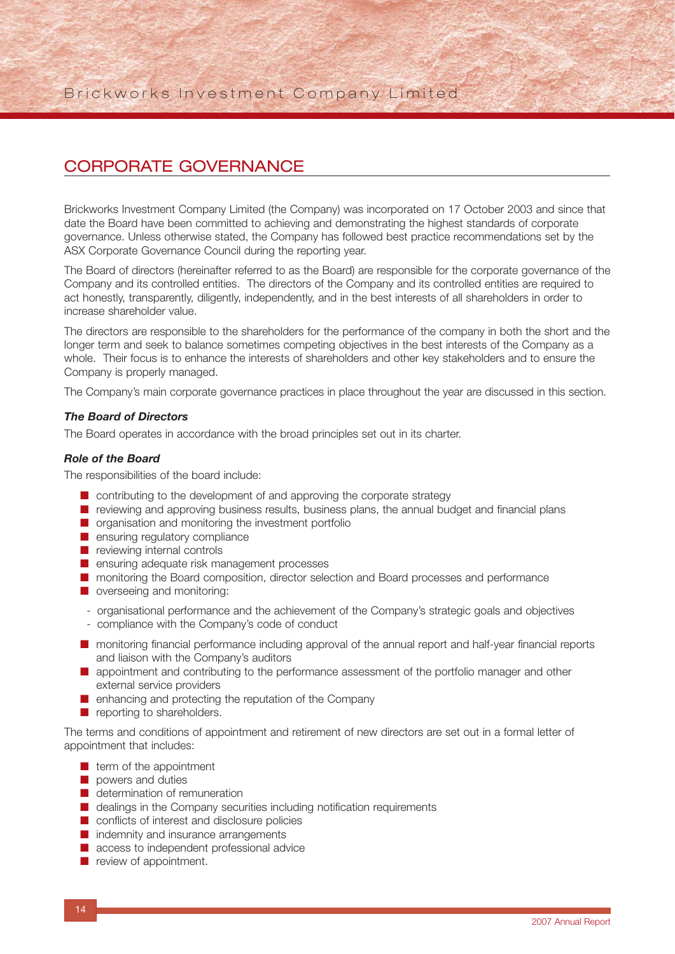## CORPORATE GOVERNANCE

Brickworks Investment Company Limited (the Company) was incorporated on 17 October 2003 and since that date the Board have been committed to achieving and demonstrating the highest standards of corporate governance. Unless otherwise stated, the Company has followed best practice recommendations set by the ASX Corporate Governance Council during the reporting year.

The Board of directors (hereinafter referred to as the Board) are responsible for the corporate governance of the Company and its controlled entities. The directors of the Company and its controlled entities are required to act honestly, transparently, diligently, independently, and in the best interests of all shareholders in order to increase shareholder value.

The directors are responsible to the shareholders for the performance of the company in both the short and the longer term and seek to balance sometimes competing objectives in the best interests of the Company as a whole. Their focus is to enhance the interests of shareholders and other key stakeholders and to ensure the Company is properly managed.

The Company's main corporate governance practices in place throughout the year are discussed in this section.

#### *The Board of Directors*

The Board operates in accordance with the broad principles set out in its charter.

#### *Role of the Board*

The responsibilities of the board include:

- contributing to the development of and approving the corporate strategy
- reviewing and approving business results, business plans, the annual budget and financial plans
- organisation and monitoring the investment portfolio
- ensuring regulatory compliance
- reviewing internal controls
- ensuring adequate risk management processes
- monitoring the Board composition, director selection and Board processes and performance
- overseeing and monitoring:
- organisational performance and the achievement of the Company's strategic goals and objectives
- compliance with the Company's code of conduct
- monitoring financial performance including approval of the annual report and half-year financial reports and liaison with the Company's auditors
- appointment and contributing to the performance assessment of the portfolio manager and other external service providers
- enhancing and protecting the reputation of the Company
- reporting to shareholders.

The terms and conditions of appointment and retirement of new directors are set out in a formal letter of appointment that includes:

- term of the appointment
- powers and duties
- determination of remuneration
- dealings in the Company securities including notification requirements
- conflicts of interest and disclosure policies
- indemnity and insurance arrangements
- access to independent professional advice
- review of appointment.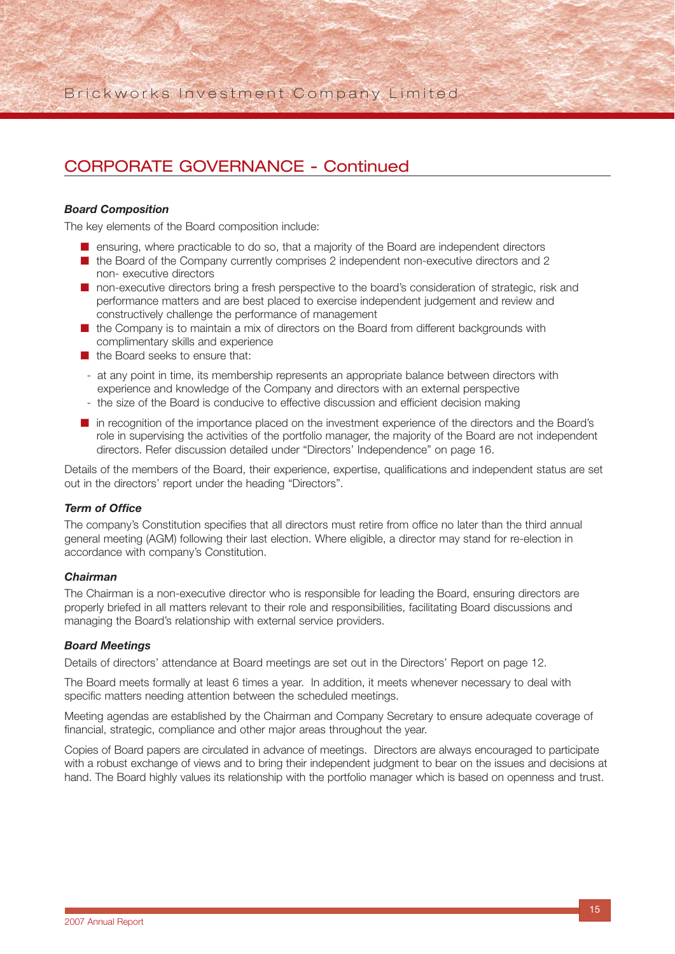#### *Board Composition*

The key elements of the Board composition include:

- ensuring, where practicable to do so, that a majority of the Board are independent directors
- the Board of the Company currently comprises 2 independent non-executive directors and 2 non- executive directors
- non-executive directors bring a fresh perspective to the board's consideration of strategic, risk and performance matters and are best placed to exercise independent judgement and review and constructively challenge the performance of management
- the Company is to maintain a mix of directors on the Board from different backgrounds with complimentary skills and experience
- the Board seeks to ensure that:
- at any point in time, its membership represents an appropriate balance between directors with experience and knowledge of the Company and directors with an external perspective
- the size of the Board is conducive to effective discussion and efficient decision making
- in recognition of the importance placed on the investment experience of the directors and the Board's role in supervising the activities of the portfolio manager, the majority of the Board are not independent directors. Refer discussion detailed under "Directors' Independence" on page 16.

Details of the members of the Board, their experience, expertise, qualifications and independent status are set out in the directors' report under the heading "Directors".

#### *Term of Office*

The company's Constitution specifies that all directors must retire from office no later than the third annual general meeting (AGM) following their last election. Where eligible, a director may stand for re-election in accordance with company's Constitution.

#### *Chairman*

The Chairman is a non-executive director who is responsible for leading the Board, ensuring directors are properly briefed in all matters relevant to their role and responsibilities, facilitating Board discussions and managing the Board's relationship with external service providers.

#### *Board Meetings*

Details of directors' attendance at Board meetings are set out in the Directors' Report on page 12.

The Board meets formally at least 6 times a year. In addition, it meets whenever necessary to deal with specific matters needing attention between the scheduled meetings.

Meeting agendas are established by the Chairman and Company Secretary to ensure adequate coverage of financial, strategic, compliance and other major areas throughout the year.

Copies of Board papers are circulated in advance of meetings. Directors are always encouraged to participate with a robust exchange of views and to bring their independent judgment to bear on the issues and decisions at hand. The Board highly values its relationship with the portfolio manager which is based on openness and trust.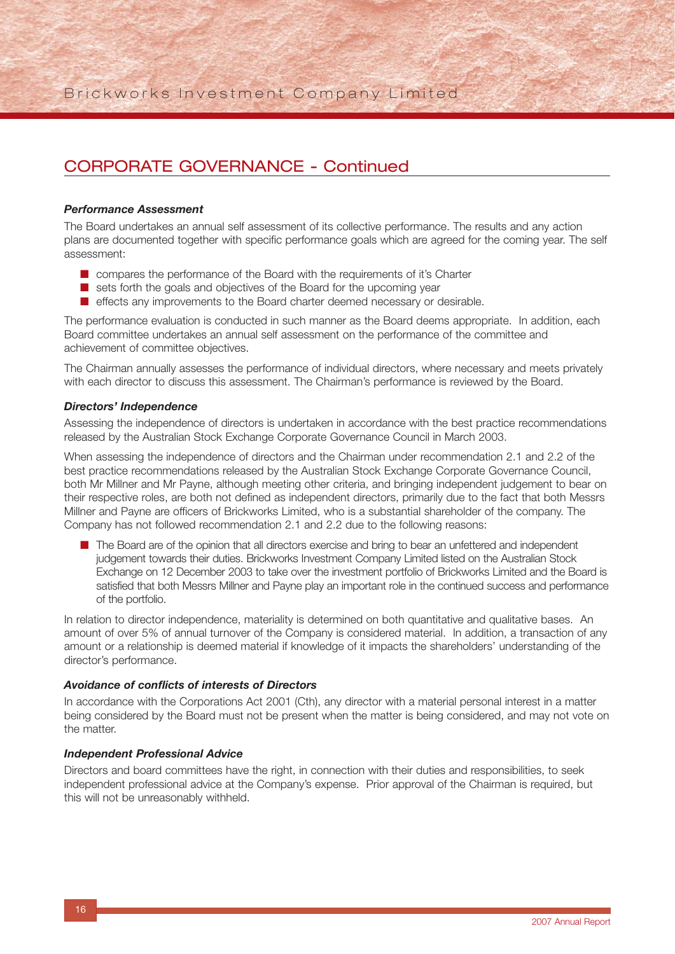#### *Performance Assessment*

The Board undertakes an annual self assessment of its collective performance. The results and any action plans are documented together with specific performance goals which are agreed for the coming year. The self assessment:

- compares the performance of the Board with the requirements of it's Charter
- sets forth the goals and objectives of the Board for the upcoming year
- effects any improvements to the Board charter deemed necessary or desirable.

The performance evaluation is conducted in such manner as the Board deems appropriate. In addition, each Board committee undertakes an annual self assessment on the performance of the committee and achievement of committee objectives.

The Chairman annually assesses the performance of individual directors, where necessary and meets privately with each director to discuss this assessment. The Chairman's performance is reviewed by the Board.

#### *Directors' Independence*

Assessing the independence of directors is undertaken in accordance with the best practice recommendations released by the Australian Stock Exchange Corporate Governance Council in March 2003.

When assessing the independence of directors and the Chairman under recommendation 2.1 and 2.2 of the best practice recommendations released by the Australian Stock Exchange Corporate Governance Council, both Mr Millner and Mr Payne, although meeting other criteria, and bringing independent judgement to bear on their respective roles, are both not defined as independent directors, primarily due to the fact that both Messrs Millner and Payne are officers of Brickworks Limited, who is a substantial shareholder of the company. The Company has not followed recommendation 2.1 and 2.2 due to the following reasons:

■ The Board are of the opinion that all directors exercise and bring to bear an unfettered and independent judgement towards their duties. Brickworks Investment Company Limited listed on the Australian Stock Exchange on 12 December 2003 to take over the investment portfolio of Brickworks Limited and the Board is satisfied that both Messrs Millner and Payne play an important role in the continued success and performance of the portfolio.

In relation to director independence, materiality is determined on both quantitative and qualitative bases. An amount of over 5% of annual turnover of the Company is considered material. In addition, a transaction of any amount or a relationship is deemed material if knowledge of it impacts the shareholders' understanding of the director's performance.

#### *Avoidance of conflicts of interests of Directors*

In accordance with the Corporations Act 2001 (Cth), any director with a material personal interest in a matter being considered by the Board must not be present when the matter is being considered, and may not vote on the matter.

#### *Independent Professional Advice*

Directors and board committees have the right, in connection with their duties and responsibilities, to seek independent professional advice at the Company's expense. Prior approval of the Chairman is required, but this will not be unreasonably withheld.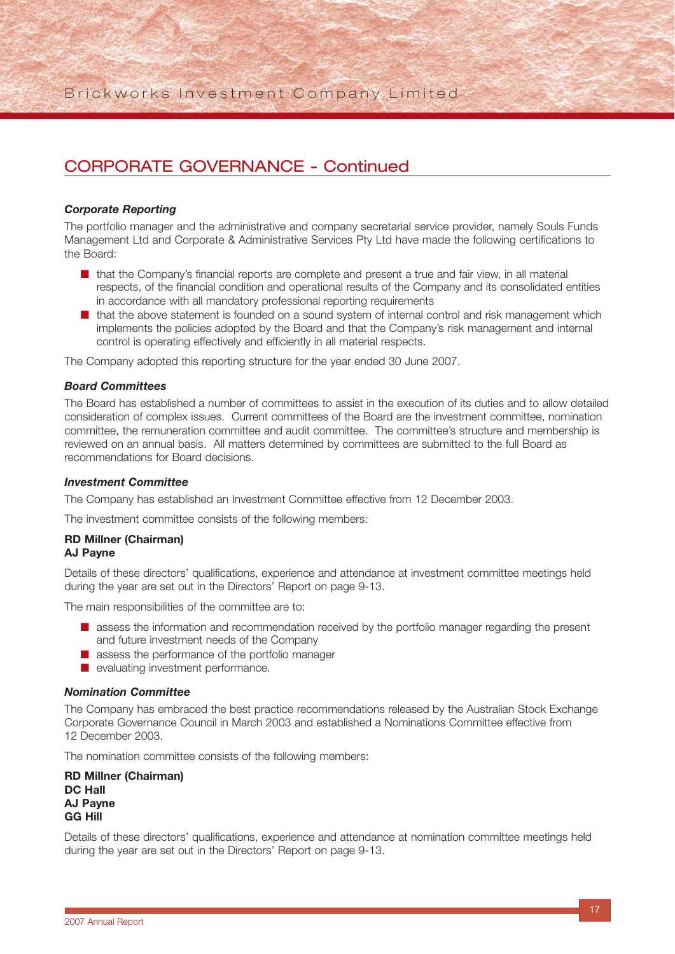#### *Corporate Reporting*

The portfolio manager and the administrative and company secretarial service provider, namely Souls Funds Management Ltd and Corporate & Administrative Services Pty Ltd have made the following certifications to the Board:

- that the Company's financial reports are complete and present a true and fair view, in all material respects, of the financial condition and operational results of the Company and its consolidated entities in accordance with all mandatory professional reporting requirements
- that the above statement is founded on a sound system of internal control and risk management which implements the policies adopted by the Board and that the Company's risk management and internal control is operating effectively and efficiently in all material respects.

The Company adopted this reporting structure for the year ended 30 June 2007.

#### *Board Committees*

The Board has established a number of committees to assist in the execution of its duties and to allow detailed consideration of complex issues. Current committees of the Board are the investment committee, nomination committee, the remuneration committee and audit committee. The committee's structure and membership is reviewed on an annual basis. All matters determined by committees are submitted to the full Board as recommendations for Board decisions.

#### *Investment Committee*

The Company has established an Investment Committee effective from 12 December 2003.

The investment committee consists of the following members:

#### **RD Millner (Chairman) AJ Payne**

Details of these directors' qualifications, experience and attendance at investment committee meetings held during the year are set out in the Directors' Report on page 9-13.

The main responsibilities of the committee are to:

- assess the information and recommendation received by the portfolio manager regarding the present and future investment needs of the Company
- assess the performance of the portfolio manager
- evaluating investment performance.

#### *Nomination Committee*

The Company has embraced the best practice recommendations released by the Australian Stock Exchange Corporate Governance Council in March 2003 and established a Nominations Committee effective from 12 December 2003.

The nomination committee consists of the following members:

**RD Millner (Chairman) DC Hall AJ Payne GG Hill**

Details of these directors' qualifications, experience and attendance at nomination committee meetings held during the year are set out in the Directors' Report on page 9-13.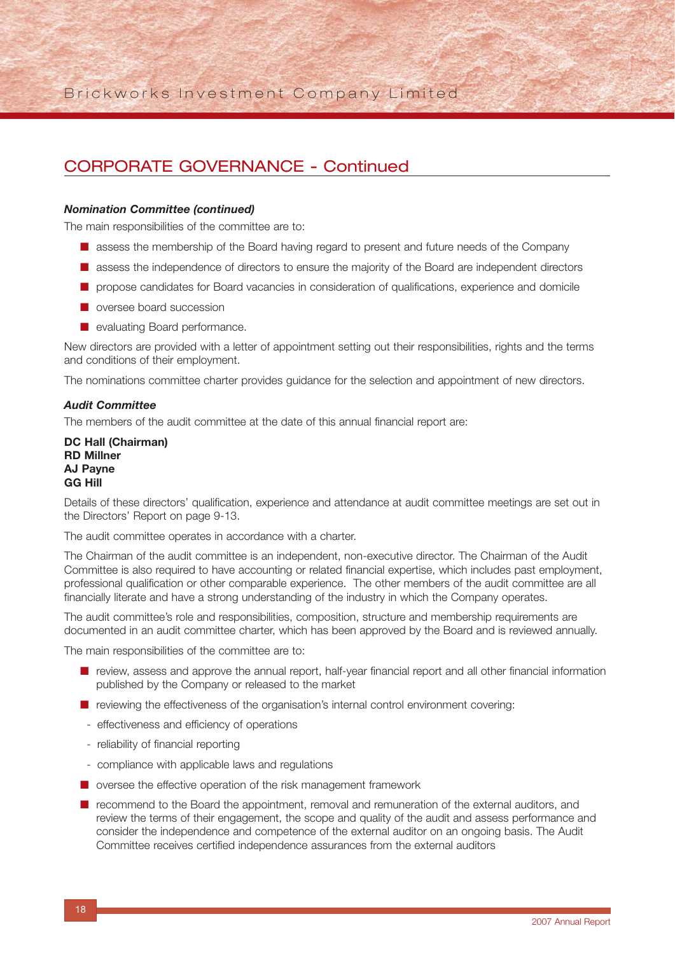#### *Nomination Committee (continued)*

The main responsibilities of the committee are to:

- assess the membership of the Board having regard to present and future needs of the Company
- assess the independence of directors to ensure the majority of the Board are independent directors
- propose candidates for Board vacancies in consideration of qualifications, experience and domicile
- oversee board succession
- evaluating Board performance.

New directors are provided with a letter of appointment setting out their responsibilities, rights and the terms and conditions of their employment.

The nominations committee charter provides guidance for the selection and appointment of new directors.

#### *Audit Committee*

The members of the audit committee at the date of this annual financial report are:

**DC Hall (Chairman) RD Millner AJ Payne GG Hill**

Details of these directors' qualification, experience and attendance at audit committee meetings are set out in the Directors' Report on page 9-13.

The audit committee operates in accordance with a charter.

The Chairman of the audit committee is an independent, non-executive director. The Chairman of the Audit Committee is also required to have accounting or related financial expertise, which includes past employment, professional qualification or other comparable experience. The other members of the audit committee are all financially literate and have a strong understanding of the industry in which the Company operates.

The audit committee's role and responsibilities, composition, structure and membership requirements are documented in an audit committee charter, which has been approved by the Board and is reviewed annually.

The main responsibilities of the committee are to:

- review, assess and approve the annual report, half-year financial report and all other financial information published by the Company or released to the market
- reviewing the effectiveness of the organisation's internal control environment covering:
- effectiveness and efficiency of operations
- reliability of financial reporting
- compliance with applicable laws and regulations
- oversee the effective operation of the risk management framework
- recommend to the Board the appointment, removal and remuneration of the external auditors, and review the terms of their engagement, the scope and quality of the audit and assess performance and consider the independence and competence of the external auditor on an ongoing basis. The Audit Committee receives certified independence assurances from the external auditors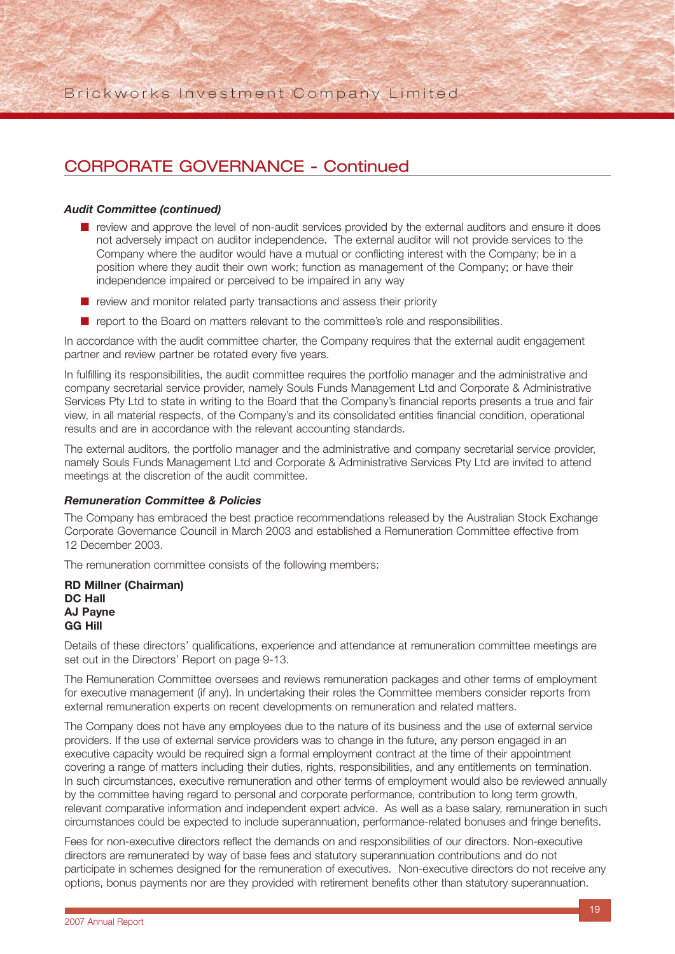#### *Audit Committee (continued)*

- review and approve the level of non-audit services provided by the external auditors and ensure it does not adversely impact on auditor independence. The external auditor will not provide services to the Company where the auditor would have a mutual or conflicting interest with the Company; be in a position where they audit their own work; function as management of the Company; or have their independence impaired or perceived to be impaired in any way
- review and monitor related party transactions and assess their priority
- report to the Board on matters relevant to the committee's role and responsibilities.

In accordance with the audit committee charter, the Company requires that the external audit engagement partner and review partner be rotated every five years.

In fulfilling its responsibilities, the audit committee requires the portfolio manager and the administrative and company secretarial service provider, namely Souls Funds Management Ltd and Corporate & Administrative Services Pty Ltd to state in writing to the Board that the Company's financial reports presents a true and fair view, in all material respects, of the Company's and its consolidated entities financial condition, operational results and are in accordance with the relevant accounting standards.

The external auditors, the portfolio manager and the administrative and company secretarial service provider, namely Souls Funds Management Ltd and Corporate & Administrative Services Pty Ltd are invited to attend meetings at the discretion of the audit committee.

#### *Remuneration Committee & Policies*

The Company has embraced the best practice recommendations released by the Australian Stock Exchange Corporate Governance Council in March 2003 and established a Remuneration Committee effective from 12 December 2003.

The remuneration committee consists of the following members:

**RD Millner (Chairman) DC Hall AJ Payne GG Hill**

Details of these directors' qualifications, experience and attendance at remuneration committee meetings are set out in the Directors' Report on page 9-13.

The Remuneration Committee oversees and reviews remuneration packages and other terms of employment for executive management (if any). In undertaking their roles the Committee members consider reports from external remuneration experts on recent developments on remuneration and related matters.

The Company does not have any employees due to the nature of its business and the use of external service providers. If the use of external service providers was to change in the future, any person engaged in an executive capacity would be required sign a formal employment contract at the time of their appointment covering a range of matters including their duties, rights, responsibilities, and any entitlements on termination. In such circumstances, executive remuneration and other terms of employment would also be reviewed annually by the committee having regard to personal and corporate performance, contribution to long term growth, relevant comparative information and independent expert advice. As well as a base salary, remuneration in such circumstances could be expected to include superannuation, performance-related bonuses and fringe benefits.

Fees for non-executive directors reflect the demands on and responsibilities of our directors. Non-executive directors are remunerated by way of base fees and statutory superannuation contributions and do not participate in schemes designed for the remuneration of executives. Non-executive directors do not receive any options, bonus payments nor are they provided with retirement benefits other than statutory superannuation.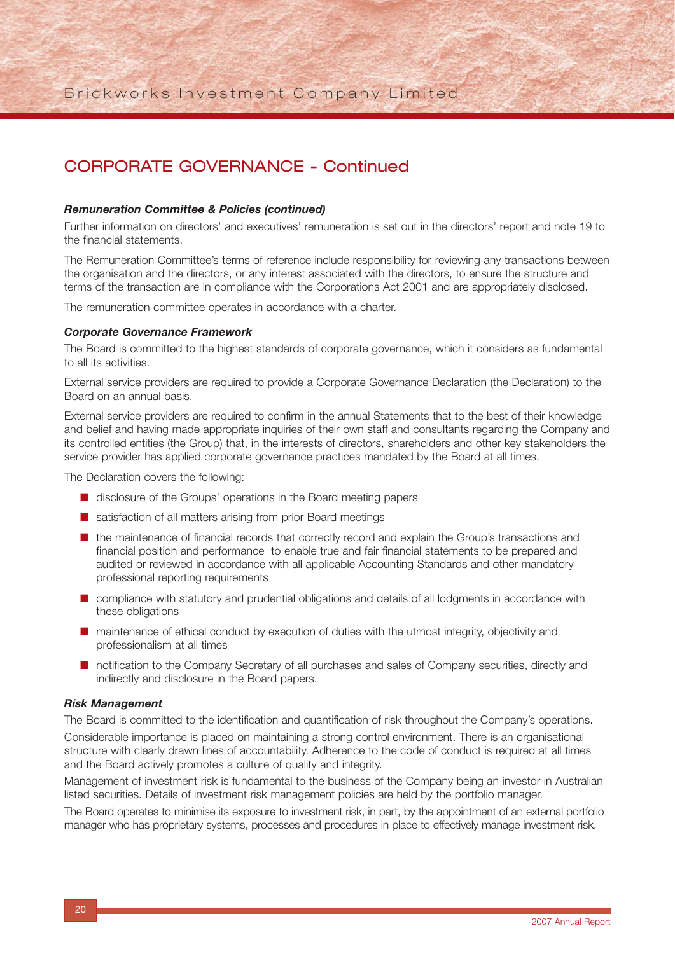#### *Remuneration Committee & Policies (continued)*

Further information on directors' and executives' remuneration is set out in the directors' report and note 19 to the financial statements.

The Remuneration Committee's terms of reference include responsibility for reviewing any transactions between the organisation and the directors, or any interest associated with the directors, to ensure the structure and terms of the transaction are in compliance with the Corporations Act 2001 and are appropriately disclosed.

The remuneration committee operates in accordance with a charter.

#### *Corporate Governance Framework*

The Board is committed to the highest standards of corporate governance, which it considers as fundamental to all its activities.

External service providers are required to provide a Corporate Governance Declaration (the Declaration) to the Board on an annual basis.

External service providers are required to confirm in the annual Statements that to the best of their knowledge and belief and having made appropriate inquiries of their own staff and consultants regarding the Company and its controlled entities (the Group) that, in the interests of directors, shareholders and other key stakeholders the service provider has applied corporate governance practices mandated by the Board at all times.

The Declaration covers the following:

- disclosure of the Groups' operations in the Board meeting papers
- satisfaction of all matters arising from prior Board meetings
- the maintenance of financial records that correctly record and explain the Group's transactions and financial position and performance to enable true and fair financial statements to be prepared and audited or reviewed in accordance with all applicable Accounting Standards and other mandatory professional reporting requirements
- compliance with statutory and prudential obligations and details of all lodgments in accordance with these obligations
- maintenance of ethical conduct by execution of duties with the utmost integrity, objectivity and professionalism at all times
- notification to the Company Secretary of all purchases and sales of Company securities, directly and indirectly and disclosure in the Board papers.

#### *Risk Management*

The Board is committed to the identification and quantification of risk throughout the Company's operations. Considerable importance is placed on maintaining a strong control environment. There is an organisational structure with clearly drawn lines of accountability. Adherence to the code of conduct is required at all times and the Board actively promotes a culture of quality and integrity.

Management of investment risk is fundamental to the business of the Company being an investor in Australian listed securities. Details of investment risk management policies are held by the portfolio manager.

The Board operates to minimise its exposure to investment risk, in part, by the appointment of an external portfolio manager who has proprietary systems, processes and procedures in place to effectively manage investment risk.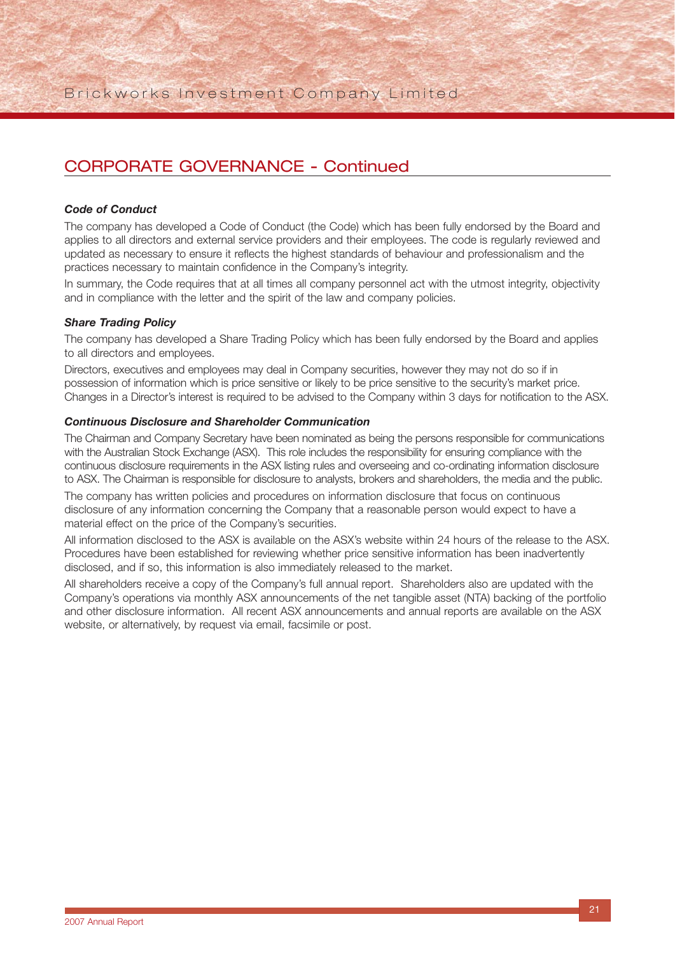#### *Code of Conduct*

The company has developed a Code of Conduct (the Code) which has been fully endorsed by the Board and applies to all directors and external service providers and their employees. The code is regularly reviewed and updated as necessary to ensure it reflects the highest standards of behaviour and professionalism and the practices necessary to maintain confidence in the Company's integrity.

In summary, the Code requires that at all times all company personnel act with the utmost integrity, objectivity and in compliance with the letter and the spirit of the law and company policies.

#### *Share Trading Policy*

The company has developed a Share Trading Policy which has been fully endorsed by the Board and applies to all directors and employees.

Directors, executives and employees may deal in Company securities, however they may not do so if in possession of information which is price sensitive or likely to be price sensitive to the security's market price. Changes in a Director's interest is required to be advised to the Company within 3 days for notification to the ASX.

#### *Continuous Disclosure and Shareholder Communication*

The Chairman and Company Secretary have been nominated as being the persons responsible for communications with the Australian Stock Exchange (ASX). This role includes the responsibility for ensuring compliance with the continuous disclosure requirements in the ASX listing rules and overseeing and co-ordinating information disclosure to ASX. The Chairman is responsible for disclosure to analysts, brokers and shareholders, the media and the public.

The company has written policies and procedures on information disclosure that focus on continuous disclosure of any information concerning the Company that a reasonable person would expect to have a material effect on the price of the Company's securities.

All information disclosed to the ASX is available on the ASX's website within 24 hours of the release to the ASX. Procedures have been established for reviewing whether price sensitive information has been inadvertently disclosed, and if so, this information is also immediately released to the market.

All shareholders receive a copy of the Company's full annual report. Shareholders also are updated with the Company's operations via monthly ASX announcements of the net tangible asset (NTA) backing of the portfolio and other disclosure information. All recent ASX announcements and annual reports are available on the ASX website, or alternatively, by request via email, facsimile or post.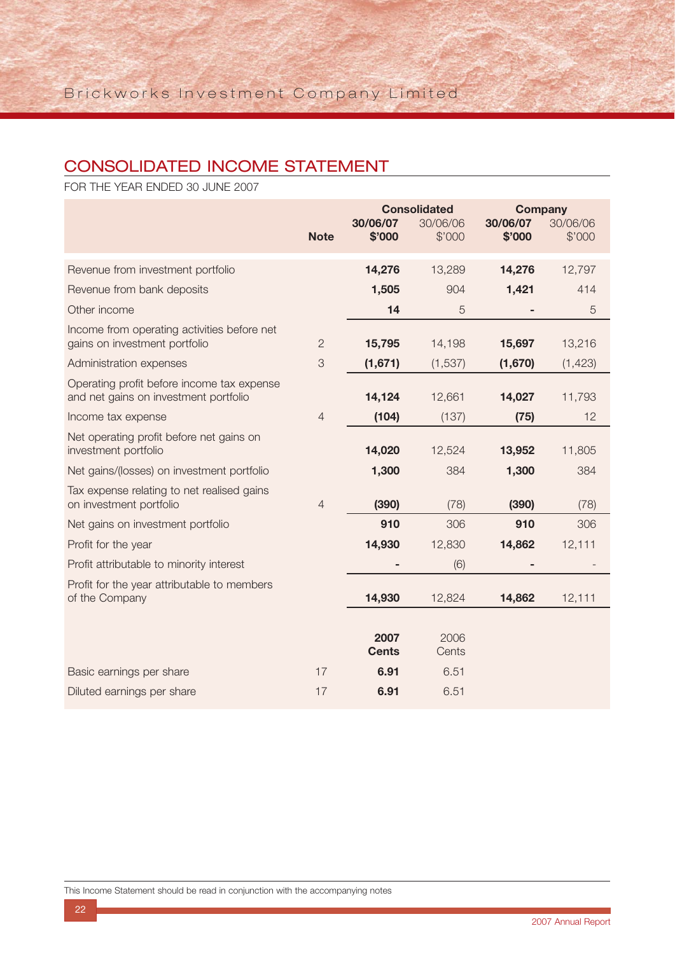## CONSOLIDATED INCOME STATEMENT

FOR THE YEAR ENDED 30 JUNE 2007

|                                                                                     |                | <b>Consolidated</b>  |                    | <b>Company</b>     |                    |
|-------------------------------------------------------------------------------------|----------------|----------------------|--------------------|--------------------|--------------------|
|                                                                                     | <b>Note</b>    | 30/06/07<br>\$'000   | 30/06/06<br>\$'000 | 30/06/07<br>\$'000 | 30/06/06<br>\$'000 |
| Revenue from investment portfolio                                                   |                | 14,276               | 13,289             | 14,276             | 12,797             |
| Revenue from bank deposits                                                          |                | 1,505                | 904                | 1,421              | 414                |
| Other income                                                                        |                | 14                   | 5                  |                    | 5                  |
| Income from operating activities before net<br>gains on investment portfolio        | $\overline{2}$ | 15,795               | 14,198             | 15,697             | 13,216             |
| Administration expenses                                                             | 3              | (1,671)              | (1,537)            | (1,670)            | (1, 423)           |
| Operating profit before income tax expense<br>and net gains on investment portfolio |                | 14,124               | 12,661             | 14,027             | 11,793             |
| Income tax expense                                                                  | $\overline{4}$ | (104)                | (137)              | (75)               | 12                 |
| Net operating profit before net gains on<br>investment portfolio                    |                | 14,020               | 12,524             | 13,952             | 11,805             |
| Net gains/(losses) on investment portfolio                                          |                | 1,300                | 384                | 1,300              | 384                |
| Tax expense relating to net realised gains<br>on investment portfolio               | $\overline{4}$ | (390)                | (78)               | (390)              | (78)               |
| Net gains on investment portfolio                                                   |                | 910                  | 306                | 910                | 306                |
| Profit for the year                                                                 |                | 14,930               | 12,830             | 14,862             | 12,111             |
| Profit attributable to minority interest                                            |                |                      | (6)                |                    |                    |
| Profit for the year attributable to members<br>of the Company                       |                | 14,930               | 12,824             | 14,862             | 12,111             |
|                                                                                     |                | 2007<br><b>Cents</b> | 2006<br>Cents      |                    |                    |
| Basic earnings per share                                                            | 17             | 6.91                 | 6.51               |                    |                    |
| Diluted earnings per share                                                          | 17             | 6.91                 | 6.51               |                    |                    |

This Income Statement should be read in conjunction with the accompanying notes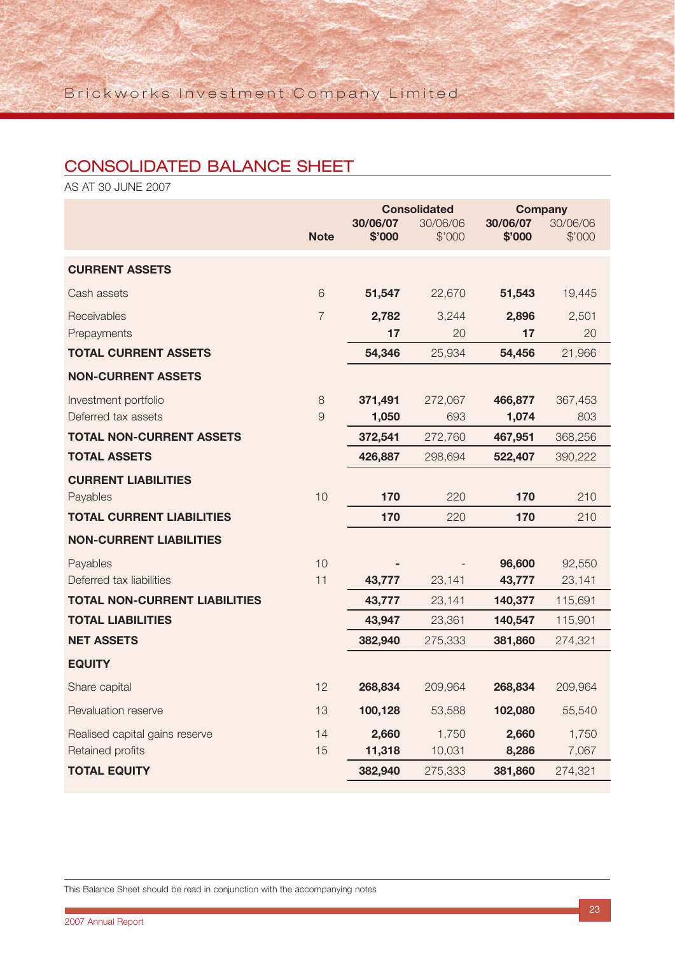## CONSOLIDATED BALANCE SHEET

AS AT 30 JUNE 2007

|                                      |                | <b>Consolidated</b><br>30/06/07<br>30/06/06 |         | <b>Company</b><br>30/06/07<br>30/06/06 |         |
|--------------------------------------|----------------|---------------------------------------------|---------|----------------------------------------|---------|
|                                      | <b>Note</b>    | \$'000                                      | \$'000  | \$'000                                 | \$'000  |
| <b>CURRENT ASSETS</b>                |                |                                             |         |                                        |         |
| Cash assets                          | 6              | 51,547                                      | 22,670  | 51,543                                 | 19,445  |
| Receivables                          | $\overline{7}$ | 2,782                                       | 3,244   | 2,896                                  | 2,501   |
| Prepayments                          |                | 17                                          | 20      | 17                                     | 20      |
| <b>TOTAL CURRENT ASSETS</b>          |                | 54,346                                      | 25,934  | 54,456                                 | 21,966  |
| <b>NON-CURRENT ASSETS</b>            |                |                                             |         |                                        |         |
| Investment portfolio                 | 8              | 371,491                                     | 272,067 | 466,877                                | 367,453 |
| Deferred tax assets                  | 9              | 1,050                                       | 693     | 1,074                                  | 803     |
| <b>TOTAL NON-CURRENT ASSETS</b>      |                | 372,541                                     | 272,760 | 467,951                                | 368,256 |
| <b>TOTAL ASSETS</b>                  |                | 426,887                                     | 298,694 | 522,407                                | 390,222 |
| <b>CURRENT LIABILITIES</b>           |                |                                             |         |                                        |         |
| Payables                             | 10             | 170                                         | 220     | 170                                    | 210     |
| <b>TOTAL CURRENT LIABILITIES</b>     |                | 170                                         | 220     | 170                                    | 210     |
| <b>NON-CURRENT LIABILITIES</b>       |                |                                             |         |                                        |         |
| Payables                             | 10             |                                             |         | 96,600                                 | 92,550  |
| Deferred tax liabilities             | 11             | 43,777                                      | 23,141  | 43,777                                 | 23,141  |
| <b>TOTAL NON-CURRENT LIABILITIES</b> |                | 43,777                                      | 23,141  | 140,377                                | 115,691 |
| <b>TOTAL LIABILITIES</b>             |                | 43,947                                      | 23,361  | 140,547                                | 115,901 |
| <b>NET ASSETS</b>                    |                | 382,940                                     | 275,333 | 381,860                                | 274,321 |
| <b>EQUITY</b>                        |                |                                             |         |                                        |         |
| Share capital                        | 12             | 268,834                                     | 209,964 | 268,834                                | 209,964 |
| Revaluation reserve                  | 13             | 100,128                                     | 53,588  | 102,080                                | 55,540  |
| Realised capital gains reserve       | 14             | 2,660                                       | 1,750   | 2,660                                  | 1,750   |
| Retained profits                     | 15             | 11,318                                      | 10,031  | 8,286                                  | 7,067   |
| <b>TOTAL EQUITY</b>                  |                | 382,940                                     | 275,333 | 381,860                                | 274,321 |

This Balance Sheet should be read in conjunction with the accompanying notes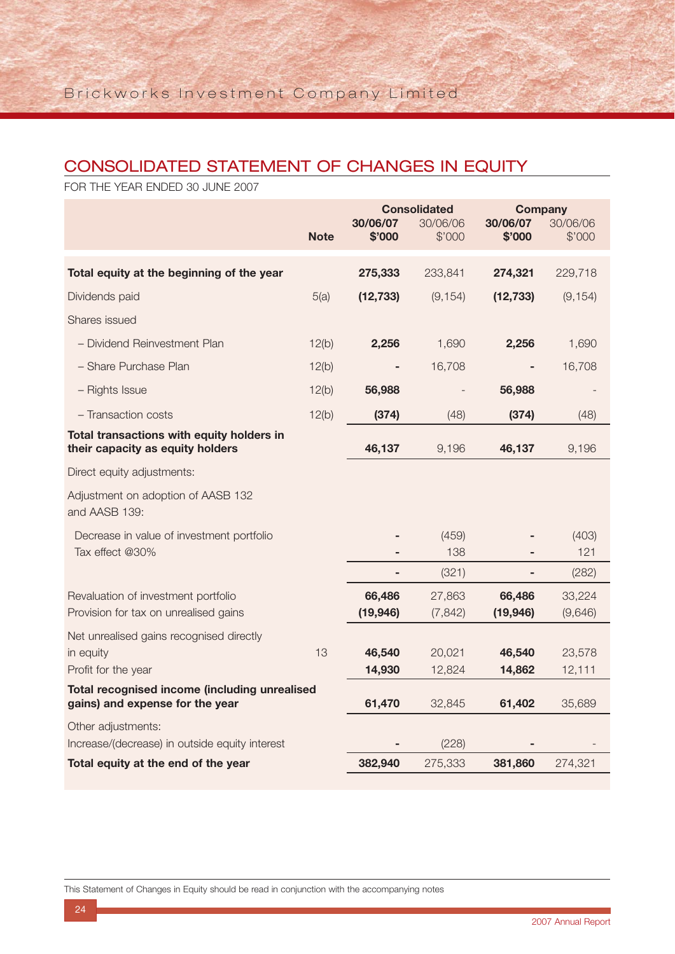## CONSOLIDATED STATEMENT OF CHANGES IN EQUITY

FOR THE YEAR ENDED 30 JUNE 2007

|                                                                                  |             | <b>Consolidated</b><br>30/06/07<br>30/06/06 |                  | <b>Company</b><br>30/06/07 | 30/06/06         |
|----------------------------------------------------------------------------------|-------------|---------------------------------------------|------------------|----------------------------|------------------|
|                                                                                  | <b>Note</b> | \$'000                                      | \$'000           | \$'000                     | \$'000           |
| Total equity at the beginning of the year                                        |             | 275,333                                     | 233,841          | 274,321                    | 229,718          |
| Dividends paid                                                                   | 5(a)        | (12, 733)                                   | (9, 154)         | (12, 733)                  | (9, 154)         |
| Shares issued                                                                    |             |                                             |                  |                            |                  |
| - Dividend Reinvestment Plan                                                     | 12(b)       | 2,256                                       | 1,690            | 2,256                      | 1,690            |
| - Share Purchase Plan                                                            | 12(b)       |                                             | 16,708           |                            | 16,708           |
| - Rights Issue                                                                   | 12(b)       | 56,988                                      |                  | 56,988                     |                  |
| - Transaction costs                                                              | 12(b)       | (374)                                       | (48)             | (374)                      | (48)             |
| Total transactions with equity holders in<br>their capacity as equity holders    |             | 46,137                                      | 9,196            | 46,137                     | 9,196            |
| Direct equity adjustments:                                                       |             |                                             |                  |                            |                  |
| Adjustment on adoption of AASB 132<br>and AASB 139:                              |             |                                             |                  |                            |                  |
| Decrease in value of investment portfolio<br>Tax effect @30%                     |             |                                             | (459)<br>138     |                            | (403)<br>121     |
|                                                                                  |             | ٠                                           | (321)            |                            | (282)            |
| Revaluation of investment portfolio                                              |             | 66,486                                      | 27,863           | 66,486                     | 33,224           |
| Provision for tax on unrealised gains                                            |             | (19, 946)                                   | (7, 842)         | (19, 946)                  | (9,646)          |
| Net unrealised gains recognised directly                                         |             |                                             |                  |                            |                  |
| in equity<br>Profit for the year                                                 | 13          | 46,540<br>14,930                            | 20,021<br>12,824 | 46,540<br>14,862           | 23,578<br>12,111 |
| Total recognised income (including unrealised<br>gains) and expense for the year |             | 61,470                                      | 32,845           | 61,402                     | 35,689           |
| Other adjustments:                                                               |             |                                             |                  |                            |                  |
| Increase/(decrease) in outside equity interest                                   |             |                                             | (228)            |                            |                  |
| Total equity at the end of the year                                              |             | 382,940                                     | 275,333          | 381,860                    | 274,321          |

This Statement of Changes in Equity should be read in conjunction with the accompanying notes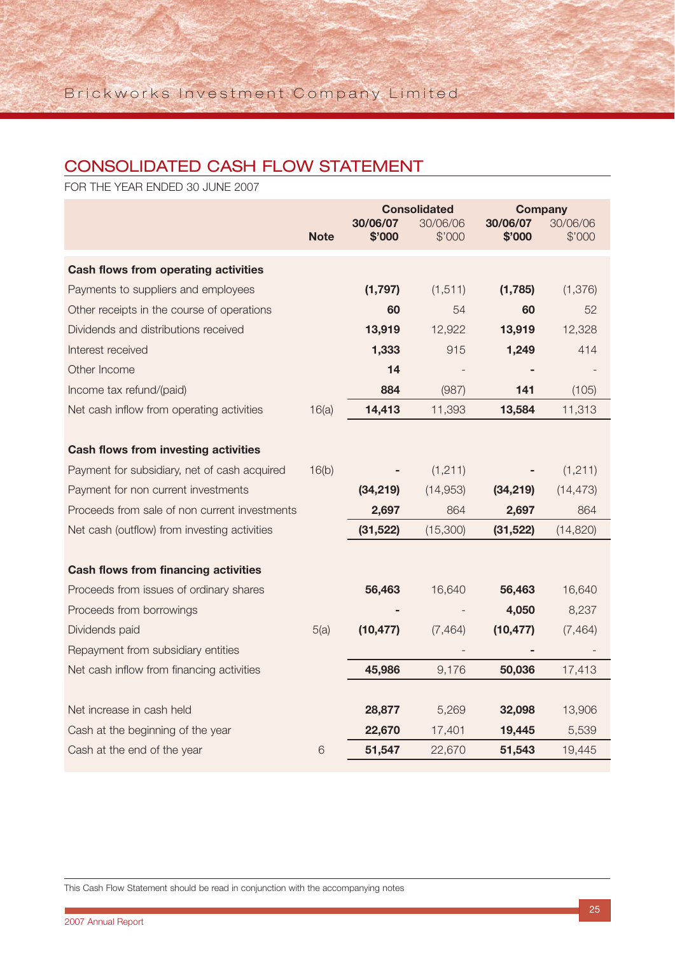## CONSOLIDATED CASH FLOW STATEMENT

FOR THE YEAR ENDED 30 JUNE 2007

|                                               |             |                    | <b>Consolidated</b> | <b>Company</b>     |                    |
|-----------------------------------------------|-------------|--------------------|---------------------|--------------------|--------------------|
|                                               | <b>Note</b> | 30/06/07<br>\$'000 | 30/06/06<br>\$'000  | 30/06/07<br>\$'000 | 30/06/06<br>\$'000 |
|                                               |             |                    |                     |                    |                    |
| Cash flows from operating activities          |             |                    |                     |                    |                    |
| Payments to suppliers and employees           |             | (1,797)            | (1, 511)            | (1,785)            | (1, 376)           |
| Other receipts in the course of operations    |             | 60                 | 54                  | 60                 | 52                 |
| Dividends and distributions received          |             | 13,919             | 12,922              | 13,919             | 12,328             |
| Interest received                             |             | 1,333              | 915                 | 1,249              | 414                |
| Other Income                                  |             | 14                 |                     |                    |                    |
| Income tax refund/(paid)                      |             | 884                | (987)               | 141                | (105)              |
| Net cash inflow from operating activities     | 16(a)       | 14,413             | 11,393              | 13,584             | 11,313             |
|                                               |             |                    |                     |                    |                    |
| <b>Cash flows from investing activities</b>   |             |                    |                     |                    |                    |
| Payment for subsidiary, net of cash acquired  | 16(b)       |                    | (1, 211)            |                    | (1, 211)           |
| Payment for non current investments           |             | (34, 219)          | (14,953)            | (34, 219)          | (14, 473)          |
| Proceeds from sale of non current investments |             | 2,697              | 864                 | 2,697              | 864                |
| Net cash (outflow) from investing activities  |             | (31, 522)          | (15,300)            | (31, 522)          | (14, 820)          |
|                                               |             |                    |                     |                    |                    |
| <b>Cash flows from financing activities</b>   |             |                    |                     |                    |                    |
| Proceeds from issues of ordinary shares       |             | 56,463             | 16,640              | 56,463             | 16,640             |
| Proceeds from borrowings                      |             |                    |                     | 4,050              | 8,237              |
| Dividends paid                                | 5(a)        | (10, 477)          | (7, 464)            | (10, 477)          | (7, 464)           |
| Repayment from subsidiary entities            |             |                    |                     |                    |                    |
| Net cash inflow from financing activities     |             | 45,986             | 9,176               | 50,036             | 17,413             |
|                                               |             |                    |                     |                    |                    |
| Net increase in cash held                     |             | 28,877             | 5,269               | 32,098             | 13,906             |
| Cash at the beginning of the year             |             | 22,670             | 17,401              | 19,445             | 5,539              |
| Cash at the end of the year                   | 6           | 51,547             | 22,670              | 51,543             | 19,445             |

This Cash Flow Statement should be read in conjunction with the accompanying notes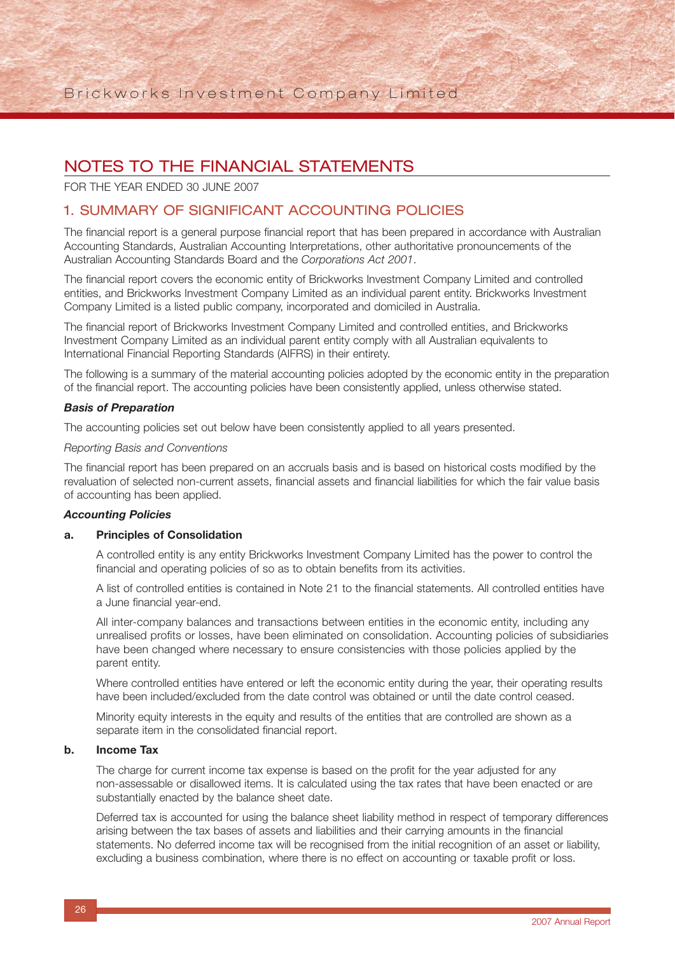FOR THE YEAR ENDED 30 JUNE 2007

### 1. SUMMARY OF SIGNIFICANT ACCOUNTING POLICIES

The financial report is a general purpose financial report that has been prepared in accordance with Australian Accounting Standards, Australian Accounting Interpretations, other authoritative pronouncements of the Australian Accounting Standards Board and the *Corporations Act 2001*.

The financial report covers the economic entity of Brickworks Investment Company Limited and controlled entities, and Brickworks Investment Company Limited as an individual parent entity. Brickworks Investment Company Limited is a listed public company, incorporated and domiciled in Australia.

The financial report of Brickworks Investment Company Limited and controlled entities, and Brickworks Investment Company Limited as an individual parent entity comply with all Australian equivalents to International Financial Reporting Standards (AIFRS) in their entirety.

The following is a summary of the material accounting policies adopted by the economic entity in the preparation of the financial report. The accounting policies have been consistently applied, unless otherwise stated.

#### *Basis of Preparation*

The accounting policies set out below have been consistently applied to all years presented.

#### *Reporting Basis and Conventions*

The financial report has been prepared on an accruals basis and is based on historical costs modified by the revaluation of selected non-current assets, financial assets and financial liabilities for which the fair value basis of accounting has been applied.

#### *Accounting Policies*

#### **a. Principles of Consolidation**

A controlled entity is any entity Brickworks Investment Company Limited has the power to control the financial and operating policies of so as to obtain benefits from its activities.

A list of controlled entities is contained in Note 21 to the financial statements. All controlled entities have a June financial year-end.

All inter-company balances and transactions between entities in the economic entity, including any unrealised profits or losses, have been eliminated on consolidation. Accounting policies of subsidiaries have been changed where necessary to ensure consistencies with those policies applied by the parent entity.

Where controlled entities have entered or left the economic entity during the year, their operating results have been included/excluded from the date control was obtained or until the date control ceased.

Minority equity interests in the equity and results of the entities that are controlled are shown as a separate item in the consolidated financial report.

#### **b. Income Tax**

The charge for current income tax expense is based on the profit for the year adjusted for any non-assessable or disallowed items. It is calculated using the tax rates that have been enacted or are substantially enacted by the balance sheet date.

Deferred tax is accounted for using the balance sheet liability method in respect of temporary differences arising between the tax bases of assets and liabilities and their carrying amounts in the financial statements. No deferred income tax will be recognised from the initial recognition of an asset or liability, excluding a business combination, where there is no effect on accounting or taxable profit or loss.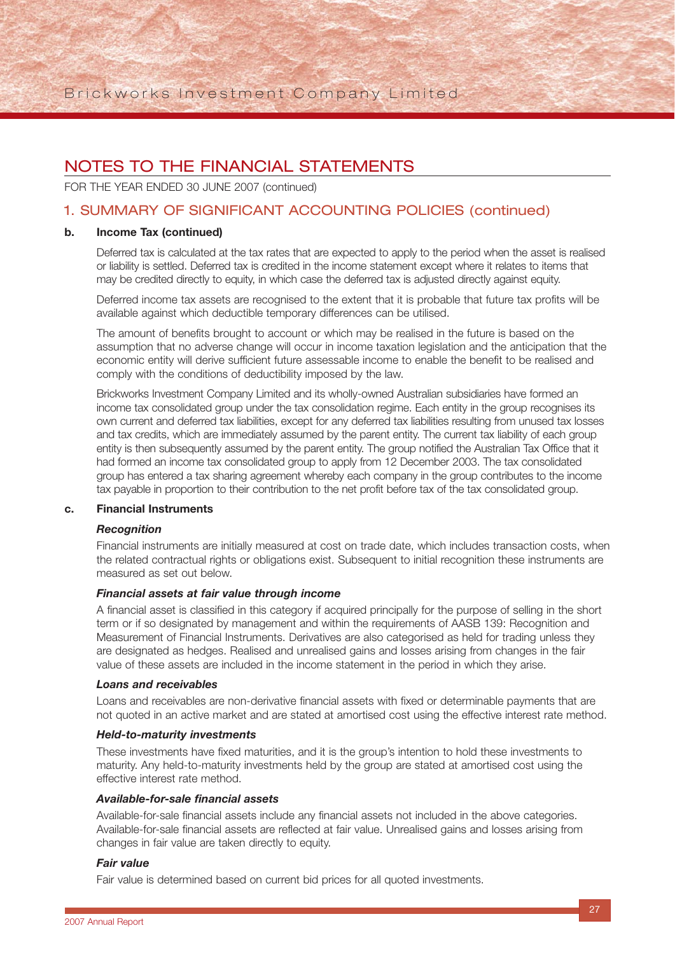FOR THE YEAR ENDED 30 JUNE 2007 (continued)

### 1. SUMMARY OF SIGNIFICANT ACCOUNTING POLICIES (continued)

#### **b. Income Tax (continued)**

Deferred tax is calculated at the tax rates that are expected to apply to the period when the asset is realised or liability is settled. Deferred tax is credited in the income statement except where it relates to items that may be credited directly to equity, in which case the deferred tax is adjusted directly against equity.

Deferred income tax assets are recognised to the extent that it is probable that future tax profits will be available against which deductible temporary differences can be utilised.

The amount of benefits brought to account or which may be realised in the future is based on the assumption that no adverse change will occur in income taxation legislation and the anticipation that the economic entity will derive sufficient future assessable income to enable the benefit to be realised and comply with the conditions of deductibility imposed by the law.

Brickworks Investment Company Limited and its wholly-owned Australian subsidiaries have formed an income tax consolidated group under the tax consolidation regime. Each entity in the group recognises its own current and deferred tax liabilities, except for any deferred tax liabilities resulting from unused tax losses and tax credits, which are immediately assumed by the parent entity. The current tax liability of each group entity is then subsequently assumed by the parent entity. The group notified the Australian Tax Office that it had formed an income tax consolidated group to apply from 12 December 2003. The tax consolidated group has entered a tax sharing agreement whereby each company in the group contributes to the income tax payable in proportion to their contribution to the net profit before tax of the tax consolidated group.

#### **c. Financial Instruments**

#### *Recognition*

Financial instruments are initially measured at cost on trade date, which includes transaction costs, when the related contractual rights or obligations exist. Subsequent to initial recognition these instruments are measured as set out below.

#### *Financial assets at fair value through income*

A financial asset is classified in this category if acquired principally for the purpose of selling in the short term or if so designated by management and within the requirements of AASB 139: Recognition and Measurement of Financial Instruments. Derivatives are also categorised as held for trading unless they are designated as hedges. Realised and unrealised gains and losses arising from changes in the fair value of these assets are included in the income statement in the period in which they arise.

#### *Loans and receivables*

Loans and receivables are non-derivative financial assets with fixed or determinable payments that are not quoted in an active market and are stated at amortised cost using the effective interest rate method.

#### *Held-to-maturity investments*

These investments have fixed maturities, and it is the group's intention to hold these investments to maturity. Any held-to-maturity investments held by the group are stated at amortised cost using the effective interest rate method.

#### *Available-for-sale financial assets*

Available-for-sale financial assets include any financial assets not included in the above categories. Available-for-sale financial assets are reflected at fair value. Unrealised gains and losses arising from changes in fair value are taken directly to equity.

#### *Fair value*

Fair value is determined based on current bid prices for all quoted investments.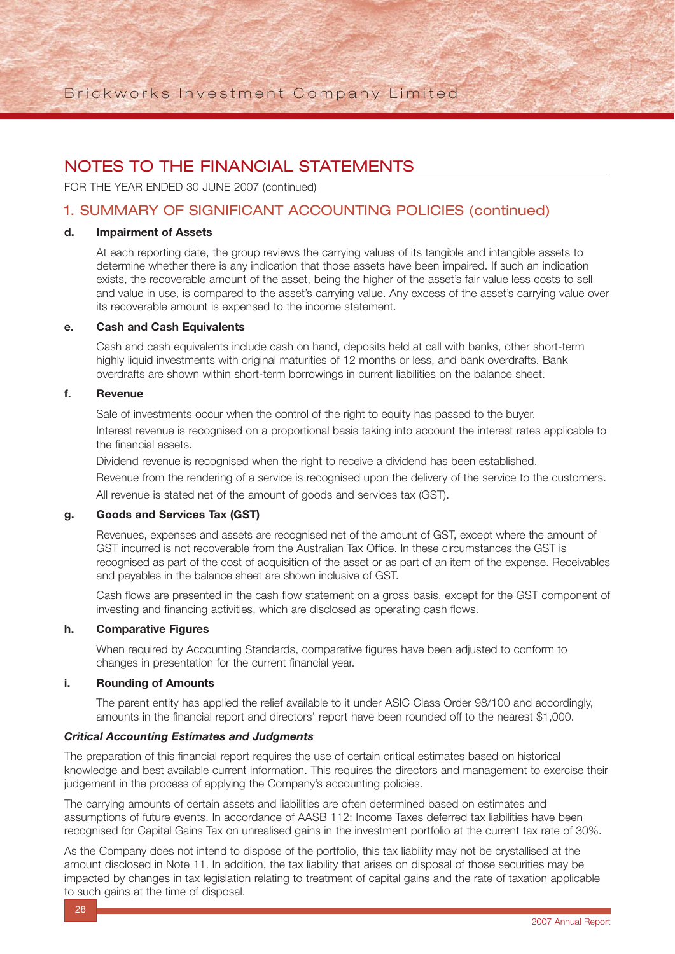FOR THE YEAR ENDED 30 JUNE 2007 (continued)

## 1. SUMMARY OF SIGNIFICANT ACCOUNTING POLICIES (continued)

#### **d. Impairment of Assets**

At each reporting date, the group reviews the carrying values of its tangible and intangible assets to determine whether there is any indication that those assets have been impaired. If such an indication exists, the recoverable amount of the asset, being the higher of the asset's fair value less costs to sell and value in use, is compared to the asset's carrying value. Any excess of the asset's carrying value over its recoverable amount is expensed to the income statement.

#### **e. Cash and Cash Equivalents**

Cash and cash equivalents include cash on hand, deposits held at call with banks, other short-term highly liquid investments with original maturities of 12 months or less, and bank overdrafts. Bank overdrafts are shown within short-term borrowings in current liabilities on the balance sheet.

#### **f. Revenue**

Sale of investments occur when the control of the right to equity has passed to the buyer. Interest revenue is recognised on a proportional basis taking into account the interest rates applicable to the financial assets.

Dividend revenue is recognised when the right to receive a dividend has been established.

Revenue from the rendering of a service is recognised upon the delivery of the service to the customers. All revenue is stated net of the amount of goods and services tax (GST).

#### **g. Goods and Services Tax (GST)**

Revenues, expenses and assets are recognised net of the amount of GST, except where the amount of GST incurred is not recoverable from the Australian Tax Office. In these circumstances the GST is recognised as part of the cost of acquisition of the asset or as part of an item of the expense. Receivables and payables in the balance sheet are shown inclusive of GST.

Cash flows are presented in the cash flow statement on a gross basis, except for the GST component of investing and financing activities, which are disclosed as operating cash flows.

#### **h. Comparative Figures**

When required by Accounting Standards, comparative figures have been adjusted to conform to changes in presentation for the current financial year.

#### **i. Rounding of Amounts**

The parent entity has applied the relief available to it under ASIC Class Order 98/100 and accordingly, amounts in the financial report and directors' report have been rounded off to the nearest \$1,000.

#### *Critical Accounting Estimates and Judgments*

The preparation of this financial report requires the use of certain critical estimates based on historical knowledge and best available current information. This requires the directors and management to exercise their judgement in the process of applying the Company's accounting policies.

The carrying amounts of certain assets and liabilities are often determined based on estimates and assumptions of future events. In accordance of AASB 112: Income Taxes deferred tax liabilities have been recognised for Capital Gains Tax on unrealised gains in the investment portfolio at the current tax rate of 30%.

As the Company does not intend to dispose of the portfolio, this tax liability may not be crystallised at the amount disclosed in Note 11. In addition, the tax liability that arises on disposal of those securities may be impacted by changes in tax legislation relating to treatment of capital gains and the rate of taxation applicable to such gains at the time of disposal.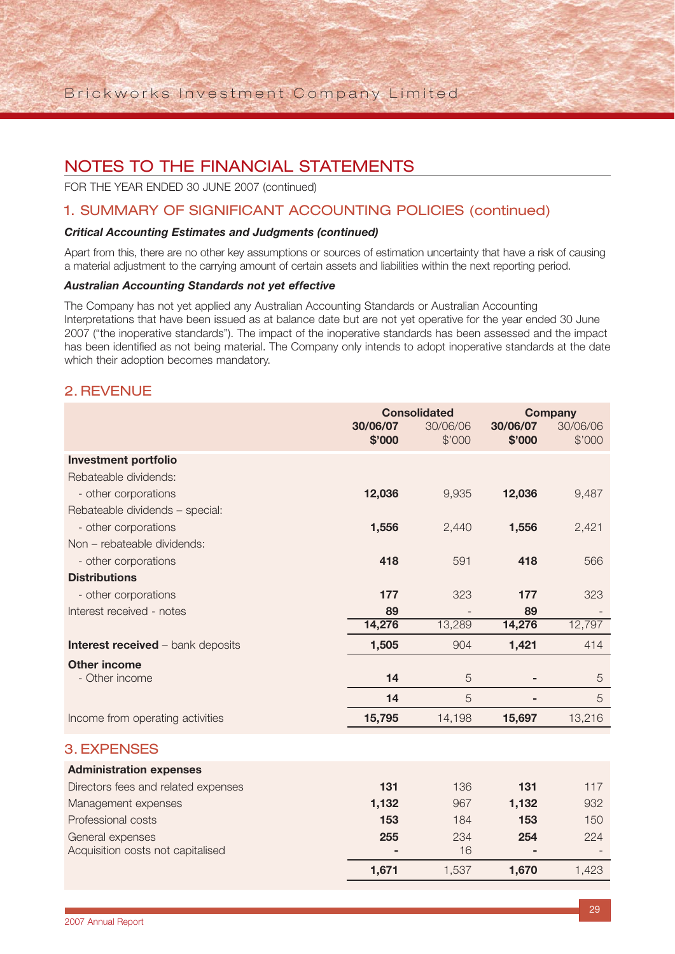FOR THE YEAR ENDED 30 JUNE 2007 (continued)

### 1. SUMMARY OF SIGNIFICANT ACCOUNTING POLICIES (continued)

#### *Critical Accounting Estimates and Judgments (continued)*

Apart from this, there are no other key assumptions or sources of estimation uncertainty that have a risk of causing a material adjustment to the carrying amount of certain assets and liabilities within the next reporting period.

#### *Australian Accounting Standards not yet effective*

The Company has not yet applied any Australian Accounting Standards or Australian Accounting Interpretations that have been issued as at balance date but are not yet operative for the year ended 30 June 2007 ("the inoperative standards"). The impact of the inoperative standards has been assessed and the impact has been identified as not being material. The Company only intends to adopt inoperative standards at the date which their adoption becomes mandatory.

### 2. REVENUE

|                                          | <b>Consolidated</b> |          | <b>Company</b> |                |
|------------------------------------------|---------------------|----------|----------------|----------------|
|                                          | 30/06/07            | 30/06/06 | 30/06/07       | 30/06/06       |
|                                          | \$'000              | \$'000   | \$'000         | \$'000         |
| <b>Investment portfolio</b>              |                     |          |                |                |
| Rebateable dividends:                    |                     |          |                |                |
| - other corporations                     | 12,036              | 9,935    | 12,036         | 9,487          |
| Rebateable dividends - special:          |                     |          |                |                |
| - other corporations                     | 1,556               | 2,440    | 1,556          | 2,421          |
| Non - rebateable dividends:              |                     |          |                |                |
| - other corporations                     | 418                 | 591      | 418            | 566            |
| <b>Distributions</b>                     |                     |          |                |                |
| - other corporations                     | 177                 | 323      | 177            | 323            |
| Interest received - notes                | 89                  |          | 89             |                |
|                                          | 14,276              | 13,289   | 14,276         | 12,797         |
| <b>Interest received - bank deposits</b> | 1,505               | 904      | 1,421          | 414            |
| <b>Other income</b>                      |                     |          |                |                |
| - Other income                           | 14                  | 5        |                | $\overline{5}$ |
|                                          | 14                  | 5        |                | 5              |
| Income from operating activities         | 15,795              | 14,198   | 15,697         | 13,216         |
| <b>3. EXPENSES</b>                       |                     |          |                |                |
| <b>Administration expenses</b>           |                     |          |                |                |
| Directors fees and related expenses      | 131                 | 136      | 131            | 117            |
| Management expenses                      | 1,132               | 967      | 1,132          | 932            |
| Professional costs                       | 153                 | 184      | 153            | 150            |
| General expenses                         | 255                 | 234      | 254            | 224            |
| Acquisition costs not capitalised        |                     | 16       |                |                |
|                                          | 1,671               | 1,537    | 1,670          | 1,423          |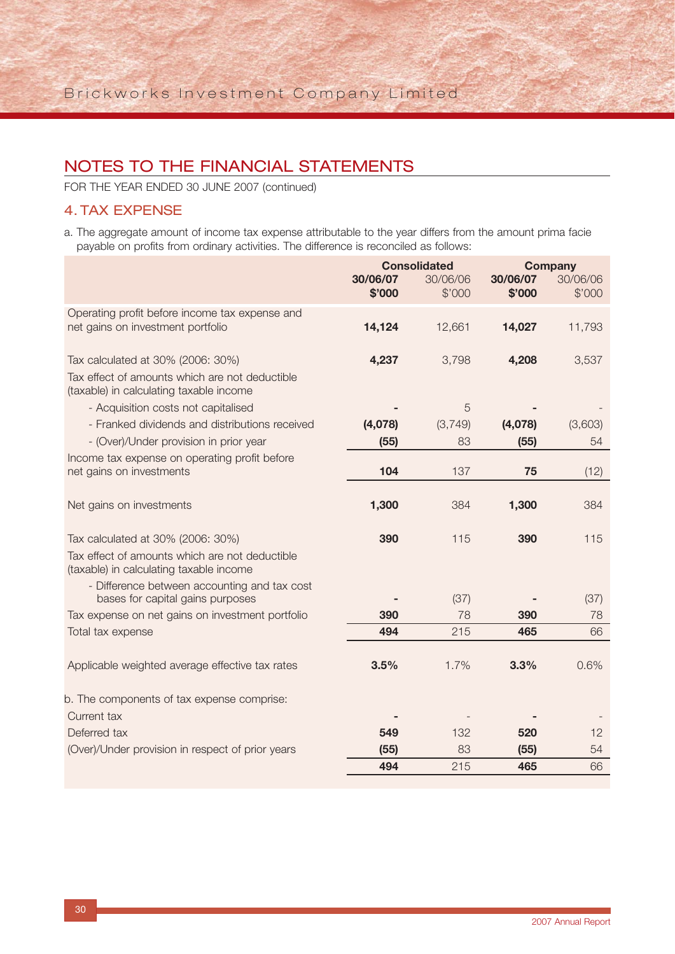FOR THE YEAR ENDED 30 JUNE 2007 (continued)

### 4. TAX EXPENSE

a. The aggregate amount of income tax expense attributable to the year differs from the amount prima facie payable on profits from ordinary activities. The difference is reconciled as follows:

|                                                                                           |          | <b>Consolidated</b> | <b>Company</b> |          |
|-------------------------------------------------------------------------------------------|----------|---------------------|----------------|----------|
|                                                                                           | 30/06/07 | 30/06/06            | 30/06/07       | 30/06/06 |
|                                                                                           | \$'000   | \$'000              | \$'000         | \$'000   |
| Operating profit before income tax expense and                                            |          |                     |                |          |
| net gains on investment portfolio                                                         | 14,124   | 12,661              | 14,027         | 11,793   |
|                                                                                           |          |                     |                |          |
| Tax calculated at 30% (2006: 30%)                                                         | 4,237    | 3,798               | 4,208          | 3,537    |
| Tax effect of amounts which are not deductible<br>(taxable) in calculating taxable income |          |                     |                |          |
| - Acquisition costs not capitalised                                                       |          | 5                   |                |          |
| - Franked dividends and distributions received                                            | (4,078)  | (3,749)             | (4,078)        | (3,603)  |
| - (Over)/Under provision in prior year                                                    | (55)     | 83                  | (55)           | 54       |
| Income tax expense on operating profit before                                             |          |                     |                |          |
| net gains on investments                                                                  | 104      | 137                 | 75             | (12)     |
|                                                                                           |          |                     |                |          |
| Net gains on investments                                                                  | 1,300    | 384                 | 1,300          | 384      |
|                                                                                           |          |                     |                |          |
| Tax calculated at 30% (2006: 30%)                                                         | 390      | 115                 | 390            | 115      |
| Tax effect of amounts which are not deductible                                            |          |                     |                |          |
| (taxable) in calculating taxable income                                                   |          |                     |                |          |
| - Difference between accounting and tax cost<br>bases for capital gains purposes          |          | (37)                |                | (37)     |
| Tax expense on net gains on investment portfolio                                          | 390      | 78                  | 390            | 78       |
| Total tax expense                                                                         | 494      | 215                 | 465            | 66       |
|                                                                                           |          |                     |                |          |
| Applicable weighted average effective tax rates                                           | 3.5%     | 1.7%                | 3.3%           | 0.6%     |
|                                                                                           |          |                     |                |          |
| b. The components of tax expense comprise:                                                |          |                     |                |          |
| Current tax                                                                               |          |                     |                |          |
| Deferred tax                                                                              | 549      | 132                 | 520            | 12       |
| (Over)/Under provision in respect of prior years                                          | (55)     | 83                  | (55)           | 54       |
|                                                                                           | 494      | 215                 | 465            | 66       |
|                                                                                           |          |                     |                |          |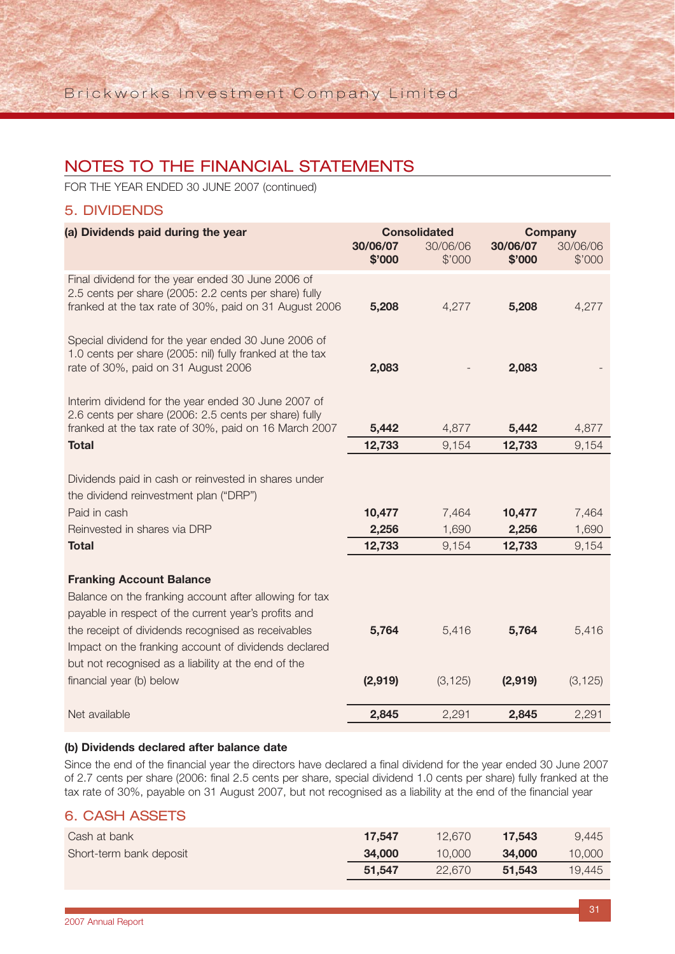FOR THE YEAR ENDED 30 JUNE 2007 (continued)

### 5. DIVIDENDS

| (a) Dividends paid during the year                                                                                                                                   | <b>Consolidated</b> |          | <b>Company</b> |          |
|----------------------------------------------------------------------------------------------------------------------------------------------------------------------|---------------------|----------|----------------|----------|
|                                                                                                                                                                      | 30/06/07            | 30/06/06 | 30/06/07       | 30/06/06 |
|                                                                                                                                                                      | \$'000              | \$'000   | \$'000         | \$'000   |
| Final dividend for the year ended 30 June 2006 of<br>2.5 cents per share (2005: 2.2 cents per share) fully<br>franked at the tax rate of 30%, paid on 31 August 2006 | 5,208               | 4,277    | 5,208          | 4,277    |
|                                                                                                                                                                      |                     |          |                |          |
| Special dividend for the year ended 30 June 2006 of<br>1.0 cents per share (2005: nil) fully franked at the tax                                                      |                     |          |                |          |
| rate of 30%, paid on 31 August 2006                                                                                                                                  | 2,083               |          | 2,083          |          |
| Interim dividend for the year ended 30 June 2007 of<br>2.6 cents per share (2006: 2.5 cents per share) fully                                                         |                     |          |                |          |
| franked at the tax rate of 30%, paid on 16 March 2007                                                                                                                | 5,442               | 4,877    | 5,442          | 4,877    |
| <b>Total</b>                                                                                                                                                         | 12,733              | 9,154    | 12,733         | 9,154    |
|                                                                                                                                                                      |                     |          |                |          |
| Dividends paid in cash or reinvested in shares under                                                                                                                 |                     |          |                |          |
| the dividend reinvestment plan ("DRP")                                                                                                                               |                     |          |                |          |
| Paid in cash                                                                                                                                                         | 10,477              | 7,464    | 10,477         | 7,464    |
| Reinvested in shares via DRP                                                                                                                                         | 2,256               | 1,690    | 2,256          | 1,690    |
| <b>Total</b>                                                                                                                                                         | 12,733              | 9,154    | 12,733         | 9,154    |
| <b>Franking Account Balance</b>                                                                                                                                      |                     |          |                |          |
| Balance on the franking account after allowing for tax                                                                                                               |                     |          |                |          |
| payable in respect of the current year's profits and                                                                                                                 |                     |          |                |          |
| the receipt of dividends recognised as receivables                                                                                                                   | 5,764               | 5,416    | 5,764          | 5,416    |
| Impact on the franking account of dividends declared                                                                                                                 |                     |          |                |          |
| but not recognised as a liability at the end of the                                                                                                                  |                     |          |                |          |
| financial year (b) below                                                                                                                                             | (2,919)             | (3, 125) | (2,919)        | (3, 125) |
| Net available                                                                                                                                                        | 2,845               | 2,291    | 2,845          | 2,291    |

#### **(b) Dividends declared after balance date**

Since the end of the financial year the directors have declared a final dividend for the year ended 30 June 2007 of 2.7 cents per share (2006: final 2.5 cents per share, special dividend 1.0 cents per share) fully franked at the tax rate of 30%, payable on 31 August 2007, but not recognised as a liability at the end of the financial year

## 6. CASH ASSETS

| Cash at bank            | 17.547 | 12.670 | 17.543 | 9.445  |
|-------------------------|--------|--------|--------|--------|
| Short-term bank deposit | 34,000 | 10,000 | 34,000 | 10,000 |
|                         | 51.547 | 22.670 | 51.543 | 19.445 |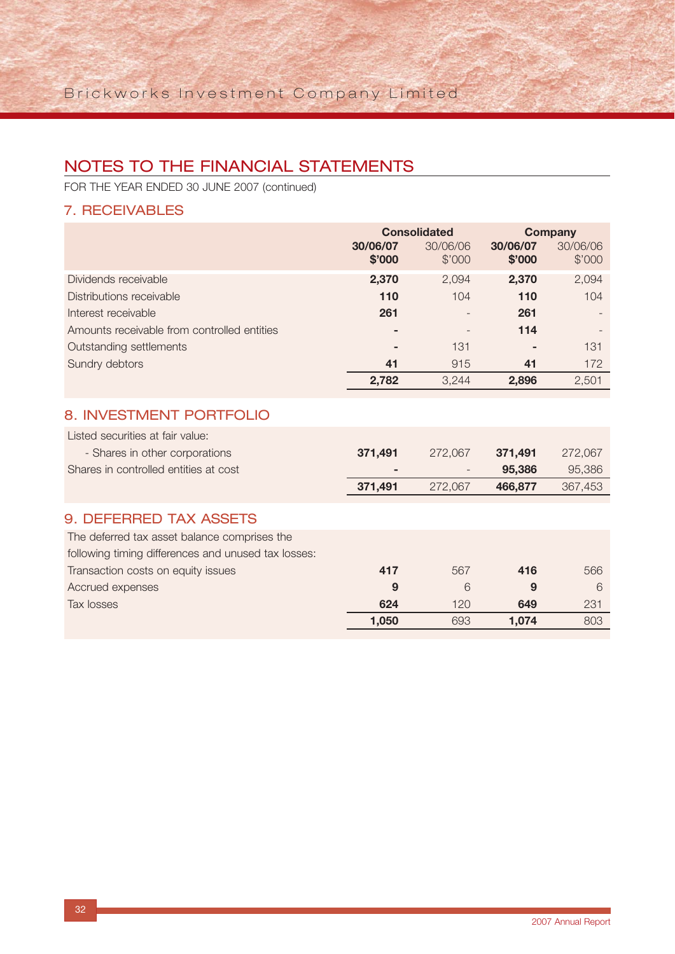FOR THE YEAR ENDED 30 JUNE 2007 (continued)

## 7. RECEIVABLES

|                                             | <b>Consolidated</b> |                          | <b>Company</b>     |                    |
|---------------------------------------------|---------------------|--------------------------|--------------------|--------------------|
|                                             | 30/06/07<br>\$'000  | 30/06/06<br>\$'000       | 30/06/07<br>\$'000 | 30/06/06<br>\$'000 |
| Dividends receivable                        | 2,370               | 2,094                    | 2,370              | 2,094              |
| Distributions receivable                    | 110                 | 104                      | 110                | 104                |
| Interest receivable                         | 261                 | $\overline{\phantom{0}}$ | 261                |                    |
| Amounts receivable from controlled entities | -                   |                          | 114                |                    |
| Outstanding settlements                     | -                   | 131                      | ۰                  | 131                |
| Sundry debtors                              | 41                  | 915                      | 41                 | 172                |
|                                             | 2,782               | 3.244                    | 2,896              | 2,501              |
|                                             |                     |                          |                    |                    |

## 8. INVESTMENT PORTFOLIO

| Listed securities at fair value:      |         |         |         |         |
|---------------------------------------|---------|---------|---------|---------|
| - Shares in other corporations        | 371.491 | 272.067 | 371.491 | 272,067 |
| Shares in controlled entities at cost |         | -       | 95.386  | 95,386  |
|                                       | 371.491 | 272.067 | 466.877 | 367,453 |
|                                       |         |         |         |         |

## 9. DEFERRED TAX ASSETS

| The deferred tax asset balance comprises the        |       |     |       |     |
|-----------------------------------------------------|-------|-----|-------|-----|
| following timing differences and unused tax losses: |       |     |       |     |
| Transaction costs on equity issues                  | 417   | 567 | 416   | 566 |
| Accrued expenses                                    | 9     |     | 9     |     |
| Tax losses                                          | 624   | 120 | 649   | 231 |
|                                                     | 1.050 | 693 | 1.074 | 803 |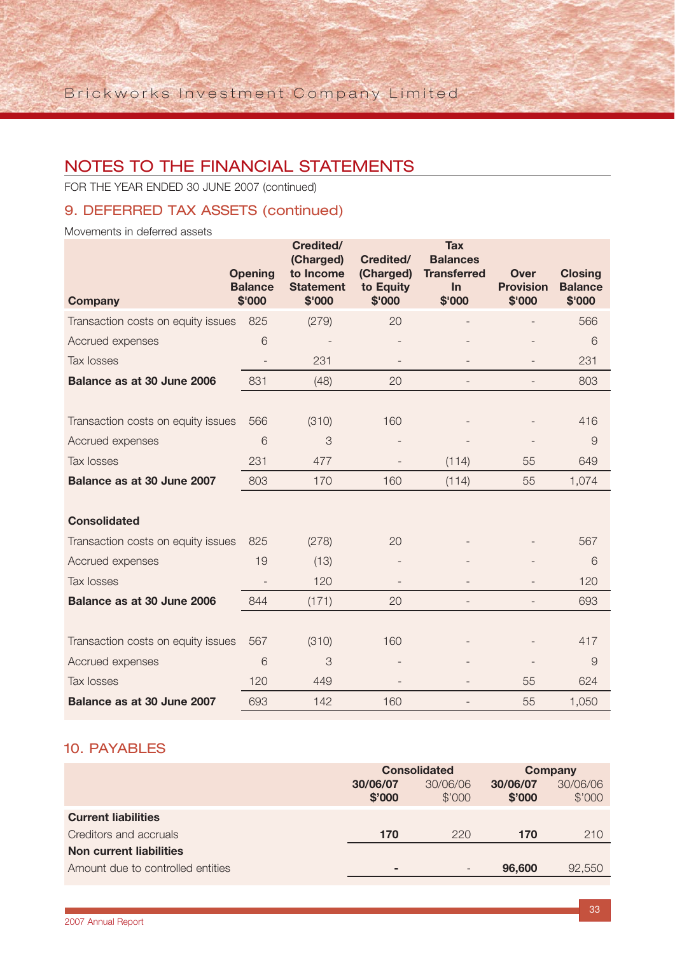FOR THE YEAR ENDED 30 JUNE 2007 (continued)

## 9. DEFERRED TAX ASSETS (continued)

Movements in deferred assets

| <b>Company</b>                     | <b>Opening</b><br><b>Balance</b><br>\$'000 | Credited/<br>(Charged)<br>to Income<br><b>Statement</b><br>\$'000 | Credited/<br>(Charged)<br>to Equity<br>\$'000 | <b>Tax</b><br><b>Balances</b><br><b>Transferred</b><br>In<br>\$'000 | <b>Over</b><br><b>Provision</b><br>\$'000 | <b>Closing</b><br><b>Balance</b><br>\$'000 |
|------------------------------------|--------------------------------------------|-------------------------------------------------------------------|-----------------------------------------------|---------------------------------------------------------------------|-------------------------------------------|--------------------------------------------|
| Transaction costs on equity issues | 825                                        | (279)                                                             | 20                                            |                                                                     |                                           | 566                                        |
| Accrued expenses                   | 6                                          |                                                                   |                                               |                                                                     |                                           | 6                                          |
| <b>Tax losses</b>                  | $\overline{\phantom{a}}$                   | 231                                                               |                                               |                                                                     | $\overline{a}$                            | 231                                        |
| Balance as at 30 June 2006         | 831                                        | (48)                                                              | 20                                            | $\overline{a}$                                                      | $\overline{\phantom{0}}$                  | 803                                        |
|                                    |                                            |                                                                   |                                               |                                                                     |                                           |                                            |
| Transaction costs on equity issues | 566                                        | (310)                                                             | 160                                           |                                                                     |                                           | 416                                        |
| Accrued expenses                   | 6                                          | 3                                                                 |                                               |                                                                     |                                           | 9                                          |
| <b>Tax losses</b>                  | 231                                        | 477                                                               |                                               | (114)                                                               | 55                                        | 649                                        |
| Balance as at 30 June 2007         | 803                                        | 170                                                               | 160                                           | (114)                                                               | 55                                        | 1,074                                      |
|                                    |                                            |                                                                   |                                               |                                                                     |                                           |                                            |
| <b>Consolidated</b>                |                                            |                                                                   |                                               |                                                                     |                                           |                                            |
| Transaction costs on equity issues | 825                                        | (278)                                                             | 20                                            |                                                                     |                                           | 567                                        |
| Accrued expenses                   | 19                                         | (13)                                                              |                                               |                                                                     |                                           | 6                                          |
| Tax losses                         | $\overline{\phantom{m}}$                   | 120                                                               |                                               |                                                                     |                                           | 120                                        |
| Balance as at 30 June 2006         | 844                                        | (171)                                                             | 20                                            | $\overline{\phantom{0}}$                                            |                                           | 693                                        |
|                                    |                                            |                                                                   |                                               |                                                                     |                                           |                                            |
| Transaction costs on equity issues | 567                                        | (310)                                                             | 160                                           |                                                                     |                                           | 417                                        |
| Accrued expenses                   | 6                                          | 3                                                                 |                                               |                                                                     |                                           | $\overline{9}$                             |
| <b>Tax losses</b>                  | 120                                        | 449                                                               |                                               |                                                                     | 55                                        | 624                                        |
| Balance as at 30 June 2007         | 693                                        | 142                                                               | 160                                           | $\overline{\phantom{a}}$                                            | 55                                        | 1,050                                      |

### 10. PAYABLES

|                                   | <b>Consolidated</b>      |                          | <b>Company</b>     |                    |
|-----------------------------------|--------------------------|--------------------------|--------------------|--------------------|
|                                   | 30/06/07<br>\$'000       | 30/06/06<br>\$'000       | 30/06/07<br>\$'000 | 30/06/06<br>\$'000 |
| <b>Current liabilities</b>        |                          |                          |                    |                    |
| Creditors and accruals            | 170                      | 220                      | 170                | 210                |
| Non current liabilities           |                          |                          |                    |                    |
| Amount due to controlled entities | $\overline{\phantom{a}}$ | $\overline{\phantom{0}}$ | 96,600             | 92,550             |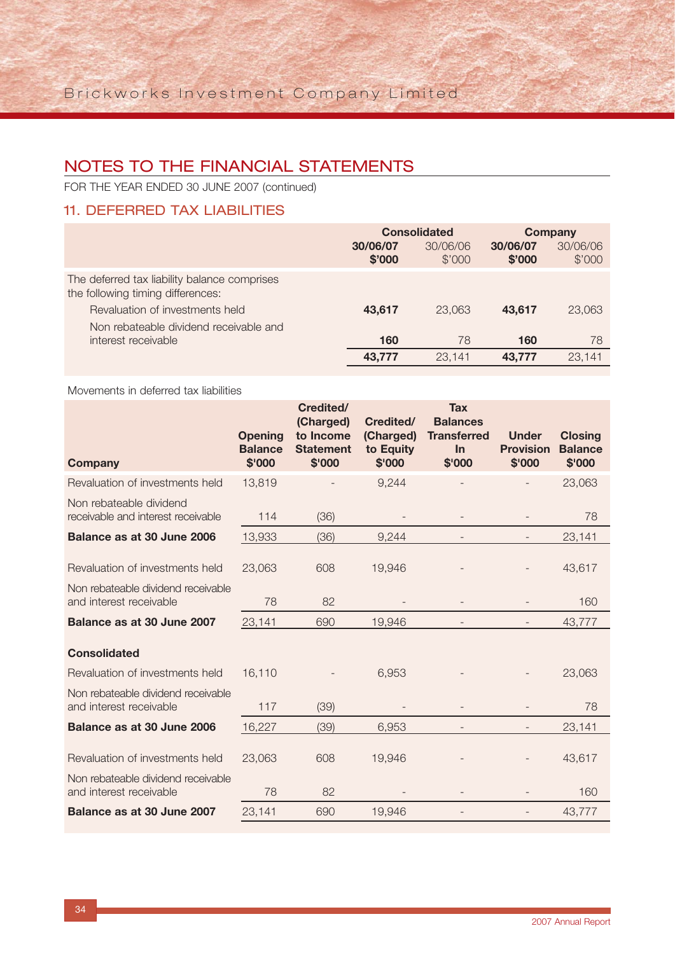FOR THE YEAR ENDED 30 JUNE 2007 (continued)

## 11. DEFERRED TAX LIABILITIES

|                                                                                                                      | <b>Consolidated</b> |                    | <b>Company</b>     |                    |
|----------------------------------------------------------------------------------------------------------------------|---------------------|--------------------|--------------------|--------------------|
|                                                                                                                      | 30/06/07<br>\$'000  | 30/06/06<br>\$'000 | 30/06/07<br>\$'000 | 30/06/06<br>\$'000 |
| The deferred tax liability balance comprises<br>the following timing differences:<br>Revaluation of investments held | 43,617              | 23,063             | 43,617             | 23,063             |
| Non rebateable dividend receivable and<br>interest receivable                                                        | 160                 | 78                 | 160                | 78                 |
|                                                                                                                      | 43.777              | 23.141             | 43.777             | 23.141             |

#### Movements in deferred tax liabilities

| <b>Company</b>                                                | <b>Opening</b><br><b>Balance</b><br>\$'000 | Credited/<br>(Charged)<br>to Income<br><b>Statement</b><br>\$'000 | Credited/<br>(Charged)<br>to Equity<br>\$'000 | <b>Tax</b><br><b>Balances</b><br><b>Transferred</b><br>In<br>\$'000 | <b>Under</b><br><b>Provision</b><br>\$'000 | <b>Closing</b><br><b>Balance</b><br>\$'000 |
|---------------------------------------------------------------|--------------------------------------------|-------------------------------------------------------------------|-----------------------------------------------|---------------------------------------------------------------------|--------------------------------------------|--------------------------------------------|
| Revaluation of investments held                               | 13,819                                     |                                                                   | 9,244                                         |                                                                     |                                            | 23,063                                     |
| Non rebateable dividend<br>receivable and interest receivable | 114                                        | (36)                                                              |                                               |                                                                     |                                            | 78                                         |
| Balance as at 30 June 2006                                    | 13,933                                     | (36)                                                              | 9,244                                         |                                                                     |                                            | 23,141                                     |
| Revaluation of investments held                               | 23,063                                     | 608                                                               | 19,946                                        |                                                                     |                                            | 43,617                                     |
| Non rebateable dividend receivable<br>and interest receivable | 78                                         | 82                                                                |                                               |                                                                     |                                            | 160                                        |
| Balance as at 30 June 2007                                    | 23,141                                     | 690                                                               | 19,946                                        |                                                                     |                                            | 43,777                                     |
| <b>Consolidated</b>                                           |                                            |                                                                   |                                               |                                                                     |                                            |                                            |
| Revaluation of investments held                               | 16,110                                     |                                                                   | 6,953                                         |                                                                     |                                            | 23,063                                     |
| Non rebateable dividend receivable<br>and interest receivable | 117                                        | (39)                                                              |                                               |                                                                     |                                            | 78                                         |
| Balance as at 30 June 2006                                    | 16,227                                     | (39)                                                              | 6,953                                         |                                                                     |                                            | 23,141                                     |
| Revaluation of investments held                               | 23,063                                     | 608                                                               | 19,946                                        |                                                                     |                                            | 43,617                                     |
| Non rebateable dividend receivable<br>and interest receivable | 78                                         | 82                                                                |                                               |                                                                     |                                            | 160                                        |
| Balance as at 30 June 2007                                    | 23,141                                     | 690                                                               | 19,946                                        | $\overline{\phantom{0}}$                                            | $\overline{\phantom{0}}$                   | 43,777                                     |
|                                                               |                                            |                                                                   |                                               |                                                                     |                                            |                                            |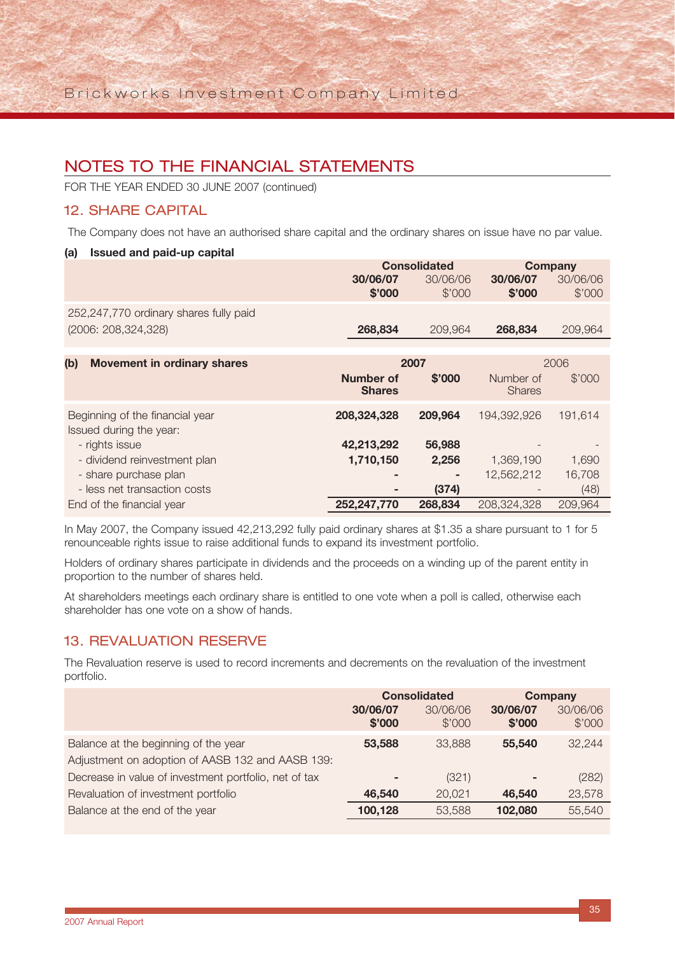FOR THE YEAR ENDED 30 JUNE 2007 (continued)

### 12. SHARE CAPITAL

The Company does not have an authorised share capital and the ordinary shares on issue have no par value.

#### **(a) Issued and paid-up capital**

|                                                            | <b>Consolidated</b>        |          | <b>Company</b>             |          |  |
|------------------------------------------------------------|----------------------------|----------|----------------------------|----------|--|
|                                                            | 30/06/07                   | 30/06/06 | 30/06/07                   | 30/06/06 |  |
|                                                            | \$'000                     | \$'000   | \$'000                     | \$'000   |  |
| 252,247,770 ordinary shares fully paid                     |                            |          |                            |          |  |
| (2006: 208,324,328)                                        | 268,834                    | 209,964  | 268,834                    | 209,964  |  |
|                                                            |                            |          |                            |          |  |
| (b)<br><b>Movement in ordinary shares</b>                  |                            | 2007     | 2006                       |          |  |
|                                                            | Number of<br><b>Shares</b> | \$'000   | Number of<br><b>Shares</b> | \$'000   |  |
| Beginning of the financial year<br>Issued during the year: | 208,324,328                | 209,964  | 194,392,926                | 191,614  |  |
| - rights issue                                             | 42,213,292                 | 56,988   |                            |          |  |
| - dividend reinvestment plan                               | 1,710,150                  | 2,256    | 1,369,190                  | 1,690    |  |
| - share purchase plan                                      | $\overline{\phantom{a}}$   |          | 12,562,212                 | 16,708   |  |
| - less net transaction costs                               | ۰                          | (374)    |                            | (48)     |  |
| End of the financial year                                  | 252,247,770                | 268,834  | 208,324,328                | 209,964  |  |

In May 2007, the Company issued 42,213,292 fully paid ordinary shares at \$1.35 a share pursuant to 1 for 5 renounceable rights issue to raise additional funds to expand its investment portfolio.

Holders of ordinary shares participate in dividends and the proceeds on a winding up of the parent entity in proportion to the number of shares held.

At shareholders meetings each ordinary share is entitled to one vote when a poll is called, otherwise each shareholder has one vote on a show of hands.

## 13. REVALUATION RESERVE

The Revaluation reserve is used to record increments and decrements on the revaluation of the investment portfolio.

|                                                                                          | <b>Consolidated</b> |                    |                    | <b>Company</b>     |
|------------------------------------------------------------------------------------------|---------------------|--------------------|--------------------|--------------------|
|                                                                                          | 30/06/07<br>\$'000  | 30/06/06<br>\$'000 | 30/06/07<br>\$'000 | 30/06/06<br>\$'000 |
| Balance at the beginning of the year<br>Adjustment on adoption of AASB 132 and AASB 139: | 53,588              | 33,888             | 55,540             | 32,244             |
| Decrease in value of investment portfolio, net of tax                                    | -                   | (321)              | ٠                  | (282)              |
| Revaluation of investment portfolio                                                      | 46.540              | 20,021             | 46.540             | 23,578             |
| Balance at the end of the year                                                           | 100,128             | 53,588             | 102,080            | 55,540             |
|                                                                                          |                     |                    |                    |                    |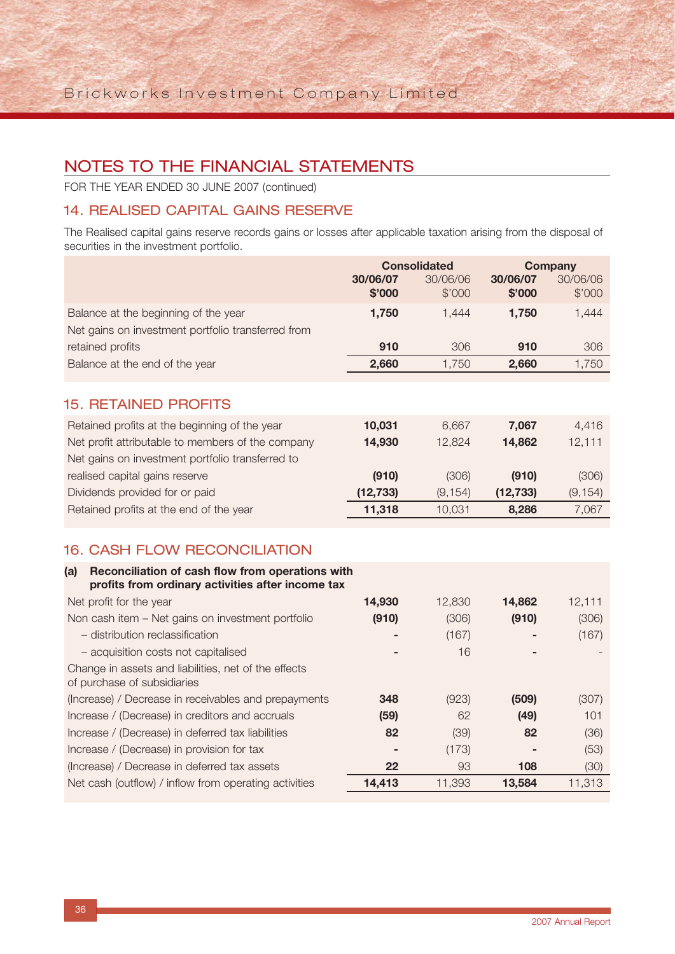FOR THE YEAR ENDED 30 JUNE 2007 (continued)

## 14. REALISED CAPITAL GAINS RESERVE

The Realised capital gains reserve records gains or losses after applicable taxation arising from the disposal of securities in the investment portfolio.

|                                                                                                                                                        | 30/06/07<br>\$'000 | <b>Consolidated</b><br>30/06/06<br>\$'000 | 30/06/07<br>\$'000 | Company<br>30/06/06<br>\$'000 |
|--------------------------------------------------------------------------------------------------------------------------------------------------------|--------------------|-------------------------------------------|--------------------|-------------------------------|
| Balance at the beginning of the year<br>Net gains on investment portfolio transferred from                                                             | 1,750              | 1,444                                     | 1,750              | 1,444                         |
| retained profits                                                                                                                                       | 910                | 306                                       | 910                | 306                           |
| Balance at the end of the year                                                                                                                         | 2,660              | 1,750                                     | 2,660              | 1,750                         |
| <b>15. RETAINED PROFITS</b>                                                                                                                            |                    |                                           |                    |                               |
| Retained profits at the beginning of the year<br>Net profit attributable to members of the company<br>Net gains on investment portfolio transferred to | 10,031<br>14,930   | 6,667<br>12,824                           | 7,067<br>14,862    | 4,416<br>12,111               |
| realised capital gains reserve                                                                                                                         | (910)              | (306)                                     | (910)              | (306)                         |
| Dividends provided for or paid                                                                                                                         | (12, 733)          | (9, 154)                                  | (12, 733)          | (9, 154)                      |
| Retained profits at the end of the year                                                                                                                | 11,318             | 10,031                                    | 8,286              | 7,067                         |
|                                                                                                                                                        |                    |                                           |                    |                               |

## 16. CASH FLOW RECONCILIATION

| Reconciliation of cash flow from operations with<br>(a)<br>profits from ordinary activities after income tax |        |        |        |        |
|--------------------------------------------------------------------------------------------------------------|--------|--------|--------|--------|
| Net profit for the year                                                                                      | 14,930 | 12,830 | 14,862 | 12,111 |
| Non cash item - Net gains on investment portfolio                                                            | (910)  | (306)  | (910)  | (306)  |
| - distribution reclassification                                                                              |        | (167)  |        | (167)  |
| - acquisition costs not capitalised                                                                          |        | 16     |        |        |
| Change in assets and liabilities, net of the effects                                                         |        |        |        |        |
| of purchase of subsidiaries                                                                                  |        |        |        |        |
| (Increase) / Decrease in receivables and prepayments                                                         | 348    | (923)  | (509)  | (307)  |
| Increase / (Decrease) in creditors and accruals                                                              | (59)   | 62     | (49)   | 101    |
| Increase / (Decrease) in deferred tax liabilities                                                            | 82     | (39)   | 82     | (36)   |
| Increase / (Decrease) in provision for tax                                                                   |        | (173)  |        | (53)   |
| (Increase) / Decrease in deferred tax assets                                                                 | 22     | 93     | 108    | (30)   |
| Net cash (outflow) / inflow from operating activities                                                        | 14,413 | 11,393 | 13,584 | 11,313 |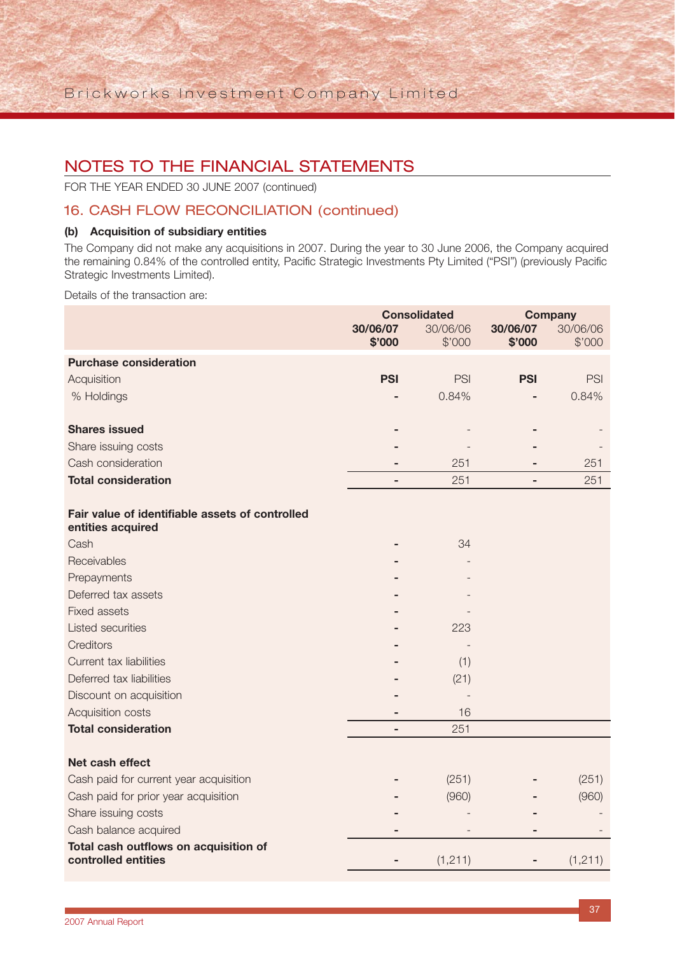FOR THE YEAR ENDED 30 JUNE 2007 (continued)

### 16. CASH FLOW RECONCILIATION (continued)

#### **(b) Acquisition of subsidiary entities**

The Company did not make any acquisitions in 2007. During the year to 30 June 2006, the Company acquired the remaining 0.84% of the controlled entity, Pacific Strategic Investments Pty Limited ("PSI") (previously Pacific Strategic Investments Limited).

Details of the transaction are:

|                                                                      | <b>Consolidated</b><br>30/06/07<br>30/06/06<br>\$'000<br>\$'000 |            | 30/06/07<br>\$'000 | <b>Company</b><br>30/06/06<br>\$'000 |
|----------------------------------------------------------------------|-----------------------------------------------------------------|------------|--------------------|--------------------------------------|
| <b>Purchase consideration</b>                                        |                                                                 |            |                    |                                      |
| Acquisition                                                          | <b>PSI</b>                                                      | <b>PSI</b> | <b>PSI</b>         | <b>PSI</b>                           |
| % Holdings                                                           |                                                                 | 0.84%      |                    | 0.84%                                |
| <b>Shares issued</b>                                                 |                                                                 |            |                    |                                      |
| Share issuing costs                                                  |                                                                 |            |                    |                                      |
| Cash consideration                                                   |                                                                 | 251        |                    | 251                                  |
| <b>Total consideration</b>                                           | ٠                                                               | 251        | $\blacksquare$     | 251                                  |
| Fair value of identifiable assets of controlled<br>entities acquired |                                                                 |            |                    |                                      |
| Cash                                                                 |                                                                 | 34         |                    |                                      |
| Receivables                                                          |                                                                 |            |                    |                                      |
| Prepayments                                                          |                                                                 |            |                    |                                      |
| Deferred tax assets                                                  |                                                                 |            |                    |                                      |
| <b>Fixed assets</b>                                                  |                                                                 |            |                    |                                      |
| <b>Listed securities</b>                                             |                                                                 | 223        |                    |                                      |
| <b>Creditors</b>                                                     |                                                                 |            |                    |                                      |
| Current tax liabilities                                              |                                                                 | (1)        |                    |                                      |
| Deferred tax liabilities                                             |                                                                 | (21)       |                    |                                      |
| Discount on acquisition                                              |                                                                 |            |                    |                                      |
| Acquisition costs                                                    |                                                                 | 16         |                    |                                      |
| <b>Total consideration</b>                                           |                                                                 | 251        |                    |                                      |
| Net cash effect                                                      |                                                                 |            |                    |                                      |
| Cash paid for current year acquisition                               |                                                                 | (251)      |                    | (251)                                |
| Cash paid for prior year acquisition                                 |                                                                 | (960)      |                    | (960)                                |
| Share issuing costs                                                  |                                                                 |            |                    |                                      |
| Cash balance acquired                                                |                                                                 |            |                    |                                      |
| Total cash outflows on acquisition of<br>controlled entities         |                                                                 | (1, 211)   |                    | (1, 211)                             |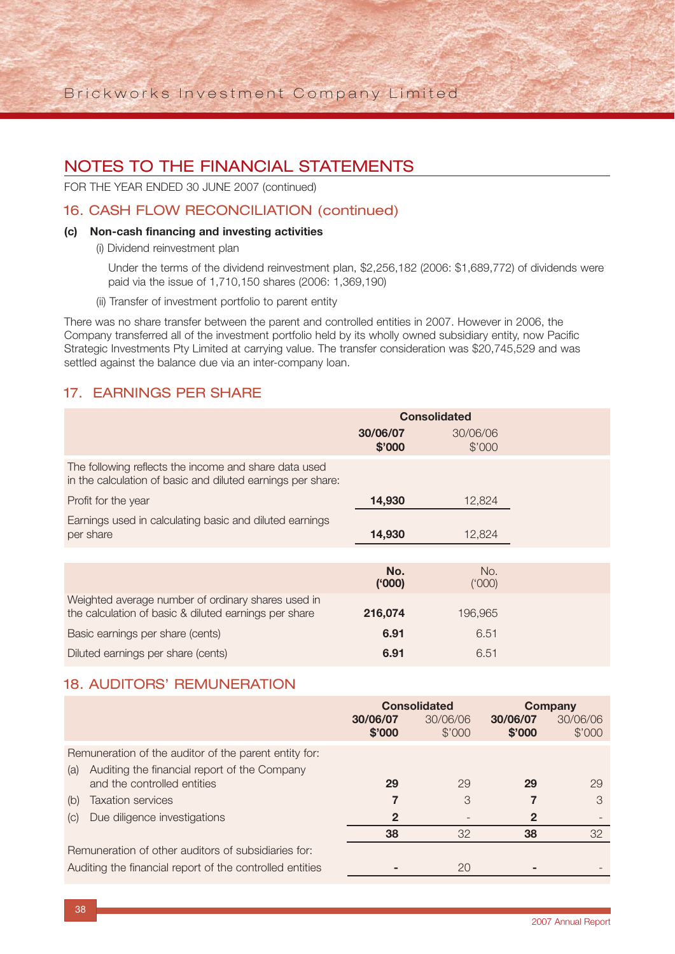Brickworks Investment Company Limited

## NOTES TO THE FINANCIAL STATEMENTS

FOR THE YEAR ENDED 30 JUNE 2007 (continued)

### 16. CASH FLOW RECONCILIATION (continued)

#### **(c) Non-cash financing and investing activities**

(i) Dividend reinvestment plan

Under the terms of the dividend reinvestment plan, \$2,256,182 (2006: \$1,689,772) of dividends were paid via the issue of 1,710,150 shares (2006: 1,369,190)

(ii) Transfer of investment portfolio to parent entity

There was no share transfer between the parent and controlled entities in 2007. However in 2006, the Company transferred all of the investment portfolio held by its wholly owned subsidiary entity, now Pacific Strategic Investments Pty Limited at carrying value. The transfer consideration was \$20,745,529 and was settled against the balance due via an inter-company loan.

## 17. EARNINGS PER SHARE

|                                                                                                                      | <b>Consolidated</b> |                    |  |
|----------------------------------------------------------------------------------------------------------------------|---------------------|--------------------|--|
|                                                                                                                      | 30/06/07<br>\$'000  | 30/06/06<br>\$'000 |  |
| The following reflects the income and share data used<br>in the calculation of basic and diluted earnings per share: |                     |                    |  |
| Profit for the year                                                                                                  | 14,930              | 12,824             |  |
| Earnings used in calculating basic and diluted earnings<br>per share                                                 | 14,930              | 12,824             |  |
|                                                                                                                      |                     |                    |  |
|                                                                                                                      | No.<br>(000)        | No.<br>(000)       |  |
| Weighted average number of ordinary shares used in<br>the calculation of basic & diluted earnings per share          | 216,074             | 196,965            |  |
| Basic earnings per share (cents)                                                                                     | 6.91                | 6.51               |  |
| Diluted earnings per share (cents)                                                                                   | 6.91                | 6.51               |  |

## 18. AUDITORS' REMUNERATION

|     |                                                          | <b>Consolidated</b> |                    | <b>Company</b>     |                    |
|-----|----------------------------------------------------------|---------------------|--------------------|--------------------|--------------------|
|     |                                                          | 30/06/07<br>\$'000  | 30/06/06<br>\$'000 | 30/06/07<br>\$'000 | 30/06/06<br>\$'000 |
|     | Remuneration of the auditor of the parent entity for:    |                     |                    |                    |                    |
| (a) | Auditing the financial report of the Company             |                     |                    |                    |                    |
|     | and the controlled entities                              | 29                  | 29                 | 29                 | 29                 |
| (b) | <b>Taxation services</b>                                 |                     | 3                  |                    | 3                  |
| (C) | Due diligence investigations                             | $\mathbf 2$         |                    | $\mathbf{2}$       |                    |
|     |                                                          | 38                  | 32                 | 38                 | 32                 |
|     | Remuneration of other auditors of subsidiaries for:      |                     |                    |                    |                    |
|     | Auditing the financial report of the controlled entities |                     | 20                 |                    |                    |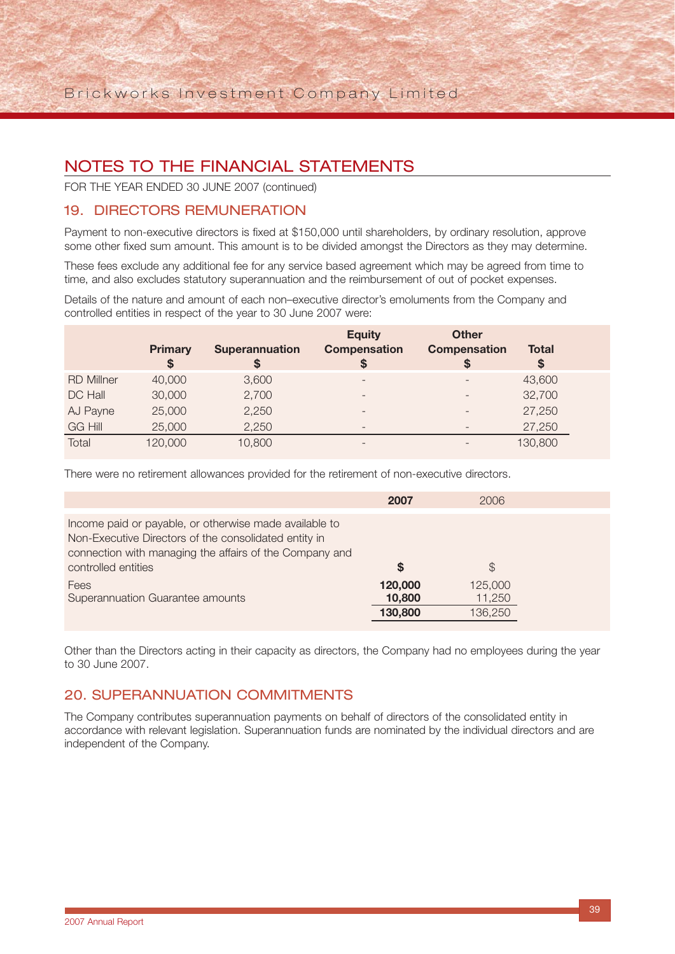FOR THE YEAR ENDED 30 JUNE 2007 (continued)

### 19. DIRECTORS REMUNERATION

Payment to non-executive directors is fixed at \$150,000 until shareholders, by ordinary resolution, approve some other fixed sum amount. This amount is to be divided amongst the Directors as they may determine.

These fees exclude any additional fee for any service based agreement which may be agreed from time to time, and also excludes statutory superannuation and the reimbursement of out of pocket expenses.

Details of the nature and amount of each non–executive director's emoluments from the Company and controlled entities in respect of the year to 30 June 2007 were:

|                   | <b>Primary</b><br>\$ | <b>Superannuation</b><br>S | <b>Equity</b><br><b>Compensation</b><br>S | <b>Other</b><br><b>Compensation</b><br>S | <b>Total</b><br><sup>\$</sup> |  |
|-------------------|----------------------|----------------------------|-------------------------------------------|------------------------------------------|-------------------------------|--|
| <b>RD Millner</b> | 40,000               | 3,600                      |                                           |                                          | 43,600                        |  |
| DC Hall           | 30,000               | 2,700                      | $\overline{\phantom{0}}$                  | $\overline{\phantom{0}}$                 | 32,700                        |  |
| AJ Payne          | 25,000               | 2,250                      |                                           | $\overline{\phantom{0}}$                 | 27,250                        |  |
| <b>GG Hill</b>    | 25,000               | 2,250                      | $\overline{\phantom{0}}$                  | $\overline{\phantom{0}}$                 | 27,250                        |  |
| Total             | 120,000              | 10,800                     | $\overline{\phantom{0}}$                  |                                          | 130,800                       |  |

There were no retirement allowances provided for the retirement of non-executive directors.

|                                                                                                                                                                                                   | 2007                         | 2006                         |  |
|---------------------------------------------------------------------------------------------------------------------------------------------------------------------------------------------------|------------------------------|------------------------------|--|
| Income paid or payable, or otherwise made available to<br>Non-Executive Directors of the consolidated entity in<br>connection with managing the affairs of the Company and<br>controlled entities | S                            | $\mathbb S$                  |  |
| Fees<br>Superannuation Guarantee amounts                                                                                                                                                          | 120,000<br>10,800<br>130,800 | 125,000<br>11,250<br>136,250 |  |

Other than the Directors acting in their capacity as directors, the Company had no employees during the year to 30 June 2007.

### 20. SUPERANNUATION COMMITMENTS

The Company contributes superannuation payments on behalf of directors of the consolidated entity in accordance with relevant legislation. Superannuation funds are nominated by the individual directors and are independent of the Company.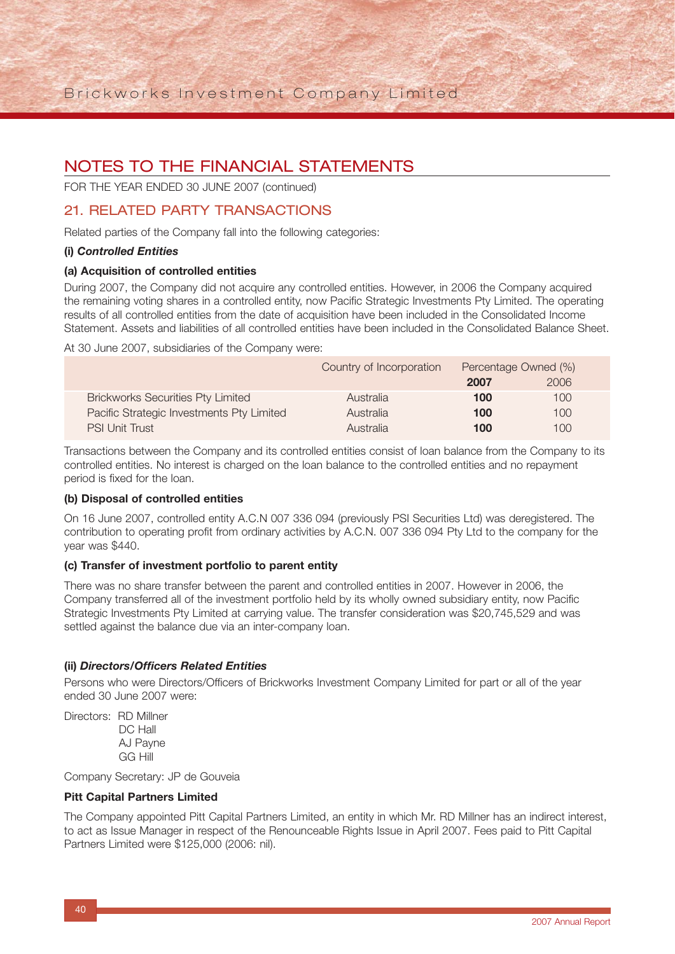FOR THE YEAR ENDED 30 JUNE 2007 (continued)

### 21. RELATED PARTY TRANSACTIONS

Related parties of the Company fall into the following categories:

#### **(i)** *Controlled Entities*

#### **(a) Acquisition of controlled entities**

During 2007, the Company did not acquire any controlled entities. However, in 2006 the Company acquired the remaining voting shares in a controlled entity, now Pacific Strategic Investments Pty Limited. The operating results of all controlled entities from the date of acquisition have been included in the Consolidated Income Statement. Assets and liabilities of all controlled entities have been included in the Consolidated Balance Sheet.

At 30 June 2007, subsidiaries of the Company were:

|                                           | Country of Incorporation | Percentage Owned (%) |      |
|-------------------------------------------|--------------------------|----------------------|------|
|                                           |                          | 2007                 | 2006 |
| <b>Brickworks Securities Pty Limited</b>  | Australia                | 100                  | 100  |
| Pacific Strategic Investments Pty Limited | Australia                | 100                  | 100  |
| <b>PSI Unit Trust</b>                     | Australia                | 100                  | 100  |

Transactions between the Company and its controlled entities consist of loan balance from the Company to its controlled entities. No interest is charged on the loan balance to the controlled entities and no repayment period is fixed for the loan.

#### **(b) Disposal of controlled entities**

On 16 June 2007, controlled entity A.C.N 007 336 094 (previously PSI Securities Ltd) was deregistered. The contribution to operating profit from ordinary activities by A.C.N. 007 336 094 Pty Ltd to the company for the year was \$440.

#### **(c) Transfer of investment portfolio to parent entity**

There was no share transfer between the parent and controlled entities in 2007. However in 2006, the Company transferred all of the investment portfolio held by its wholly owned subsidiary entity, now Pacific Strategic Investments Pty Limited at carrying value. The transfer consideration was \$20,745,529 and was settled against the balance due via an inter-company loan.

#### **(ii)** *Directors/Officers Related Entities*

Persons who were Directors/Officers of Brickworks Investment Company Limited for part or all of the year ended 30 June 2007 were:

Directors: RD Millner DC Hall AJ Payne GG Hill

Company Secretary: JP de Gouveia

#### **Pitt Capital Partners Limited**

The Company appointed Pitt Capital Partners Limited, an entity in which Mr. RD Millner has an indirect interest, to act as Issue Manager in respect of the Renounceable Rights Issue in April 2007. Fees paid to Pitt Capital Partners Limited were \$125,000 (2006: nil).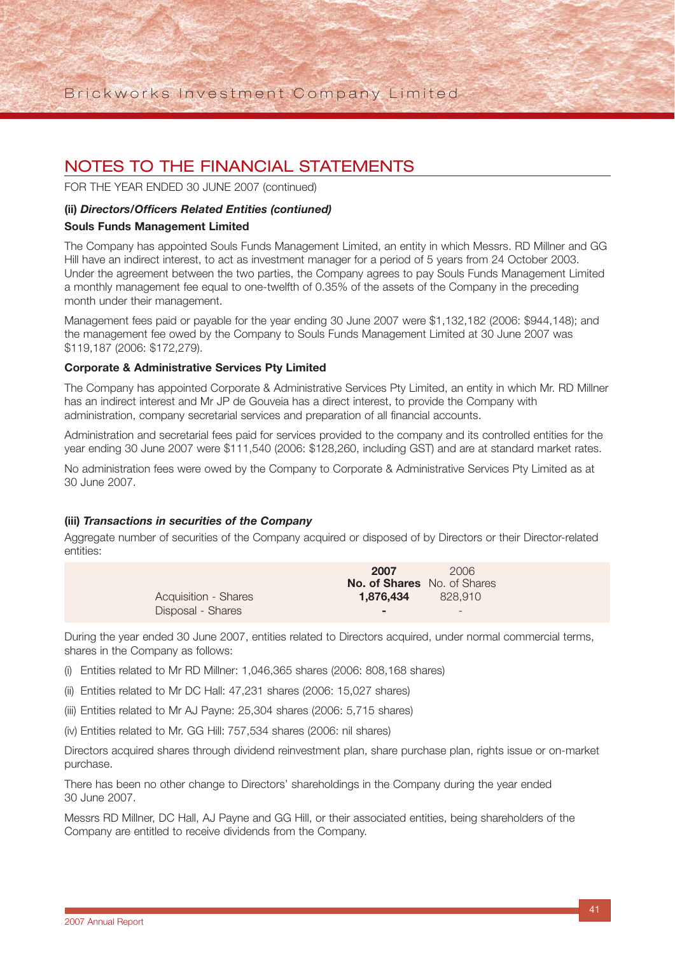FOR THE YEAR ENDED 30 JUNE 2007 (continued)

#### **(ii)** *Directors/Officers Related Entities (contiuned)*

#### **Souls Funds Management Limited**

The Company has appointed Souls Funds Management Limited, an entity in which Messrs. RD Millner and GG Hill have an indirect interest, to act as investment manager for a period of 5 years from 24 October 2003. Under the agreement between the two parties, the Company agrees to pay Souls Funds Management Limited a monthly management fee equal to one-twelfth of 0.35% of the assets of the Company in the preceding month under their management.

Management fees paid or payable for the year ending 30 June 2007 were \$1,132,182 (2006: \$944,148); and the management fee owed by the Company to Souls Funds Management Limited at 30 June 2007 was \$119,187 (2006: \$172,279).

#### **Corporate & Administrative Services Pty Limited**

The Company has appointed Corporate & Administrative Services Pty Limited, an entity in which Mr. RD Millner has an indirect interest and Mr JP de Gouveia has a direct interest, to provide the Company with administration, company secretarial services and preparation of all financial accounts.

Administration and secretarial fees paid for services provided to the company and its controlled entities for the year ending 30 June 2007 were \$111,540 (2006: \$128,260, including GST) and are at standard market rates.

No administration fees were owed by the Company to Corporate & Administrative Services Pty Limited as at 30 June 2007.

#### **(iii)** *Transactions in securities of the Company*

Aggregate number of securities of the Company acquired or disposed of by Directors or their Director-related entities:

|                             | 2007                               | 2006    |
|-----------------------------|------------------------------------|---------|
|                             | <b>No. of Shares</b> No. of Shares |         |
| <b>Acquisition - Shares</b> | 1.876.434                          | 828,910 |
| Disposal - Shares           | -                                  |         |

During the year ended 30 June 2007, entities related to Directors acquired, under normal commercial terms, shares in the Company as follows:

- (i) Entities related to Mr RD Millner: 1,046,365 shares (2006: 808,168 shares)
- (ii) Entities related to Mr DC Hall: 47,231 shares (2006: 15,027 shares)
- (iii) Entities related to Mr AJ Payne: 25,304 shares (2006: 5,715 shares)
- (iv) Entities related to Mr. GG Hill: 757,534 shares (2006: nil shares)

Directors acquired shares through dividend reinvestment plan, share purchase plan, rights issue or on-market purchase.

There has been no other change to Directors' shareholdings in the Company during the year ended 30 June 2007.

Messrs RD Millner, DC Hall, AJ Payne and GG Hill, or their associated entities, being shareholders of the Company are entitled to receive dividends from the Company.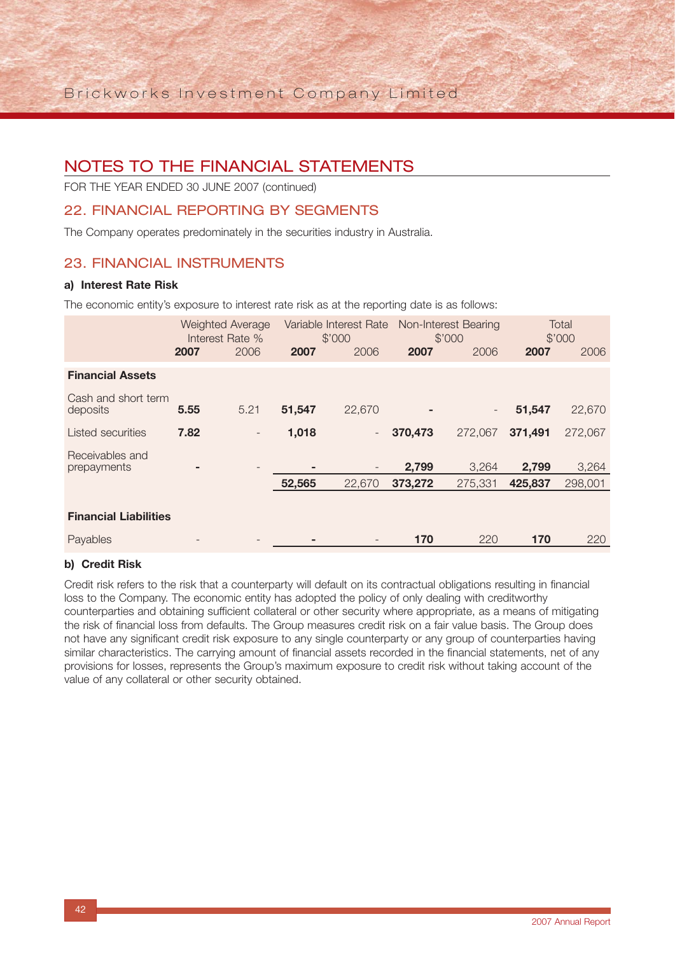FOR THE YEAR ENDED 30 JUNE 2007 (continued)

## 22. FINANCIAL REPORTING BY SEGMENTS

The Company operates predominately in the securities industry in Australia.

### 23. FINANCIAL INSTRUMENTS

#### **a) Interest Rate Risk**

The economic entity's exposure to interest rate risk as at the reporting date is as follows:

|                                 | <b>Weighted Average</b><br>Interest Rate % |                          | Variable Interest Rate<br>\$'000 |                          | Non-Interest Bearing<br>\$'000 |                          | Total<br>\$'000 |         |
|---------------------------------|--------------------------------------------|--------------------------|----------------------------------|--------------------------|--------------------------------|--------------------------|-----------------|---------|
|                                 | 2007                                       | 2006                     | 2007                             | 2006                     | 2007                           | 2006                     | 2007            | 2006    |
| <b>Financial Assets</b>         |                                            |                          |                                  |                          |                                |                          |                 |         |
| Cash and short term<br>deposits | 5.55                                       | 5.21                     | 51,547                           | 22,670                   |                                | $\overline{\phantom{a}}$ | 51,547          | 22,670  |
| Listed securities               | 7.82                                       | $\overline{\phantom{a}}$ | 1,018                            | $\left( -\right)$        | 370,473                        | 272,067                  | 371,491         | 272,067 |
| Receivables and<br>prepayments  |                                            | $\overline{\phantom{m}}$ |                                  | $\overline{\phantom{a}}$ | 2,799                          | 3,264                    | 2,799           | 3,264   |
|                                 |                                            |                          | 52,565                           | 22,670                   | 373,272                        | 275,331                  | 425,837         | 298,001 |
| <b>Financial Liabilities</b>    |                                            |                          |                                  |                          |                                |                          |                 |         |
| Payables                        |                                            |                          |                                  |                          | 170                            | 220                      | 170             | 220     |

#### **b) Credit Risk**

Credit risk refers to the risk that a counterparty will default on its contractual obligations resulting in financial loss to the Company. The economic entity has adopted the policy of only dealing with creditworthy counterparties and obtaining sufficient collateral or other security where appropriate, as a means of mitigating the risk of financial loss from defaults. The Group measures credit risk on a fair value basis. The Group does not have any significant credit risk exposure to any single counterparty or any group of counterparties having similar characteristics. The carrying amount of financial assets recorded in the financial statements, net of any provisions for losses, represents the Group's maximum exposure to credit risk without taking account of the value of any collateral or other security obtained.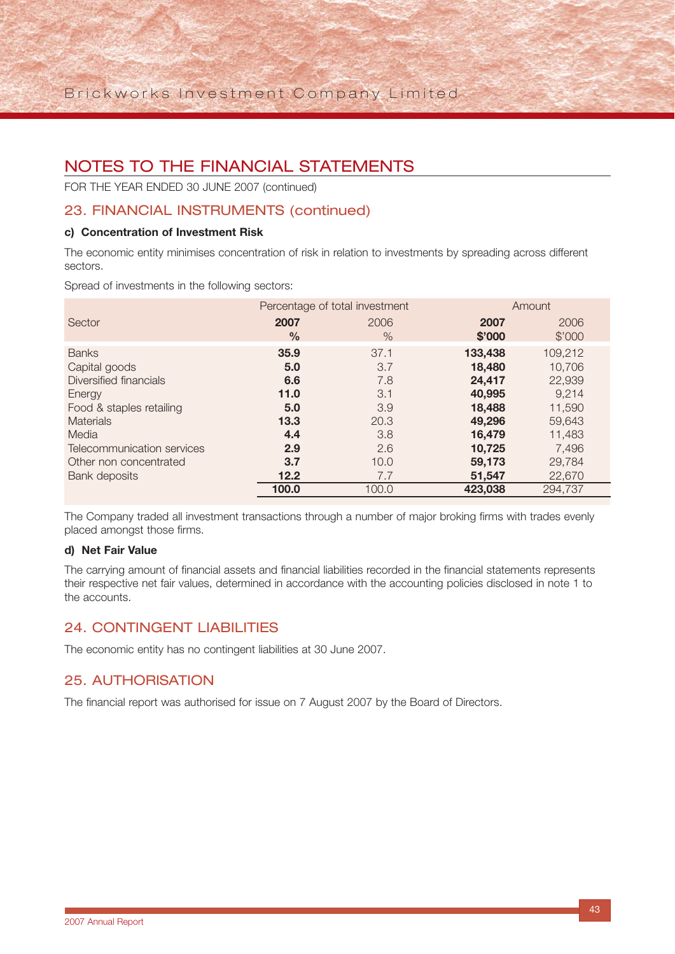FOR THE YEAR ENDED 30 JUNE 2007 (continued)

## 23. FINANCIAL INSTRUMENTS (continued)

#### **c) Concentration of Investment Risk**

The economic entity minimises concentration of risk in relation to investments by spreading across different sectors.

Spread of investments in the following sectors:

|                            |               | Percentage of total investment | Amount  |         |
|----------------------------|---------------|--------------------------------|---------|---------|
| Sector                     | 2007          | 2006                           | 2007    | 2006    |
|                            | $\frac{0}{0}$ | $\%$                           | \$'000  | \$'000  |
| <b>Banks</b>               | 35.9          | 37.1                           | 133,438 | 109,212 |
| Capital goods              | 5.0           | 3.7                            | 18,480  | 10,706  |
| Diversified financials     | 6.6           | 7.8                            | 24,417  | 22,939  |
| Energy                     | 11.0          | 3.1                            | 40,995  | 9.214   |
| Food & staples retailing   | 5.0           | 3.9                            | 18,488  | 11,590  |
| <b>Materials</b>           | 13.3          | 20.3                           | 49,296  | 59,643  |
| Media                      | 4.4           | 3.8                            | 16,479  | 11,483  |
| Telecommunication services | 2.9           | 2.6                            | 10,725  | 7,496   |
| Other non concentrated     | 3.7           | 10.0                           | 59,173  | 29.784  |
| Bank deposits              | 12.2          | 7.7                            | 51,547  | 22,670  |
|                            | 100.0         | 100.0                          | 423,038 | 294,737 |

The Company traded all investment transactions through a number of major broking firms with trades evenly placed amongst those firms.

#### **d) Net Fair Value**

The carrying amount of financial assets and financial liabilities recorded in the financial statements represents their respective net fair values, determined in accordance with the accounting policies disclosed in note 1 to the accounts.

### 24. CONTINGENT LIABILITIES

The economic entity has no contingent liabilities at 30 June 2007.

### 25. AUTHORISATION

The financial report was authorised for issue on 7 August 2007 by the Board of Directors.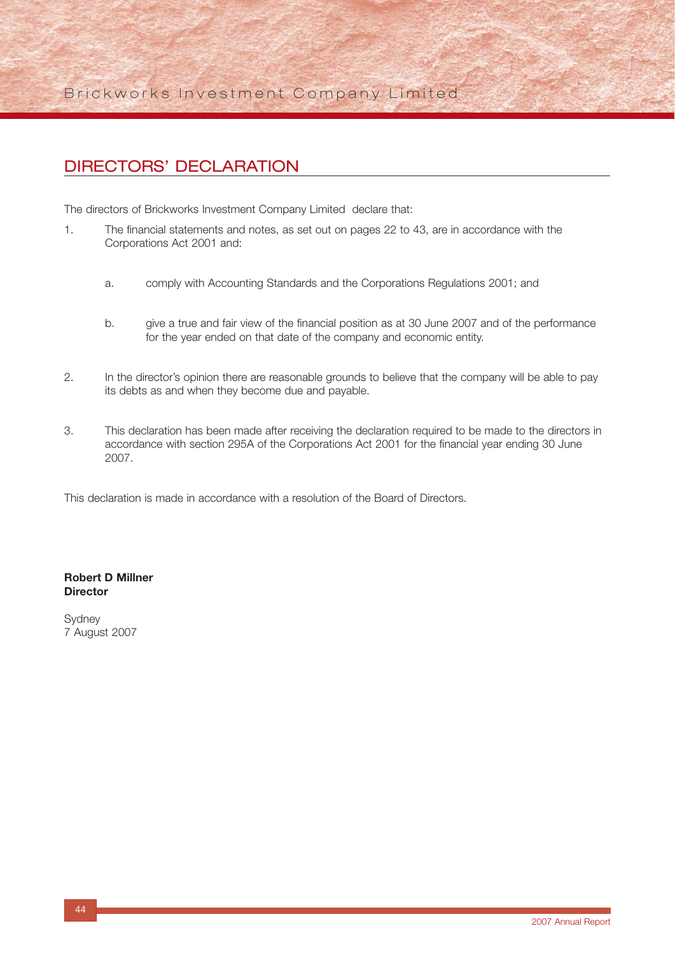Brickworks Investment Company Limited

## DIRECTORS' DECLARATION

The directors of Brickworks Investment Company Limited declare that:

- 1. The financial statements and notes, as set out on pages 22 to 43, are in accordance with the Corporations Act 2001 and:
	- a. comply with Accounting Standards and the Corporations Regulations 2001; and
	- b. give a true and fair view of the financial position as at 30 June 2007 and of the performance for the year ended on that date of the company and economic entity.
- 2. In the director's opinion there are reasonable grounds to believe that the company will be able to pay its debts as and when they become due and payable.
- 3. This declaration has been made after receiving the declaration required to be made to the directors in accordance with section 295A of the Corporations Act 2001 for the financial year ending 30 June 2007.

This declaration is made in accordance with a resolution of the Board of Directors.

#### **Robert D Millner Director**

Sydney 7 August 2007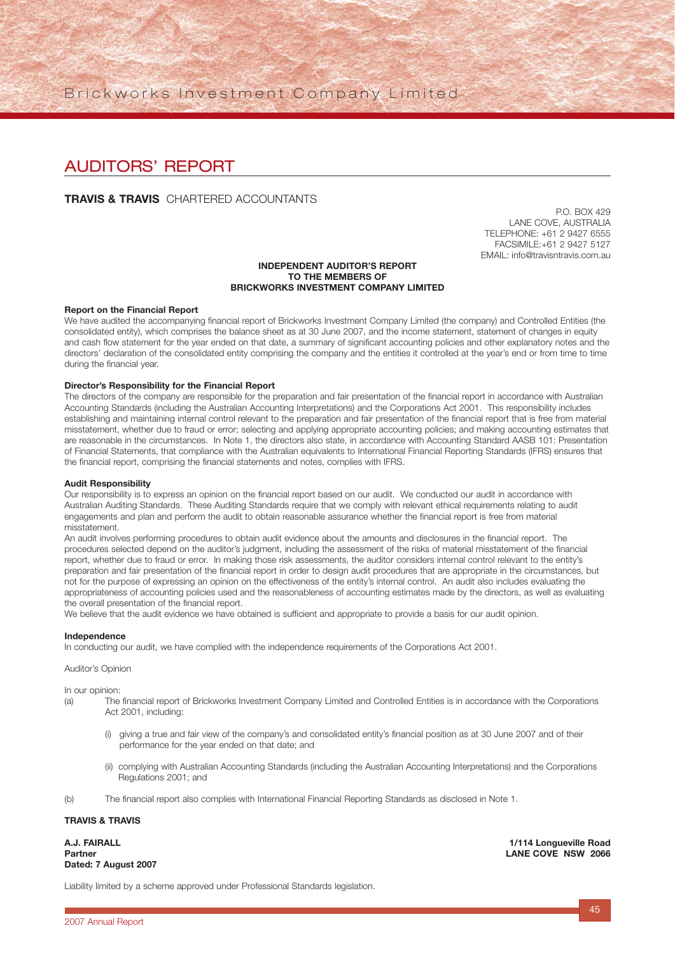Brickworks Investment Company Limited

## AUDITORS' REPORT

#### **TRAVIS & TRAVIS** CHARTERED ACCOUNTANTS

P.O. BOX 429 LANE COVE, AUSTRALIA TELEPHONE: +61 2 9427 6555 FACSIMILE:+61 2 9427 5127 EMAIL: info@travisntravis.com.au

#### **INDEPENDENT AUDITOR'S REPORT TO THE MEMBERS OF BRICKWORKS INVESTMENT COMPANY LIMITED**

#### **Report on the Financial Report**

We have audited the accompanying financial report of Brickworks Investment Company Limited (the company) and Controlled Entities (the consolidated entity), which comprises the balance sheet as at 30 June 2007, and the income statement, statement of changes in equity and cash flow statement for the year ended on that date, a summary of significant accounting policies and other explanatory notes and the directors' declaration of the consolidated entity comprising the company and the entities it controlled at the year's end or from time to time during the financial year.

#### **Director's Responsibility for the Financial Report**

The directors of the company are responsible for the preparation and fair presentation of the financial report in accordance with Australian Accounting Standards (including the Australian Accounting Interpretations) and the Corporations Act 2001. This responsibility includes establishing and maintaining internal control relevant to the preparation and fair presentation of the financial report that is free from material misstatement, whether due to fraud or error; selecting and applying appropriate accounting policies; and making accounting estimates that are reasonable in the circumstances. In Note 1, the directors also state, in accordance with Accounting Standard AASB 101: Presentation of Financial Statements, that compliance with the Australian equivalents to International Financial Reporting Standards (IFRS) ensures that the financial report, comprising the financial statements and notes, complies with IFRS.

#### **Audit Responsibility**

Our responsibility is to express an opinion on the financial report based on our audit. We conducted our audit in accordance with Australian Auditing Standards. These Auditing Standards require that we comply with relevant ethical requirements relating to audit engagements and plan and perform the audit to obtain reasonable assurance whether the financial report is free from material misstatement.

An audit involves performing procedures to obtain audit evidence about the amounts and disclosures in the financial report. The procedures selected depend on the auditor's judgment, including the assessment of the risks of material misstatement of the financial report, whether due to fraud or error. In making those risk assessments, the auditor considers internal control relevant to the entity's preparation and fair presentation of the financial report in order to design audit procedures that are appropriate in the circumstances, but not for the purpose of expressing an opinion on the effectiveness of the entity's internal control. An audit also includes evaluating the appropriateness of accounting policies used and the reasonableness of accounting estimates made by the directors, as well as evaluating the overall presentation of the financial report.

We believe that the audit evidence we have obtained is sufficient and appropriate to provide a basis for our audit opinion.

#### **Independence**

In conducting our audit, we have complied with the independence requirements of the Corporations Act 2001.

#### Auditor's Opinion

In our opinion:

- (a) The financial report of Brickworks Investment Company Limited and Controlled Entities is in accordance with the Corporations Act 2001, including:
	- (i) giving a true and fair view of the company's and consolidated entity's financial position as at 30 June 2007 and of their performance for the year ended on that date; and
	- (ii) complying with Australian Accounting Standards (including the Australian Accounting Interpretations) and the Corporations Regulations 2001; and
- (b) The financial report also complies with International Financial Reporting Standards as disclosed in Note 1.

#### **TRAVIS & TRAVIS**

**Dated: 7 August 2007**

**A.J. FAIRALL 1/114 Longueville Road Partner LANE COVE NSW 2066**

Liability limited by a scheme approved under Professional Standards legislation.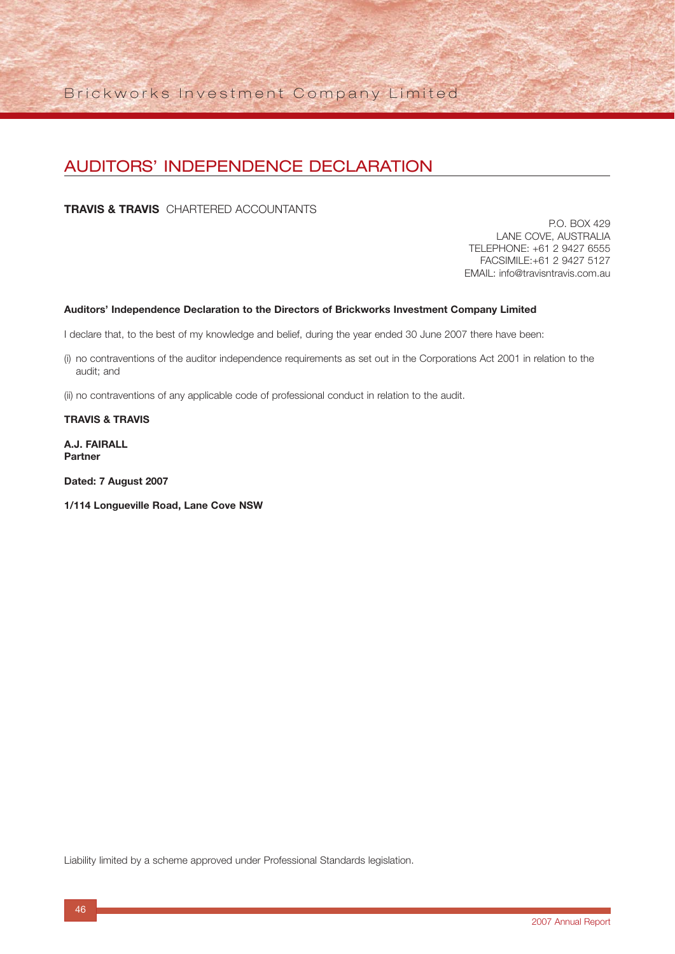## AUDITORS' INDEPENDENCE DECLARATION

**TRAVIS & TRAVIS** CHARTERED ACCOUNTANTS

P.O. BOX 429 LANE COVE, AUSTRALIA TELEPHONE: +61 2 9427 6555 FACSIMILE:+61 2 9427 5127 EMAIL: info@travisntravis.com.au

#### **Auditors' Independence Declaration to the Directors of Brickworks Investment Company Limited**

I declare that, to the best of my knowledge and belief, during the year ended 30 June 2007 there have been:

- (i) no contraventions of the auditor independence requirements as set out in the Corporations Act 2001 in relation to the audit; and
- (ii) no contraventions of any applicable code of professional conduct in relation to the audit.

#### **TRAVIS & TRAVIS**

**A.J. FAIRALL Partner**

**Dated: 7 August 2007**

**1/114 Longueville Road, Lane Cove NSW**

Liability limited by a scheme approved under Professional Standards legislation.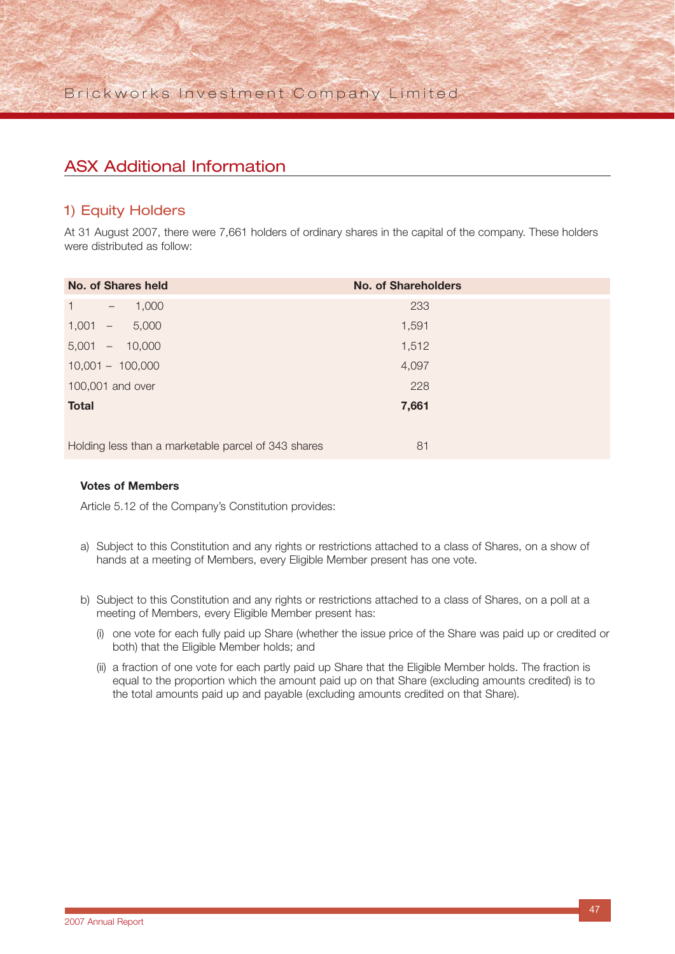## ASX Additional Information

### 1) Equity Holders

At 31 August 2007, there were 7,661 holders of ordinary shares in the capital of the company. These holders were distributed as follow:

| <b>No. of Shares held</b>                           | <b>No. of Shareholders</b> |  |
|-----------------------------------------------------|----------------------------|--|
| $\mathbf{1}$<br>1,000<br>$\sim$                     | 233                        |  |
| 5,000<br>1,001<br>$\overline{\phantom{m}}$          | 1,591                      |  |
| 5,001<br>$-10,000$                                  | 1,512                      |  |
| $10,001 - 100,000$                                  | 4,097                      |  |
| 100,001 and over                                    | 228                        |  |
| <b>Total</b>                                        | 7,661                      |  |
|                                                     |                            |  |
| Holding less than a marketable parcel of 343 shares | 81                         |  |

#### **Votes of Members**

Article 5.12 of the Company's Constitution provides:

- a) Subject to this Constitution and any rights or restrictions attached to a class of Shares, on a show of hands at a meeting of Members, every Eligible Member present has one vote.
- b) Subject to this Constitution and any rights or restrictions attached to a class of Shares, on a poll at a meeting of Members, every Eligible Member present has:
	- (i) one vote for each fully paid up Share (whether the issue price of the Share was paid up or credited or both) that the Eligible Member holds; and
	- (ii) a fraction of one vote for each partly paid up Share that the Eligible Member holds. The fraction is equal to the proportion which the amount paid up on that Share (excluding amounts credited) is to the total amounts paid up and payable (excluding amounts credited on that Share).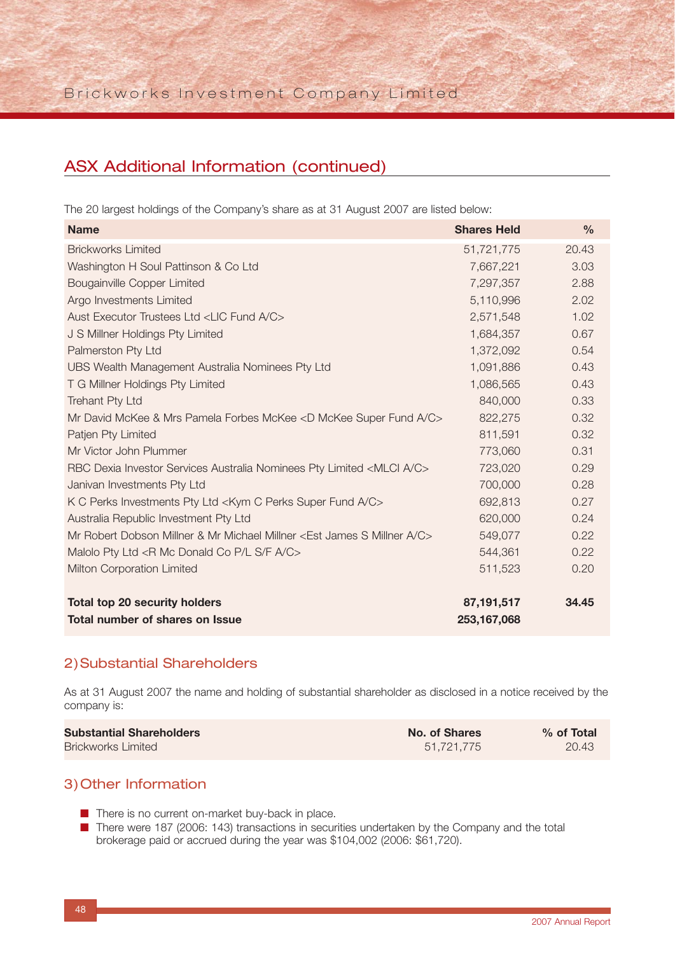## ASX Additional Information (continued)

The 20 largest holdings of the Company's share as at 31 August 2007 are listed below:

| <b>Name</b>                                                                          | <b>Shares Held</b> | $\frac{0}{0}$ |
|--------------------------------------------------------------------------------------|--------------------|---------------|
| <b>Brickworks Limited</b>                                                            | 51,721,775         | 20.43         |
| Washington H Soul Pattinson & Co Ltd                                                 | 7,667,221          | 3.03          |
| <b>Bougainville Copper Limited</b>                                                   | 7,297,357          | 2.88          |
| Argo Investments Limited                                                             | 5,110,996          | 2.02          |
| Aust Executor Trustees Ltd <lic a="" c="" fund=""></lic>                             | 2,571,548          | 1.02          |
| J S Millner Holdings Pty Limited                                                     | 1,684,357          | 0.67          |
| Palmerston Pty Ltd                                                                   | 1,372,092          | 0.54          |
| UBS Wealth Management Australia Nominees Pty Ltd                                     | 1,091,886          | 0.43          |
| T G Millner Holdings Pty Limited                                                     | 1,086,565          | 0.43          |
| Trehant Pty Ltd                                                                      | 840,000            | 0.33          |
| Mr David McKee & Mrs Pamela Forbes McKee <d a="" c="" fund="" mckee="" super=""></d> | 822,275            | 0.32          |
| Patjen Pty Limited                                                                   | 811,591            | 0.32          |
| Mr Victor John Plummer                                                               | 773,060            | 0.31          |
| RBC Dexia Investor Services Australia Nominees Pty Limited <mlci a="" c=""></mlci>   | 723,020            | 0.29          |
| Janivan Investments Pty Ltd                                                          | 700,000            | 0.28          |
| K C Perks Investments Pty Ltd <kym a="" c="" fund="" perks="" super=""></kym>        | 692,813            | 0.27          |
| Australia Republic Investment Pty Ltd                                                | 620,000            | 0.24          |
| Mr Robert Dobson Millner & Mr Michael Millner < Est James S Millner A/C>             | 549,077            | 0.22          |
| Malolo Pty Ltd <r a="" c="" co="" donald="" f="" l="" mc="" p="" s=""></r>           | 544,361            | 0.22          |
| Milton Corporation Limited                                                           | 511,523            | 0.20          |
| <b>Total top 20 security holders</b>                                                 | 87,191,517         | 34.45         |
| Total number of shares on Issue                                                      | 253, 167, 068      |               |

### 2)Substantial Shareholders

As at 31 August 2007 the name and holding of substantial shareholder as disclosed in a notice received by the company is:

| <b>Substantial Shareholders</b> | No. of Shares | $%$ of Total |
|---------------------------------|---------------|--------------|
| <b>Brickworks Limited</b>       | 51.721.775    | 20.43        |

### 3)Other Information

■ There is no current on-market buy-back in place.

■ There were 187 (2006: 143) transactions in securities undertaken by the Company and the total brokerage paid or accrued during the year was \$104,002 (2006: \$61,720).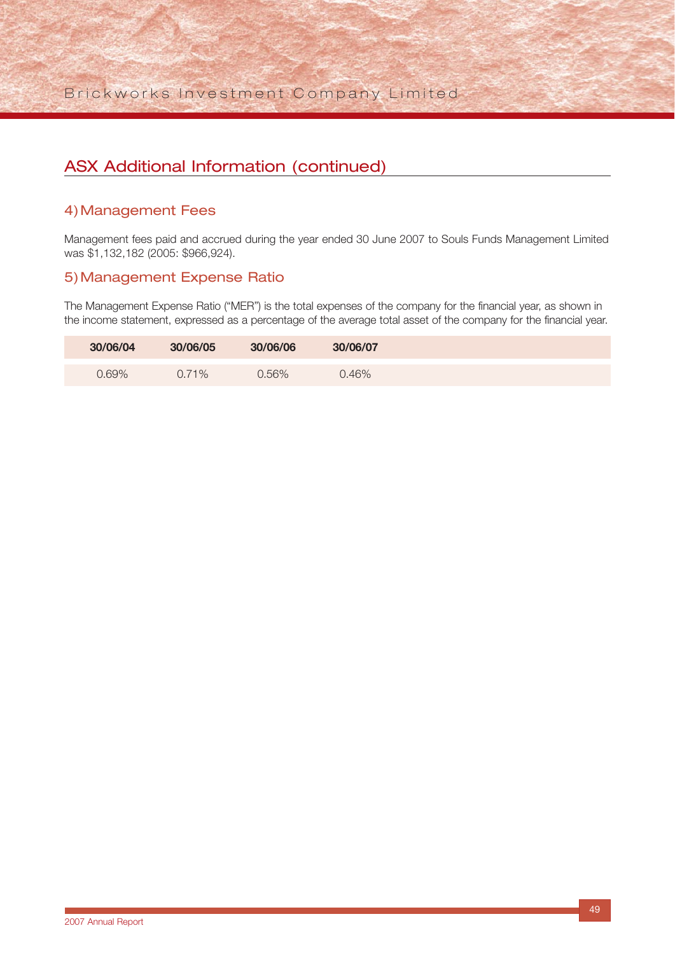Brickworks Investment Company Limited

## ASX Additional Information (continued)

### 4)Management Fees

Management fees paid and accrued during the year ended 30 June 2007 to Souls Funds Management Limited was \$1,132,182 (2005: \$966,924).

### 5)Management Expense Ratio

The Management Expense Ratio ("MER") is the total expenses of the company for the financial year, as shown in the income statement, expressed as a percentage of the average total asset of the company for the financial year.

| 30/06/04 | 30/06/05 | 30/06/06 | 30/06/07 |  |
|----------|----------|----------|----------|--|
| 0.69%    | $0.71\%$ | 0.56%    | 0.46%    |  |